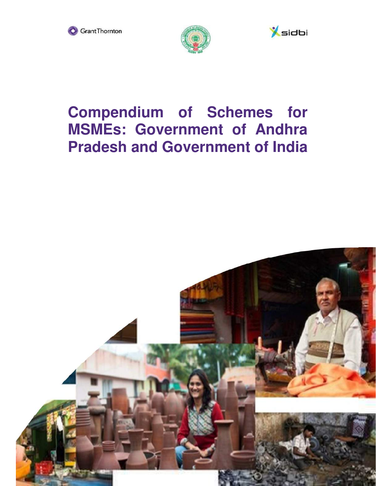





## **Compendium of Schemes for MSMEs: Government of Andhra Pradesh and Government of India**

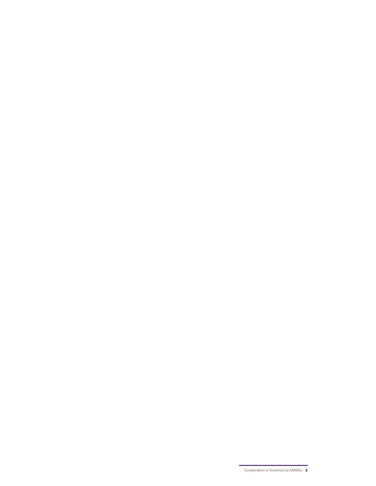Compendium of Schemes for MSMEs **2**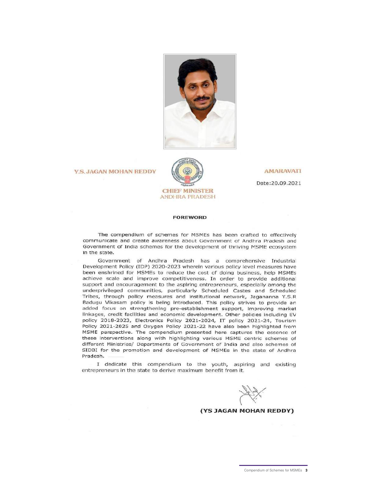

### **Y.S. JAGAN MOHAN REDDY**

**CHIEF MINISTER ANDHRA PRADESH**  **AMARAVATI** 

Date:20.09.2021

#### **FOREWORD**

The compendium of schemes for MSMEs has been crafted to effectively communicate and create awareness about Government of Andhra Pradesh and Government of India schemes for the development of thriving MSME ecosystem in the state.

Government of Andhra Pradesh has a comprehensive Industrial Development Policy (IDP) 2020-2023 wherein various policy level measures have been enshrined for MSMEs to reduce the cost of doing business, help MSMEs achieve scale and improve competitiveness. In order to provide additional support and encouragement to the aspiring entrepreneurs, especially among the underprivileged communities, particularly Scheduled Castes and Scheduled Tribes, through policy measures and institutional network, Jagananna Y.S.R Badugu Vikasam policy is being introduced. This policy strives to provide an added focus on strengthening pre-establishment support, improving market linkages, credit facilities and economic development. Other policies including EV policy 2018-2023, Electronics Policy 2021-2024, IT policy 2021-24, Tourism Policy 2021-2025 and Oxygen Policy 2021-22 have also been highlighted from MSME perspective. The compendium presented here captures the essence of these interventions along with highlighting various MSME centric schemes of different Ministries/ Departments of Government of India and also schemes of SIDBI for the promotion and development of MSMEs in the state of Andhra Pradesh.

I dedicate this compendium to the youth, aspiring and existing entrepreneurs in the state to derive maximum benefit from it.

(YS JAGAN MOHAN REDDY)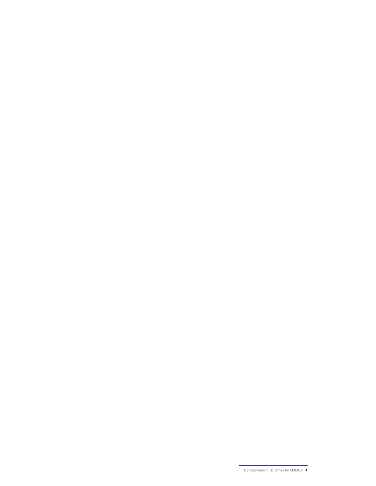Compendium of Schemes for MSMEs **4**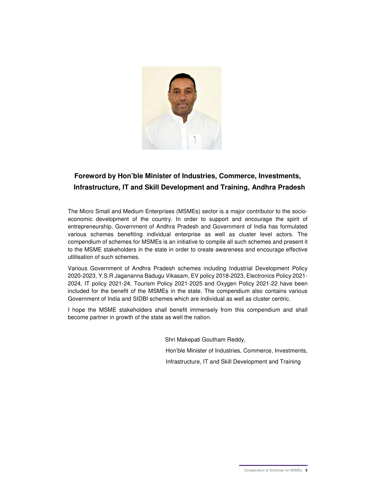

### **Foreword by Hon'ble Minister of Industries, Commerce, Investments, Infrastructure, IT and Skill Development and Training, Andhra Pradesh**

The Micro Small and Medium Enterprises (MSMEs) sector is a major contributor to the socioeconomic development of the country. In order to support and encourage the spirit of entrepreneurship, Government of Andhra Pradesh and Government of India has formulated various schemes benefiting individual enterprise as well as cluster level actors. The compendium of schemes for MSMEs is an initiative to compile all such schemes and present it to the MSME stakeholders in the state in order to create awareness and encourage effective utlilisation of such schemes.

Various Government of Andhra Pradesh schemes including Industrial Development Policy 2020-2023, Y.S.R Jagananna Badugu Vikasam, EV policy 2018-2023, Electronics Policy 2021- 2024, IT policy 2021-24, Tourism Policy 2021-2025 and Oxygen Policy 2021-22 have been included for the benefit of the MSMEs in the state. The compendium also contains various Government of India and SIDBI schemes which are individual as well as cluster centric.

I hope the MSME stakeholders shall benefit immensely from this compendium and shall become partner in growth of the state as well the nation.

Shri Makepati Goutham Reddy,

Hon'ble Minister of Industries, Commerce, Investments,

Infrastructure, IT and Skill Development and Training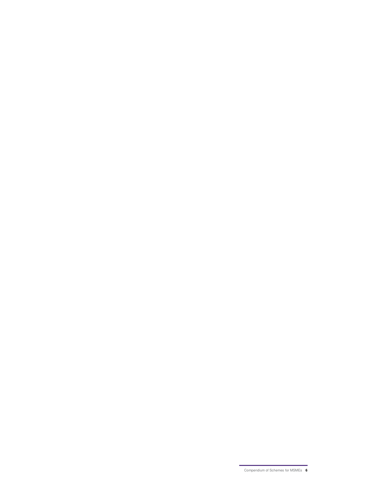Compendium of Schemes for MSMEs **6**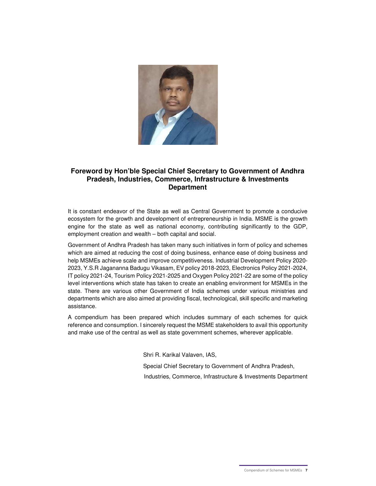

### **Foreword by Hon'ble Special Chief Secretary to Government of Andhra Pradesh, Industries, Commerce, Infrastructure & Investments Department**

It is constant endeavor of the State as well as Central Government to promote a conducive ecosystem for the growth and development of entrepreneurship in India. MSME is the growth engine for the state as well as national economy, contributing significantly to the GDP, employment creation and wealth – both capital and social.

Government of Andhra Pradesh has taken many such initiatives in form of policy and schemes which are aimed at reducing the cost of doing business, enhance ease of doing business and help MSMEs achieve scale and improve competitiveness. Industrial Development Policy 2020- 2023, Y.S.R Jagananna Badugu Vikasam, EV policy 2018-2023, Electronics Policy 2021-2024, IT policy 2021-24, Tourism Policy 2021-2025 and Oxygen Policy 2021-22 are some of the policy level interventions which state has taken to create an enabling environment for MSMEs in the state. There are various other Government of India schemes under various ministries and departments which are also aimed at providing fiscal, technological, skill specific and marketing assistance.

A compendium has been prepared which includes summary of each schemes for quick reference and consumption. I sincerely request the MSME stakeholders to avail this opportunity and make use of the central as well as state government schemes, wherever applicable.

> Shri R. Karikal Valaven, IAS, Special Chief Secretary to Government of Andhra Pradesh, Industries, Commerce, Infrastructure & Investments Department

Compendium of Schemes for MSMEs **7**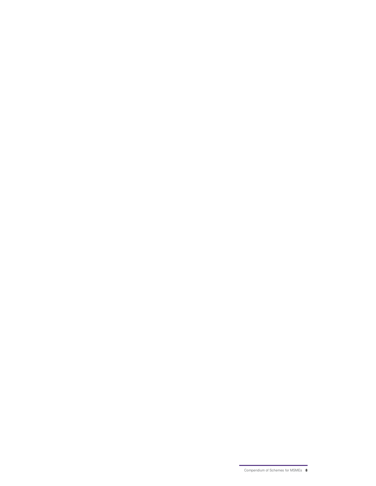Compendium of Schemes for MSMEs **8**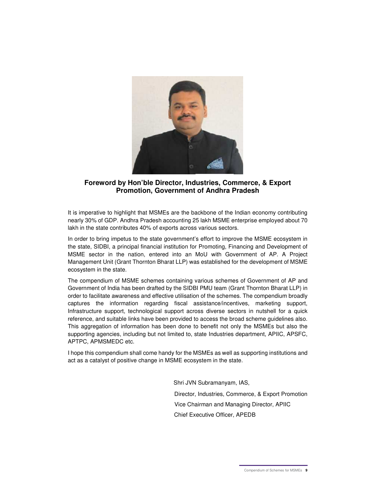

**Foreword by Hon'ble Director, Industries, Commerce, & Export Promotion, Government of Andhra Pradesh** 

It is imperative to highlight that MSMEs are the backbone of the Indian economy contributing nearly 30% of GDP. Andhra Pradesh accounting 25 lakh MSME enterprise employed about 70 lakh in the state contributes 40% of exports across various sectors.

In order to bring impetus to the state government's effort to improve the MSME ecosystem in the state, SIDBI, a principal financial institution for Promoting, Financing and Development of MSME sector in the nation, entered into an MoU with Government of AP. A Project Management Unit (Grant Thornton Bharat LLP) was established for the development of MSME ecosystem in the state.

The compendium of MSME schemes containing various schemes of Government of AP and Government of India has been drafted by the SIDBI PMU team (Grant Thornton Bharat LLP) in order to facilitate awareness and effective utilisation of the schemes. The compendium broadly captures the information regarding fiscal assistance/incentives, marketing support, Infrastructure support, technological support across diverse sectors in nutshell for a quick reference, and suitable links have been provided to access the broad scheme guidelines also. This aggregation of information has been done to benefit not only the MSMEs but also the supporting agencies, including but not limited to, state Industries department, APIIC, APSFC, APTPC, APMSMEDC etc.

I hope this compendium shall come handy for the MSMEs as well as supporting institutions and act as a catalyst of positive change in MSME ecosystem in the state.

> Shri JVN Subramanyam, IAS, Director, Industries, Commerce, & Export Promotion Vice Chairman and Managing Director, APIIC Chief Executive Officer, APEDB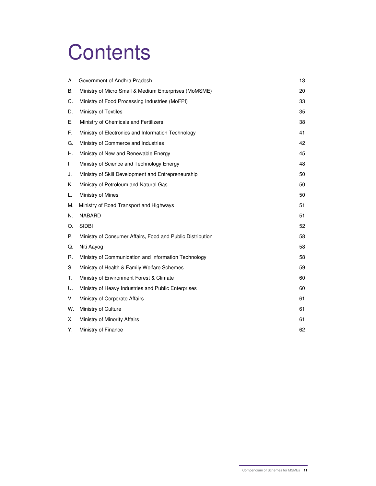## **Contents**

| А. | Government of Andhra Pradesh                               | 13 |
|----|------------------------------------------------------------|----|
| В. | Ministry of Micro Small & Medium Enterprises (MoMSME)      | 20 |
| C. | Ministry of Food Processing Industries (MoFPI)             | 33 |
| D. | Ministry of Textiles                                       | 35 |
| Е. | Ministry of Chemicals and Fertilizers                      | 38 |
| F. | Ministry of Electronics and Information Technology         | 41 |
| G. | Ministry of Commerce and Industries                        | 42 |
| Η. | Ministry of New and Renewable Energy                       | 45 |
| I. | Ministry of Science and Technology Energy                  | 48 |
| J. | Ministry of Skill Development and Entrepreneurship         | 50 |
| Κ. | Ministry of Petroleum and Natural Gas                      | 50 |
| L. | Ministry of Mines                                          | 50 |
| М. | Ministry of Road Transport and Highways                    | 51 |
| N. | <b>NABARD</b>                                              | 51 |
| O. | <b>SIDBI</b>                                               | 52 |
| Р. | Ministry of Consumer Affairs, Food and Public Distribution | 58 |
| Q. | Niti Aayog                                                 | 58 |
| R. | Ministry of Communication and Information Technology       | 58 |
| S. | Ministry of Health & Family Welfare Schemes                | 59 |
| Τ. | Ministry of Environment Forest & Climate                   | 60 |
| U. | Ministry of Heavy Industries and Public Enterprises        | 60 |
| V. | Ministry of Corporate Affairs                              | 61 |
| W. | Ministry of Culture                                        | 61 |
| Х. | Ministry of Minority Affairs                               | 61 |
| Y. | Ministry of Finance                                        | 62 |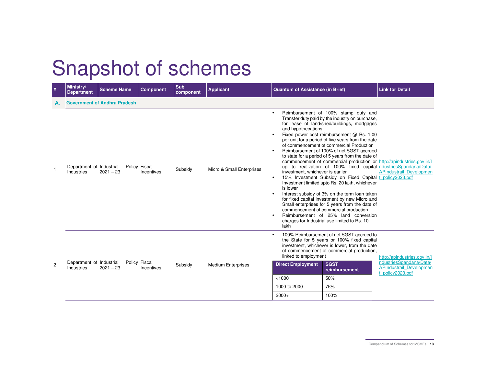# Snapshot of schemes

| # | Ministry/<br><b>Department</b>         | <b>Scheme Name</b>                  | <b>Component</b>            | <b>Sub</b><br>component | <b>Applicant</b>          | <b>Quantum of Assistance (in Brief)</b>                                                                                                                                                                                                                                                                                                                                                                                                                                                                                                                                                                                                                                                                                                                                                                                                                                                                                                                                                                                                                          | <b>Link for Detail</b>                                                                                        |
|---|----------------------------------------|-------------------------------------|-----------------------------|-------------------------|---------------------------|------------------------------------------------------------------------------------------------------------------------------------------------------------------------------------------------------------------------------------------------------------------------------------------------------------------------------------------------------------------------------------------------------------------------------------------------------------------------------------------------------------------------------------------------------------------------------------------------------------------------------------------------------------------------------------------------------------------------------------------------------------------------------------------------------------------------------------------------------------------------------------------------------------------------------------------------------------------------------------------------------------------------------------------------------------------|---------------------------------------------------------------------------------------------------------------|
|   |                                        | <b>Government of Andhra Pradesh</b> |                             |                         |                           |                                                                                                                                                                                                                                                                                                                                                                                                                                                                                                                                                                                                                                                                                                                                                                                                                                                                                                                                                                                                                                                                  |                                                                                                               |
|   | Department of Industrial<br>Industries | $2021 - 23$                         | Policy Fiscal<br>Incentives | Subsidy                 | Micro & Small Enterprises | Reimbursement of 100% stamp duty and<br>٠<br>Transfer duty paid by the industry on purchase,<br>for lease of land/shed/buildings, mortgages<br>and hypothecations.<br>Fixed power cost reimbursement @ Rs. 1.00<br>per unit for a period of five years from the date<br>of commencement of commercial Production<br>Reimbursement of 100% of net SGST accrued<br>$\bullet$<br>to state for a period of 5 years from the date of<br>commencement of commercial production or http://apindustries.gov.in/l<br>up to realization of 100% fixed capital ndustriesSpandana/Data/<br>investment, whichever is earlier<br>15% Investment Subsidy on Fixed Capital t policy2023.pdf<br>$\bullet$<br>Investment limited upto Rs. 20 lakh, whichever<br>is lower<br>Interest subsidy of 3% on the term loan taken<br>for fixed capital investment by new Micro and<br>Small enterprises for 5 years from the date of<br>commencement of commercial production<br>Reimbursement of 25% land conversion<br>$\bullet$<br>charges for Industrial use limited to Rs. 10<br>lakh | <b>APIndustrail Developmen</b>                                                                                |
| 2 | Department of Industrial<br>Industries | $2021 - 23$                         | Policy Fiscal<br>Incentives | Subsidy                 | <b>Medium Enterprises</b> | 100% Reimbursement of net SGST accrued to<br>$\bullet$<br>the State for 5 years or 100% fixed capital<br>investment, whichever is lower, from the date<br>of commencement of commercial production,<br>linked to employment<br><b>SGST</b><br><b>Direct Employment</b><br>reimbursement<br><1000<br>50%<br>1000 to 2000<br>75%<br>$2000+$<br>100%                                                                                                                                                                                                                                                                                                                                                                                                                                                                                                                                                                                                                                                                                                                | http://apindustries.gov.in/l<br>ndustriesSpandana/Data/<br><b>APIndustrail Developmen</b><br>t policy2023.pdf |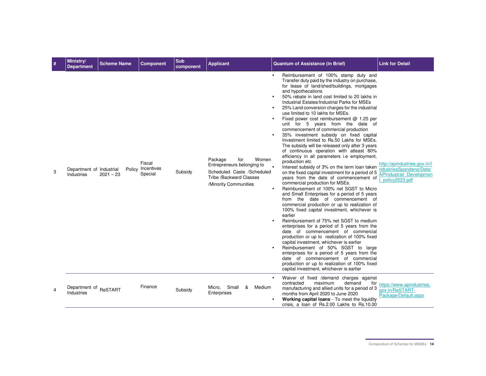| # | Ministry/<br><b>Department</b>         | <b>Scheme Name</b> | <b>Component</b>                       | <b>Sub</b><br>component | <b>Applicant</b>                                                                                                                        | <b>Quantum of Assistance (in Brief)</b>                                                                                                                                                                                                                                                                                                                                                                                                                                                                                                                                                                                                                                                                                                                                                                                                                                                                                                                                                                                                                                                                                                                                                                                                                                                                                                                                                                                                                                                                                                                                                                                          | <b>Link for Detail</b>                                                                                      |
|---|----------------------------------------|--------------------|----------------------------------------|-------------------------|-----------------------------------------------------------------------------------------------------------------------------------------|----------------------------------------------------------------------------------------------------------------------------------------------------------------------------------------------------------------------------------------------------------------------------------------------------------------------------------------------------------------------------------------------------------------------------------------------------------------------------------------------------------------------------------------------------------------------------------------------------------------------------------------------------------------------------------------------------------------------------------------------------------------------------------------------------------------------------------------------------------------------------------------------------------------------------------------------------------------------------------------------------------------------------------------------------------------------------------------------------------------------------------------------------------------------------------------------------------------------------------------------------------------------------------------------------------------------------------------------------------------------------------------------------------------------------------------------------------------------------------------------------------------------------------------------------------------------------------------------------------------------------------|-------------------------------------------------------------------------------------------------------------|
| 3 | Department of Industrial<br>Industries | $2021 - 23$        | Fiscal<br>Policy Incentives<br>Special | Subsidy                 | Package<br>Women<br>for<br>Entrepreneurs belonging to<br>Scheduled Caste /Scheduled<br>Tribe /Backward Classes<br>/Minority Communities | Reimbursement of 100% stamp duty and<br>Transfer duty paid by the industry on purchase,<br>for lease of land/shed/buildings, mortgages<br>and hypothecations<br>50% rebate in land cost limited to 20 lakhs in<br>Industrial Estates/Industrial Parks for MSEs<br>25% Land conversion charges for the industrial<br>use limited to 10 lakhs for MSEs.<br>Fixed power cost reimbursement @ 1.25 per<br>unit for 5 years from the date of<br>commencement of commercial production<br>35% investment subsidy on fixed capital<br>Investment limited to Rs.50 Lakhs for MSEs.<br>The subsidy will be released only after 3 years<br>of continuous operation with atleast 80%<br>efficiency in all parameters i.e employment,<br>production etc<br>Interest subsidy of 3% on the term loan taken<br>on the fixed capital investment for a period of 5<br>years from the date of commencement of<br>commercial production for MSEs.<br>Reimbursement of 100% net SGST to Micro<br>and Small Enterprises for a period of 5 years<br>from the date of commencement of<br>commercial production or up to realization of<br>100% fixed capital investment, whichever is<br>earlier<br>Reimbursement of 75% net SGST to medium<br>enterprises for a period of 5 years from the<br>date of commencement of commercial<br>production or up to realization of 100% fixed<br>capital investment, whichever is earlier<br>Reimbursement of 50% SGST to large<br>enterprises for a period of 5 years from the<br>date of commencement of commercial<br>production or up to realization of 100% fixed<br>capital investment, whichever is earlier | http://apindustries.gov.in/l<br>ndustriesSpandana/Data/<br><b>APIndustrail Developmen</b><br>policy2023.pdf |
| 4 | Department of<br>Industries            | ReSTART            | Finance                                | Subsidy                 | Micro, Small<br>&<br>Medium<br>Enterprises                                                                                              | Waiver of fixed /demand charges against<br>$\bullet$<br>contracted<br>maximum<br>demand<br>for<br>manufacturing and allied units for a period of 3<br>months from April 2020 to June 2020<br>Working capital loans - To meet the liquidity<br>crisis, a loan of Rs.2.00 Lakhs to Rs.10.00                                                                                                                                                                                                                                                                                                                                                                                                                                                                                                                                                                                                                                                                                                                                                                                                                                                                                                                                                                                                                                                                                                                                                                                                                                                                                                                                        | https://www.apindustries.<br>aov.in/ReSTART-<br>Package/Default.aspx                                        |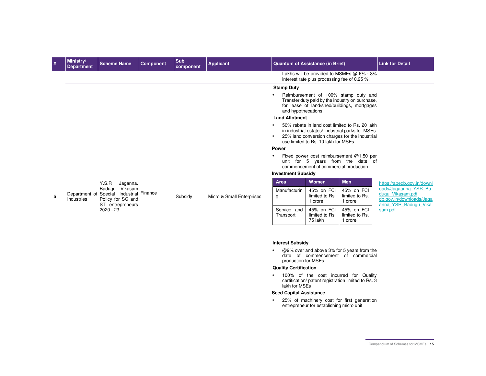| # | <b>Ministry/</b><br><b>Department</b> | <b>Scheme Name</b>                                                                                  | <b>Component</b> | <b>Sub</b><br>component | <b>Applicant</b>          |                        |                              | <b>Quantum of Assistance (in Brief)</b>      |                                                                                                                                                      | <b>Link for Detail</b>                                                                       |
|---|---------------------------------------|-----------------------------------------------------------------------------------------------------|------------------|-------------------------|---------------------------|------------------------|------------------------------|----------------------------------------------|------------------------------------------------------------------------------------------------------------------------------------------------------|----------------------------------------------------------------------------------------------|
|   |                                       |                                                                                                     |                  |                         |                           |                        |                              | interest rate plus processing fee of 0.25 %. | Lakhs will be provided to MSMEs $@6\% - 8\%$                                                                                                         |                                                                                              |
|   |                                       |                                                                                                     |                  |                         |                           |                        | <b>Stamp Duty</b>            |                                              |                                                                                                                                                      |                                                                                              |
|   |                                       |                                                                                                     |                  |                         |                           |                        | and hypothecations.          |                                              | Reimbursement of 100% stamp duty and<br>Transfer duty paid by the industry on purchase,<br>for lease of land/shed/buildings, mortgages               |                                                                                              |
|   |                                       |                                                                                                     |                  |                         |                           |                        | <b>Land Allotment</b>        |                                              |                                                                                                                                                      |                                                                                              |
|   |                                       |                                                                                                     |                  |                         |                           | $\bullet$<br>$\bullet$ |                              |                                              | 50% rebate in land cost limited to Rs. 20 lakh<br>in industrial estates/ industrial parks for MSEs<br>25% land conversion charges for the industrial |                                                                                              |
|   |                                       |                                                                                                     |                  |                         |                           | <b>Power</b>           |                              | use limited to Rs. 10 lakh for MSEs          |                                                                                                                                                      |                                                                                              |
|   |                                       |                                                                                                     |                  |                         |                           |                        | <b>Investment Subsidy</b>    | commencement of commercial production        | Fixed power cost reimbursement @1.50 per<br>unit for 5 years from the date of                                                                        |                                                                                              |
|   |                                       | Y.S.R<br>Jaganna.                                                                                   |                  |                         |                           | Area                   |                              | <b>Women</b>                                 | <b>Men</b>                                                                                                                                           | https://apedb.gov.in/downl                                                                   |
| 5 | Industries                            | Badugu Vikasam<br>Department of Special Industrial Finance<br>Policy for SC and<br>ST entrepreneurs |                  | Subsidy                 | Micro & Small Enterprises | g                      | Manufacturin                 | 45% on FCI<br>limited to Rs.<br>1 crore      | 45% on FCI<br>limited to Rs.<br>1 crore                                                                                                              | pads/Jagaanna YSR Ba<br>dugu Vikasam.pdf<br>db.gov.in/downloads/Jaga<br>anna YSR Badugu Vika |
|   |                                       | $2020 - 23$                                                                                         |                  |                         |                           |                        | Service and<br>Transport     | 45% on FCI<br>limited to Rs.<br>75 lakh      | 45% on FCI<br>limited to Rs.<br>1 crore                                                                                                              | sam.pdf                                                                                      |
|   |                                       |                                                                                                     |                  |                         |                           |                        | <b>Interest Subsidy</b>      |                                              |                                                                                                                                                      |                                                                                              |
|   |                                       |                                                                                                     |                  |                         |                           |                        | production for MSEs          |                                              | @9% over and above 3% for 5 years from the<br>date of commencement of commercial                                                                     |                                                                                              |
|   |                                       |                                                                                                     |                  |                         |                           |                        | <b>Quality Certification</b> |                                              |                                                                                                                                                      |                                                                                              |

• 100% of the cost incurred for Quality certification/ patent registration limited to Rs. 3 lakh for MSEs

### **Seed Capital Assistance**

 25% of machinery cost for first generation entrepreneur for establishing micro unit •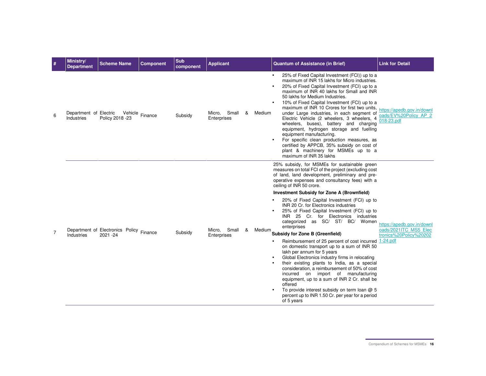| #              | Ministry/<br><b>Department</b> | <b>Scheme Name</b>                                        | <b>Component</b> | <b>Sub</b><br>component | <b>Applicant</b>               |             | <b>Quantum of Assistance (in Brief)</b>                                                                                                                                                                                                                                                                                                                                                                                                                                                                                                                                                                                                                                                                                                                                                                                                                                                                                                                                                                                                                                                | <b>Link for Detail</b>                                                        |
|----------------|--------------------------------|-----------------------------------------------------------|------------------|-------------------------|--------------------------------|-------------|----------------------------------------------------------------------------------------------------------------------------------------------------------------------------------------------------------------------------------------------------------------------------------------------------------------------------------------------------------------------------------------------------------------------------------------------------------------------------------------------------------------------------------------------------------------------------------------------------------------------------------------------------------------------------------------------------------------------------------------------------------------------------------------------------------------------------------------------------------------------------------------------------------------------------------------------------------------------------------------------------------------------------------------------------------------------------------------|-------------------------------------------------------------------------------|
| 6              | Industries                     | Department of Electric Vehicle Finance<br>Policy 2018 -23 |                  | Subsidy                 | Small<br>Micro,<br>Enterprises | &<br>Medium | 25% of Fixed Capital Investment (FCI)) up to a<br>maximum of INR 15 lakhs for Micro industries.<br>20% of Fixed Capital Investment (FCI) up to a<br>maximum of INR 40 lakhs for Small and INR<br>50 lakhs for Medium Industries.<br>10% of Fixed Capital Investment (FCI) up to a<br>maximum of INR 10 Crores for first two units,<br>under Large industries, in each segment of<br>Electric Vehicle (2 wheelers, 3 wheelers, 4<br>wheelers, buses), battery and charging<br>equipment, hydrogen storage and fuelling<br>equipment manufacturing.<br>For specific clean production measures, as<br>certified by APPCB, 35% subsidy on cost of<br>plant & machinery for MSMEs up to a<br>maximum of INR 35 lakhs                                                                                                                                                                                                                                                                                                                                                                        | https://apedb.gov.in/downl<br>oads/EV%20Policy AP 2<br>018-23.pdf             |
| $\overline{7}$ | Industries                     | Department of Electronics Policy Finance<br>2021 - 24     |                  | Subsidy                 | Small<br>Micro.<br>Enterprises | &<br>Medium | 25% subsidy, for MSMEs for sustainable green<br>measures on total FCI of the project (excluding cost<br>of land, land development, preliminary and pre-<br>operative expenses and consultancy fees) with a<br>ceiling of INR 50 crore.<br><b>Investment Subsidy for Zone A (Brownfield)</b><br>20% of Fixed Capital Investment (FCI) up to<br>INR 20 Cr. for Electronics industries<br>25% of Fixed Capital Investment (FCI) up to<br>INR 25 Cr. for Electronics industries<br>categorized as SC/ ST/ BC/ Women<br>enterprises<br><b>Subsidy for Zone B (Greenfield)</b><br>Reimbursement of 25 percent of cost incurred 1-24.pdf<br>on domestic transport up to a sum of INR 50<br>lakh per annum for 5 years<br>Global Electronics industry firms in relocating<br>their existing plants to India, as a special<br>consideration, a reimbursement of 50% of cost<br>incurred on import of manufacturing<br>equipment, up to a sum of INR 2 Cr. shall be<br>offered<br>To provide interest subsidy on term loan @ 5<br>percent up to INR 1.50 Cr. per year for a period<br>of 5 years | https://apedb.gov.in/downl<br>oads/2021ITC MS5 Elec<br>tronics%20Policy%20202 |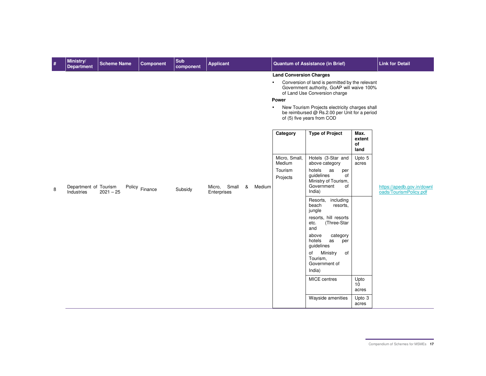| # | Ministry/<br><b>Department</b>      | <b>Scheme Name</b> | <b>Component</b> | Sub<br>component | <b>Applicant</b>                              |                                                                          | <b>Quantum of Assistance (in Brief)</b>                                                                                                                                                                                                                                                                                                                                 |                                                     | <b>Link for Detail</b>                               |
|---|-------------------------------------|--------------------|------------------|------------------|-----------------------------------------------|--------------------------------------------------------------------------|-------------------------------------------------------------------------------------------------------------------------------------------------------------------------------------------------------------------------------------------------------------------------------------------------------------------------------------------------------------------------|-----------------------------------------------------|------------------------------------------------------|
|   |                                     |                    |                  |                  |                                               | <b>Land Conversion Charges</b><br>$\bullet$<br><b>Power</b><br>$\bullet$ | Conversion of land is permitted by the relevant<br>Government authority, GoAP will waive 100%<br>of Land Use Conversion charge<br>New Tourism Projects electricity charges shall<br>be reimbursed @ Rs.2.00 per Unit for a period<br>of (5) five years from COD                                                                                                         |                                                     |                                                      |
|   |                                     |                    |                  |                  |                                               | Category                                                                 | <b>Type of Project</b>                                                                                                                                                                                                                                                                                                                                                  | Max.<br>extent<br>of<br>land                        |                                                      |
| 8 | Department of Tourism<br>Industries | $2021 - 25$        | Policy Finance   | Subsidy          | Small<br>&<br>Medium<br>Micro,<br>Enterprises | Micro, Small,<br>Medium<br>Tourism<br>Projects                           | Hotels (3-Star and<br>above category<br>hotels as<br>per<br>guidelines<br>of<br>Ministry of Tourism,<br>Government<br>οf<br>India)<br>Resorts, including<br>beach<br>resorts,<br>jungle<br>resorts, hill resorts<br>(Three-Star<br>etc.<br>and<br>above<br>category<br>hotels<br>as<br>per<br>guidelines<br>Ministry<br>of<br>οf<br>Tourism.<br>Government of<br>India) | Upto 5<br>acres                                     | https://apedb.gov.in/downl<br>oads/TourismPolicy.pdf |
|   |                                     |                    |                  |                  |                                               |                                                                          | MICE centres<br>Wayside amenities                                                                                                                                                                                                                                                                                                                                       | Upto<br>10 <sup>2</sup><br>acres<br>Upto 3<br>acres |                                                      |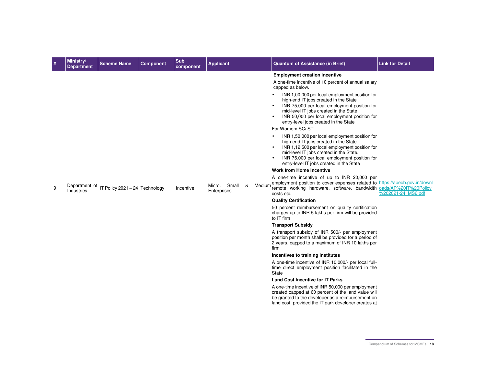| # | Ministry/<br><b>Department</b> | <b>Scheme Name</b>             | <b>Component</b> | Sub<br>component | <b>Applicant</b>                              | <b>Quantum of Assistance (in Brief)</b>                                                                                                                                                                                                                                          | <b>Link for Detail</b> |
|---|--------------------------------|--------------------------------|------------------|------------------|-----------------------------------------------|----------------------------------------------------------------------------------------------------------------------------------------------------------------------------------------------------------------------------------------------------------------------------------|------------------------|
|   |                                |                                |                  |                  |                                               | <b>Employment creation incentive</b>                                                                                                                                                                                                                                             |                        |
|   |                                |                                |                  |                  |                                               | A one-time incentive of 10 percent of annual salary<br>capped as below.                                                                                                                                                                                                          |                        |
|   |                                |                                |                  |                  |                                               | INR 1,00,000 per local employment position for<br>high-end IT jobs created in the State<br>INR 75,000 per local employment position for<br>mid-level IT jobs created in the State<br>INR 50,000 per local employment position for<br>entry-level jobs created in the State       |                        |
|   |                                |                                |                  |                  |                                               | For Women/ SC/ ST                                                                                                                                                                                                                                                                |                        |
|   |                                |                                |                  |                  |                                               | INR 1,50,000 per local employment position for<br>high-end IT jobs created in the State<br>INR 1,12,500 per local employment position for<br>mid-level IT jobs created in the State.<br>INR 75,000 per local employment position for<br>entry-level IT jobs created in the State |                        |
|   |                                |                                |                  |                  |                                               | <b>Work from Home incentive</b>                                                                                                                                                                                                                                                  |                        |
| 9 | Department of<br>Industries    | IT Policy 2021 - 24 Technology |                  | Incentive        | Small<br>Medium<br>Micro,<br>&<br>Enterprises | A one-time incentive of up to INR 20,000 per<br>employment position to cover expenses related to https://apedb.gov.in/downl<br>remote working hardware, software, bandwidth oads/AP%20IT%20Policy<br>costs etc.                                                                  | %202021-24 MS6.pdf     |
|   |                                |                                |                  |                  |                                               | <b>Quality Certification</b>                                                                                                                                                                                                                                                     |                        |
|   |                                |                                |                  |                  |                                               | 50 percent reimbursement on quality certification<br>charges up to INR 5 lakhs per firm will be provided<br>to IT firm                                                                                                                                                           |                        |
|   |                                |                                |                  |                  |                                               | <b>Transport Subsidy</b>                                                                                                                                                                                                                                                         |                        |
|   |                                |                                |                  |                  |                                               | A transport subsidy of INR 500/- per employment<br>position per month shall be provided for a period of<br>2 years, capped to a maximum of INR 10 lakhs per<br>firm                                                                                                              |                        |
|   |                                |                                |                  |                  |                                               | Incentives to training institutes                                                                                                                                                                                                                                                |                        |
|   |                                |                                |                  |                  |                                               | A one-time incentive of INR 10,000/- per local full-<br>time direct employment position facilitated in the<br>State                                                                                                                                                              |                        |
|   |                                |                                |                  |                  |                                               | <b>Land Cost Incentive for IT Parks</b>                                                                                                                                                                                                                                          |                        |
|   |                                |                                |                  |                  |                                               | A one-time incentive of INR 50,000 per employment<br>created capped at 60 percent of the land value will<br>be granted to the developer as a reimbursement on<br>land cost, provided the IT park developer creates at                                                            |                        |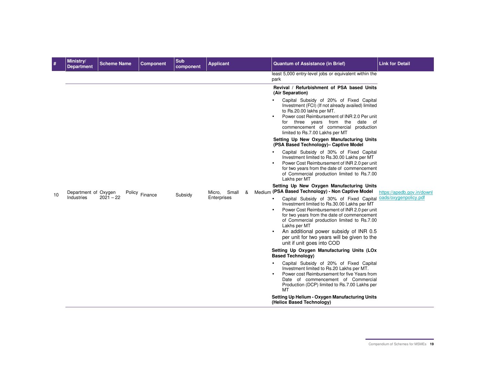| $\#$ | Ministry/<br><b>Department</b> | <b>Scheme Name</b> | <b>Component</b> | <b>Sub</b><br>component | <b>Applicant</b>  | <b>Quantum of Assistance (in Brief)</b>                                                                                                                                                                                                                                                                                                                                                  | <b>Link for Detail</b>     |
|------|--------------------------------|--------------------|------------------|-------------------------|-------------------|------------------------------------------------------------------------------------------------------------------------------------------------------------------------------------------------------------------------------------------------------------------------------------------------------------------------------------------------------------------------------------------|----------------------------|
|      |                                |                    |                  |                         |                   | least 5,000 entry-level jobs or equivalent within the<br>park                                                                                                                                                                                                                                                                                                                            |                            |
|      |                                |                    |                  |                         |                   | Revival / Refurbishment of PSA based Units<br>(Air Separation)                                                                                                                                                                                                                                                                                                                           |                            |
|      |                                |                    |                  |                         |                   | Capital Subsidy of 20% of Fixed Capital<br>Investment (FCI) (If not already availed) limited<br>to Rs.20.00 lakhs per MT.<br>Power cost Reimbursement of INR 2.0 Per unit<br>for three years from the date of<br>commencement of commercial production<br>limited to Rs.7.00 Lakhs per MT<br>Setting Up New Oxygen Manufacturing Units                                                   |                            |
|      |                                |                    |                  |                         |                   | (PSA Based Technology)- Captive Model                                                                                                                                                                                                                                                                                                                                                    |                            |
|      |                                |                    |                  |                         |                   | Capital Subsidy of 30% of Fixed Capital<br>Investment limited to Rs.30.00 Lakhs per MT<br>Power Cost Reimbursement of INR 2.0 per unit<br>for two years from the date of commencement<br>of Commercial production limited to Rs.7.00<br>Lakhs per MT                                                                                                                                     |                            |
|      | Department of Oxygen           |                    | Policy Finance   |                         | Micro, Small<br>& | Setting Up New Oxygen Manufacturing Units<br>Medium (PSA Based Technology) - Non Captive Model                                                                                                                                                                                                                                                                                           | https://apedb.gov.in/downl |
| 10   | Industries                     | $2021 - 22$        |                  | Subsidy                 | Enterprises       | Capital Subsidy of 30% of Fixed Capital<br>$\bullet$<br>Investment limited to Rs.30.00 Lakhs per MT<br>Power Cost Reimbursement of INR 2.0 per unit<br>for two years from the date of commencement<br>of Commercial production limited to Rs.7.00<br>Lakhs per MT<br>An additional power subsidy of INR 0.5<br>per unit for two years will be given to the<br>unit if unit goes into COD | oads/oxygenpolicy.pdf      |
|      |                                |                    |                  |                         |                   | Setting Up Oxygen Manufacturing Units (LOx<br><b>Based Technology)</b>                                                                                                                                                                                                                                                                                                                   |                            |
|      |                                |                    |                  |                         |                   | Capital Subsidy of 20% of Fixed Capital<br>$\bullet$<br>Investment limited to Rs.20 Lakhs per MT.<br>Power cost Reimbursement for five Years from<br>Date of commencement of Commercial<br>Production (DCP) limited to Rs.7.00 Lakhs per<br>МT                                                                                                                                           |                            |
|      |                                |                    |                  |                         |                   | Setting Up Helium - Oxygen Manufacturing Units<br>(Heliox Based Technology)                                                                                                                                                                                                                                                                                                              |                            |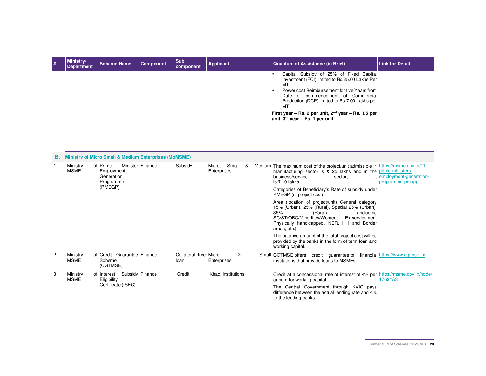| # | Ministry/<br><b>Department</b> | Scheme Name | <b>Component</b> | <b>Sub</b><br>component | <b>Applicant</b> | <b>Quantum of Assistance (in Brief)</b>                                                                                                                                                                                                                   | <b>Link for Detail</b> |
|---|--------------------------------|-------------|------------------|-------------------------|------------------|-----------------------------------------------------------------------------------------------------------------------------------------------------------------------------------------------------------------------------------------------------------|------------------------|
|   |                                |             |                  |                         |                  | Capital Subsidy of 25% of Fixed Capital<br>Investment (FCI) limited to Rs.25.00 Lakhs Per<br>МT<br>Power cost Reimbursement for five Years from<br>$\bullet$<br>Date of commencement of Commercial<br>Production (DCP) limited to Rs.7.00 Lakhs per<br>МT |                        |
|   |                                |             |                  |                         |                  | First year - Rs. 2 per unit, $2nd$ year - Rs. 1.5 per<br>unit, $3^{rd}$ year – Rs. 1 per unit                                                                                                                                                             |                        |

| В.             |                         | <b>Ministry of Micro Small &amp; Medium Enterprises (MoMSME)</b>      |                               |                       |       |   |                                                                                                                                                                                                                                                                 |
|----------------|-------------------------|-----------------------------------------------------------------------|-------------------------------|-----------------------|-------|---|-----------------------------------------------------------------------------------------------------------------------------------------------------------------------------------------------------------------------------------------------------------------|
|                | Ministry<br><b>MSME</b> | Minister Finance<br>of Prime<br>Employment<br>Generation<br>Programme | Subsidy                       | Micro,<br>Enterprises | Small | & | Medium The maximum cost of the project/unit admissible in https://msme.gov.in/11-<br>manufacturing sector is $\bar{\tau}$ 25 lakhs and in the prime-ministers-<br>it employment-generation-<br>business/service<br>sector.<br>is ₹ 10 lakhs.<br>programme-pmegp |
|                |                         | (PMEGP)                                                               |                               |                       |       |   | Categories of Beneficiary's Rate of subsidy under<br>PMEGP (of project cost)                                                                                                                                                                                    |
|                |                         |                                                                       |                               |                       |       |   | Area (location of project/unit) General category<br>15% (Urban), 25% (Rural), Special 25% (Urban),<br>35%<br>(Rural)<br>(including<br>SC/ST/OBC/Minorities/Women.<br>Ex-servicemen.<br>Physically handicapped, NER, Hill and Border<br>areas, etc.)             |
|                |                         |                                                                       |                               |                       |       |   | The balance amount of the total project cost will be<br>provided by the banks in the form of term loan and<br>working capital.                                                                                                                                  |
| $\overline{2}$ | Ministry<br><b>MSME</b> | of Credit Guarantee Finance<br>Scheme<br>(CGTMSE)                     | Collateral free Micro<br>loan | Enterprises           | &     |   | financial https://www.cgtmse.in/<br>Small CGTMSE offers credit guarantee to<br>institutions that provide loans to MSMEs                                                                                                                                         |
| 3              | Ministry<br><b>MSME</b> | Subsidy Finance<br>of Interest<br>Eligibility                         | Credit                        | Khadi institutions    |       |   | Credit at a concessional rate of interest of 4% per https://msme.gov.in/node/<br>1763#A3<br>annum for working capital                                                                                                                                           |
|                |                         | Certificate (ISEC)                                                    |                               |                       |       |   | The Central Government through KVIC pays<br>difference between the actual lending rate and 4%<br>to the lending banks                                                                                                                                           |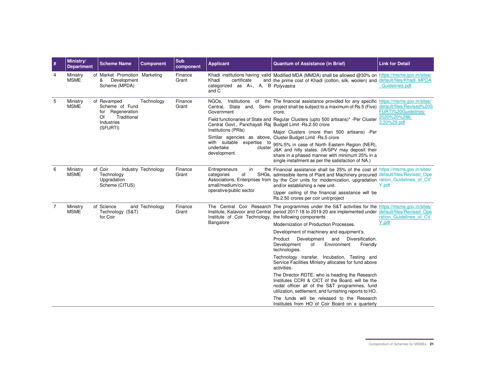| # | <b>Ministry/</b><br><b>Department</b> | <b>Scheme Name</b>                                                     | <b>Component</b>    | <b>Sub</b><br>component | <b>Applicant</b>                                                    | Quantum of Assistance (in Brief)                                                                                                                                                                                                                                                                                  | <b>Link for Detail</b>                                           |
|---|---------------------------------------|------------------------------------------------------------------------|---------------------|-------------------------|---------------------------------------------------------------------|-------------------------------------------------------------------------------------------------------------------------------------------------------------------------------------------------------------------------------------------------------------------------------------------------------------------|------------------------------------------------------------------|
| 4 | Ministry<br><b>MSME</b>               | of Market Promotion Marketing<br>Development<br>&<br>Scheme (MPDA)     |                     | Finance<br>Grant        | Khadi<br>certificate<br>categorized as A+, A, B Polyvastra<br>and C | Khadi institutions having valid Modified MDA (MMDA) shall be allowed @30% on https://msme.gov.in/sites/<br>and the prime cost of Khadi (cotton, silk, woolen) and default/files/Khadi MPDA                                                                                                                        | Guidelines.pdf                                                   |
| 5 | Ministry<br><b>MSME</b>               | of Revamped<br>Scheme of Fund<br>for Regeneration<br>Traditional<br>Of | Technology          | Finance<br>Grant        | NGOs.<br>Government                                                 | Institutions of the The financial assistance provided for any specific https://msme.gov.in/sites/<br>Central, State and, Semi- project shall be subject to a maximum of Rs.5 (Five)<br>crore.<br>Field functionaries of State and Regular Clusters (upto 500 artisans)* -Per Cluster                              | default/files/Revised%20S<br>FURTI%20Guidelines-<br>2020%20%286. |
|   |                                       | Industries<br>(SFURTI)                                                 |                     |                         | Central Govt., Panchayati Raj Budget Limit - Rs. 2.50 crore         |                                                                                                                                                                                                                                                                                                                   | 3.20%29.pdf                                                      |
|   |                                       |                                                                        |                     |                         | Institutions (PRIs)                                                 | Major Clusters (more than 500 artisans) -Per<br>Similar agencies as above, Cluster Budget Limit - Rs.5 crore                                                                                                                                                                                                      |                                                                  |
|   |                                       |                                                                        |                     |                         | with suitable expertise to<br>undertake<br>cluster<br>development.  | 95%:5% in case of North Eastern Region (NER),<br>J&K and hilly states. (IA/SPV may deposit their<br>share in a phased manner with minimum 25% in a<br>single installment as per the satisfaction of NA.)                                                                                                          |                                                                  |
| 6 | Ministry<br><b>MSME</b>               | of Coir<br>Technology<br>Upgradation<br>Scheme (CITUS)                 | Industry Technology | Finance<br>Grant        | Entrepreneurs<br>in<br>categories<br>οf<br>small/medium/co-         | the Financial assistance shall be 25% of the cost of https://msme.gov.in/sites/<br>SHGs, admissible items of Plant and Machinery procured default/files/Revised Ope<br>Associations, Enterprises from by the Coir units for modernization, upgradation ration_Guidelines_of_CV<br>and/or establishing a new unit. | Y.pdf                                                            |
|   |                                       |                                                                        |                     |                         | operative/public sector                                             | Upper ceiling of the financial assistance will be<br>Rs.2.50 crores per coir unit/project                                                                                                                                                                                                                         |                                                                  |
| 7 | Ministry<br><b>MSME</b>               | of Science<br>Technology (S&T)<br>for Coir                             | and Technology      | Finance<br>Grant        | Institute of Coir Technology, the following components              | The Central Coir Research The programmes under the S&T activities for the https://msme.gov.in/sites/<br>Institute, Kalavoor and Central period 2017-18 to 2019-20 are implemented under default/files/Revised Ope                                                                                                 | ration Guidelines of CV                                          |
|   |                                       |                                                                        |                     |                         | Bangalore                                                           | Modernization of Production Processes.                                                                                                                                                                                                                                                                            | Y.pdf                                                            |
|   |                                       |                                                                        |                     |                         |                                                                     | Development of machinery and equipment's.                                                                                                                                                                                                                                                                         |                                                                  |
|   |                                       |                                                                        |                     |                         |                                                                     | Product Development and<br>Diversification.<br>Development<br>Environment<br>Friendly<br>of<br>technologies.                                                                                                                                                                                                      |                                                                  |
|   |                                       |                                                                        |                     |                         |                                                                     | Technology transfer, Incubation, Testing and<br>Service Facilities Ministry allocates for fund above<br>activities.                                                                                                                                                                                               |                                                                  |
|   |                                       |                                                                        |                     |                         |                                                                     | The Director RDTE, who is heading the Research<br>Institutes CCRI & CICT of the Board, will be the<br>nodal officer all of the S&T programmes, fund<br>utilization, settlement, and furnishing reports to HO.                                                                                                     |                                                                  |
|   |                                       |                                                                        |                     |                         |                                                                     | The funds will be released to the Research<br>Institutes from HO of Coir Board on a quarterly                                                                                                                                                                                                                     |                                                                  |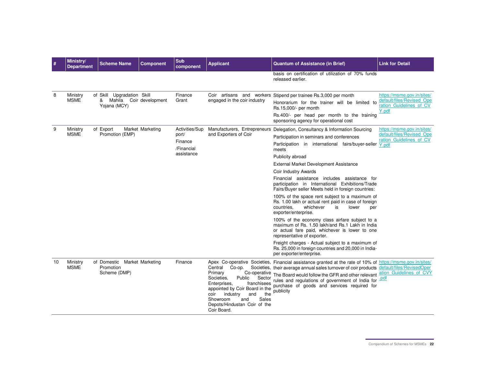| #  | Ministry/<br><b>Department</b> | <b>Scheme Name</b>                                                         | <b>Component</b> | <b>Sub</b><br>component                                        | <b>Applicant</b>                                                                                                                                                                                                                             | <b>Quantum of Assistance (in Brief)</b>                                                                                                                                                                                                                                                                                                                                                                                                                                                                                                                                                                                                                                                                                                                                                                                                                                                                                                                                                                  | <b>Link for Detail</b>                                                                      |
|----|--------------------------------|----------------------------------------------------------------------------|------------------|----------------------------------------------------------------|----------------------------------------------------------------------------------------------------------------------------------------------------------------------------------------------------------------------------------------------|----------------------------------------------------------------------------------------------------------------------------------------------------------------------------------------------------------------------------------------------------------------------------------------------------------------------------------------------------------------------------------------------------------------------------------------------------------------------------------------------------------------------------------------------------------------------------------------------------------------------------------------------------------------------------------------------------------------------------------------------------------------------------------------------------------------------------------------------------------------------------------------------------------------------------------------------------------------------------------------------------------|---------------------------------------------------------------------------------------------|
|    |                                |                                                                            |                  |                                                                |                                                                                                                                                                                                                                              | basis on certification of utilization of 70% funds<br>released earlier.                                                                                                                                                                                                                                                                                                                                                                                                                                                                                                                                                                                                                                                                                                                                                                                                                                                                                                                                  |                                                                                             |
| 8  | Ministry<br><b>MSME</b>        | of Skill Upgradation Skill<br>Mahila Coir development<br>&<br>Yojana (MCY) |                  | Finance<br>Grant                                               | engaged in the coir industry                                                                                                                                                                                                                 | Coir artisans and workers Stipend per trainee Rs.3,000 per month<br>Honorarium for the trainer will be limited to<br>Rs.15,000/- per month<br>Rs.400/- per head per month to the training                                                                                                                                                                                                                                                                                                                                                                                                                                                                                                                                                                                                                                                                                                                                                                                                                | https://msme.gov.in/sites/<br>default/files/Revised Ope<br>ration Guidelines of CV<br>Y.pdf |
| 9  | Ministry<br><b>MSME</b>        | of Export<br>Promotion (EMP)                                               | Market Marketing | Activities/Sup<br>port/<br>Finance<br>/Financial<br>assistance | and Exporters of Coir                                                                                                                                                                                                                        | sponsoring agency for operational cost<br>Manufacturers, Entrepreneurs Delegation, Consultancy & Information Sourcing<br>Participation in seminars and conferences<br>Participation in international fairs/buyer-seller Y.pdf<br>meets<br>Publicity abroad<br>External Market Development Assistance<br>Coir Industry Awards<br>Financial assistance includes assistance for<br>participation in International Exhibitions/Trade<br>Fairs/Buyer seller Meets held in foreign countries:<br>100% of the space rent subject to a maximum of<br>Rs. 1.00 lakh or actual rent paid in case of foreign<br>whichever<br>countries.<br>is<br>lower<br>per<br>exporter/enterprise.<br>100% of the economy class airfare subject to a<br>maximum of Rs. 1.50 lakh/and Rs.1 Lakh in India<br>or actual fare paid, whichever is lower to one<br>representative of exporter.<br>Freight charges - Actual subject to a maximum of<br>Rs. 25,000 in foreign countries and 20,000 in India-<br>per exporter/enterprise. | https://msme.gov.in/sites/<br>default/files/Revised Ope<br>ration Guidelines of CV          |
| 10 | Ministry<br><b>MSME</b>        | of Domestic Market Marketing<br>Promotion<br>Scheme (DMP)                  |                  | Finance                                                        | Central<br>Co-op.<br>Primary<br>Public<br>Sector<br>Societies,<br>franchisees<br>Enterprises,<br>appointed by Coir Board in the<br>industry<br>the<br>coir<br>and<br>Showroom<br>Sales<br>and<br>Depots/Hindustan Coir of the<br>Coir Board. | Apex Co-operative Societies, Financial assistance granted at the rate of 10% of https://msme.gov.in/sites/<br>Societies, their average annual sales turnover of coir products default/files/RevisedOper<br>Co-operative The Board would follow the GFR and other relevant<br>rules and regulations of government of India for<br>purchase of goods and services required for<br>publicity                                                                                                                                                                                                                                                                                                                                                                                                                                                                                                                                                                                                                | ation Guidelines of CVY<br>.pdf                                                             |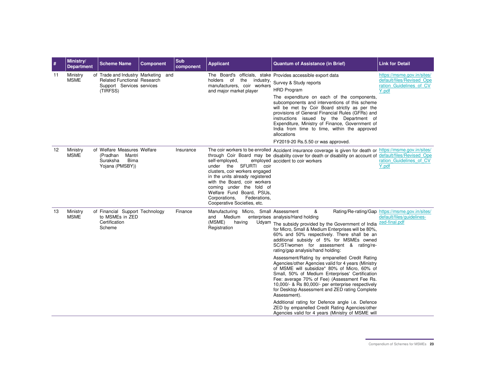| #  | Ministry/<br><b>Department</b> | <b>Scheme Name</b>                                                                                      | Component | <b>Sub</b><br>component | <b>Applicant</b>                                                                                                                                                                                                                                                      | <b>Quantum of Assistance (in Brief)</b>                                                                                                                                                                                                                                                                                                                                                                                                                                                                                                                                                                                                                                                                                                                                                                                                                                        | <b>Link for Detail</b>                                                                        |
|----|--------------------------------|---------------------------------------------------------------------------------------------------------|-----------|-------------------------|-----------------------------------------------------------------------------------------------------------------------------------------------------------------------------------------------------------------------------------------------------------------------|--------------------------------------------------------------------------------------------------------------------------------------------------------------------------------------------------------------------------------------------------------------------------------------------------------------------------------------------------------------------------------------------------------------------------------------------------------------------------------------------------------------------------------------------------------------------------------------------------------------------------------------------------------------------------------------------------------------------------------------------------------------------------------------------------------------------------------------------------------------------------------|-----------------------------------------------------------------------------------------------|
| 11 | Ministry<br><b>MSME</b>        | of Trade and Industry Marketing<br>Related Functional Research<br>Support Services services<br>(TIRFSS) | and       |                         | holders of<br>the<br>manufacturers, coir workers<br>and major market player                                                                                                                                                                                           | The Board's officials, stake Provides accessible export data<br>industry, Survey & Study reports<br><b>HRD Program</b><br>The expenditure on each of the components,<br>subcomponents and interventions of this scheme<br>will be met by Coir Board strictly as per the<br>provisions of General Financial Rules (GFRs) and<br>instructions issued by the Department of<br>Expenditure, Ministry of Finance, Government of<br>India from time to time, within the approved<br>allocations<br>FY2019-20 Rs.5.50 cr was approved.                                                                                                                                                                                                                                                                                                                                                | https://msme.gov.in/sites/<br>default/files/Revised Ope<br>ration Guidelines of CV<br>Y.pdf   |
| 12 | Ministry<br><b>MSME</b>        | of Welfare Measures Welfare<br>(Pradhan<br>Mantri<br>Suraksha<br><b>Bima</b><br>Yojana (PMSBY))         |           | Insurance               | self-employed,<br>under the SFURTI coir<br>clusters, coir workers engaged<br>in the units already registered<br>with the Board, coir workers<br>coming under the fold of<br>Welfare Fund Board, PSUs,<br>Federations,<br>Corporations,<br>Cooperative Societies, etc. | The coir workers to be enrolled Accident insurance coverage is given for death or https://msme.gov.in/sites/<br>through Coir Board may be disability cover for death or disability on account of default/files/Revised Ope<br>employed accident to coir workers                                                                                                                                                                                                                                                                                                                                                                                                                                                                                                                                                                                                                | ration Guidelines of CV<br>Y.pdf                                                              |
| 13 | Ministry<br><b>MSME</b>        | of Financial Support Technology<br>to MSMEs in ZED<br>Certification<br>Scheme                           |           | Finance                 | Manufacturing Micro, Small Assessment<br>and<br>Medium<br>(MSME)<br>having<br>Registration                                                                                                                                                                            | &<br>enterprises analysis/Hand holding<br>Udyam The subsidy provided by the Government of India<br>for Micro, Small & Medium Enterprises will be 80%,<br>60% and 50% respectively. There shall be an<br>additional subsidy of 5% for MSMEs owned<br>SC/ST/women for assessment & rating/re-<br>rating/gap analysis/hand holding:<br>Assessment/Rating by empanelled Credit Rating<br>Agencies/other Agencies valid for 4 years (Ministry<br>of MSME will subsidize* 80% of Micro, 60% of<br>Small, 50% of Medium Enterprises' Certification<br>Fee: average 70% of Fee) (Assessment Fee Rs.<br>10,000/- & Rs 80,000/- per enterprise respectively<br>for Desktop Assessment and ZED rating Complete<br>Assessment).<br>Additional rating for Defence angle i.e. Defence<br>ZED by empanelled Credit Rating Agencies/other<br>Agencies valid for 4 years (Ministry of MSME will | Rating/Re-rating/Gap https://msme.gov.in/sites/<br>default/files/quidelines-<br>zed-final.pdf |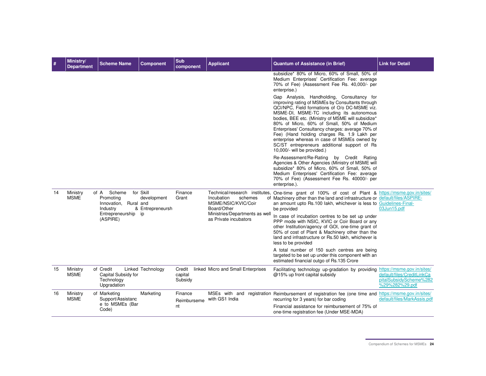| #  | Ministry/<br><b>Department</b> | <b>Scheme Name</b>                                                                                     | <b>Component</b>                             | <b>Sub</b><br>component      | Applicant                                                                                                              | <b>Quantum of Assistance (in Brief)</b>                                                                                                                                                                                                                                                                                                                                                                                                                                                                                                                                                                                                                                                              | <b>Link for Detail</b>                                                 |
|----|--------------------------------|--------------------------------------------------------------------------------------------------------|----------------------------------------------|------------------------------|------------------------------------------------------------------------------------------------------------------------|------------------------------------------------------------------------------------------------------------------------------------------------------------------------------------------------------------------------------------------------------------------------------------------------------------------------------------------------------------------------------------------------------------------------------------------------------------------------------------------------------------------------------------------------------------------------------------------------------------------------------------------------------------------------------------------------------|------------------------------------------------------------------------|
|    |                                |                                                                                                        |                                              |                              |                                                                                                                        | subsidize* 80% of Micro, 60% of Small, 50% of<br>Medium Enterprises' Certification Fee: average<br>70% of Fee) (Assessment Fee Rs. 40,000/- per<br>enterprise.)<br>Gap Analysis, Handholding, Consultancy for<br>improving rating of MSMEs by Consultants through<br>QCI/NPC, Field formations of O/o DC-MSME viz.<br>MSME-DI, MSME-TC including its autonomous<br>bodies, BEE etc. (Ministry of MSME will subsidize*<br>80% of Micro, 60% of Small, 50% of Medium<br>Enterprises' Consultancy charges: average 70% of<br>Fee) (Hand holding charges Rs. 1.9 Lakh per<br>enterprise whereas in case of MSMEs owned by<br>SC/ST entrepreneurs additional support of Rs<br>10,000/- will be provided.) |                                                                        |
|    |                                |                                                                                                        |                                              |                              |                                                                                                                        | Re-Assessment/Re-Rating<br>by Credit Rating<br>Agencies & Other Agencies (Ministry of MSME will<br>subsidize* 80% of Micro, 60% of Small, 50% of<br>Medium Enterprises' Certification Fee: average<br>70% of Fee) (Assessment Fee Rs. 40000/- per<br>enterprise.).                                                                                                                                                                                                                                                                                                                                                                                                                                   |                                                                        |
| 14 | Ministry<br><b>MSME</b>        | of A<br>Scheme<br>Promoting<br>Innovation,<br>Rural and<br>Industry<br>Entrepreneurship ip<br>(ASPIRE) | for Skill<br>development<br>& Entrepreneursh | Finance<br>Grant             | Incubation<br>schemes<br>MSME/NSIC/KVIC/Coir<br>Board/Other<br>Ministries/Departments as well<br>as Private incubators | Technical/research institutes, One-time grant of 100% of cost of Plant & https://msme.gov.in/sites/<br>of Machinery other than the land and infrastructure or default/files/ASPIRE-<br>an amount upto Rs.100 lakh, whichever is less to Guidelines-Final-<br>be provided<br>In case of incubation centres to be set up under<br>PPP mode with NSIC, KVIC or Coir Board or any<br>other Institution/agency of GOI, one-time grant of<br>50% of cost of Plant & Machinery other than the<br>land and infrastructure or Rs.50 lakh, whichever is<br>less to be provided<br>A total number of 150 such centres are being<br>targeted to be set up under this component with an                           | 03Jun15.pdf                                                            |
| 15 | Ministry<br><b>MSME</b>        | of Credit<br>Capital Subsidy for<br>Technology<br>Upgradation                                          | Linked Technology                            | Credit<br>capital<br>Subsidy | linked Micro and Small Enterprises                                                                                     | estimated financial outgo of Rs.135 Crore<br>Facilitating technology up-gradation by providing https://msme.gov.in/sites/<br>@15% up front capital subsidy                                                                                                                                                                                                                                                                                                                                                                                                                                                                                                                                           | default/files/CreditLinkCa<br>pitalSubsidyScheme%282<br>%29%282%29.pdf |
| 16 | Ministry<br><b>MSME</b>        | of Marketing<br>Support/Assistanc<br>e to MSMEs (Bar<br>Code)                                          | Marketing                                    | Finance<br>Reimburseme<br>nt | with GS1 India                                                                                                         | MSEs with and registration Reimbursement of registration fee (one time and https://msme.gov.in/sites/<br>recurring for 3 years) for bar coding<br>Financial assistance for reimbursement of 75% of<br>one-time registration fee (Under MSE-MDA)                                                                                                                                                                                                                                                                                                                                                                                                                                                      | default/files/MarkAssis.pdf                                            |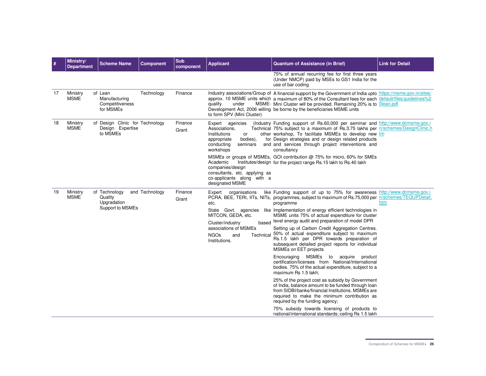| #  | Ministry/<br><b>Department</b> | <b>Scheme Name</b>                                              | <b>Component</b> | Sub<br>component | <b>Applicant</b>                                                                                                             | <b>Quantum of Assistance (in Brief)</b>                                                                                                                                                                                                                                                                                                                                  | <b>Link for Detail</b> |
|----|--------------------------------|-----------------------------------------------------------------|------------------|------------------|------------------------------------------------------------------------------------------------------------------------------|--------------------------------------------------------------------------------------------------------------------------------------------------------------------------------------------------------------------------------------------------------------------------------------------------------------------------------------------------------------------------|------------------------|
|    |                                |                                                                 |                  |                  |                                                                                                                              | 75% of annual recurring fee for first three years<br>(Under NMCP) paid by MSEs to GS1 India for the<br>use of bar coding                                                                                                                                                                                                                                                 |                        |
| 17 | Ministry<br><b>MSME</b>        | of Lean<br>Manufacturing<br>Competitiveness<br>for MSMEs        | Technology       | Finance          | qualify<br>under<br>to form SPV (Mini Cluster)                                                                               | Industry associations/Group of A financial support by the Government of India upto https://msme.gov.in/sites/<br>approx. 10 MSME units which a maximum of 80% of the Consultant fees for each default/files/quidelines%2<br>MSME- Mini Cluster will be provided. Remaining 20% is to Olean.pdf<br>Development Act, 2006 willing be borne by the beneficiaries MSME units |                        |
| 18 | Ministry<br><b>MSME</b>        | of Design Clinic for Technology<br>Design Expertise<br>to MSMEs |                  | Finance<br>Grant | Expert agencies<br>Associations.<br>Institutions<br>or<br>bodies),<br>appropriate<br>conducting<br>seminars<br>workshops     | (Industry Funding support of Rs.60,000 per seminar and http://www.dcmsme.gov.i<br>Technical 75% subject to a maximum of Rs.3.75 lakhs per n/schemes/DesignClinic.h<br>other workshop, To facilitate MSMEs to develop new tm<br>for Design strategies and or design related products<br>and and services through project interventions and<br>consultancy                 |                        |
|    |                                |                                                                 |                  |                  | Academic<br>companies/design<br>consultants, etc. applying as<br>co-applicants along with a<br>designated MSME               | MSMEs or groups of MSMEs, GOI contribution @ 75% for micro, 60% for SMEs<br>Institutes/design for the project range Rs.15 lakh to Rs.40 lakh                                                                                                                                                                                                                             |                        |
| 19 | Ministry<br><b>MSME</b>        | of Technology<br>Quality<br>Upgradation                         | and Technology   | Finance<br>Grant | Expert<br>organisations<br>etc.                                                                                              | like Funding support of up to 75% for awareness http://www.dcmsme.gov.i<br>PCRA, BEE, TERI, IITs, NITs, programmes, subject to maximum of Rs.75,000 per n/schemes/TEQUPDetail.<br>programme                                                                                                                                                                              | htm                    |
|    |                                | Support to MSMEs                                                |                  |                  | MITCON, GEDA, etc.<br>Cluster/industry<br>based<br>associations of MSMEs<br><b>NGOs</b><br>Technical<br>and<br>Institutions. | State Govt. agencies like Implementation of energy efficient technologies in<br>MSME units 75% of actual expenditure for cluster<br>level energy audit and preparation of model DPR                                                                                                                                                                                      |                        |
|    |                                |                                                                 |                  |                  |                                                                                                                              | Setting up of Carbon Credit Aggregation Centres.<br>50% of actual expenditure subject to maximum<br>Rs.1.5 lakh per DPR towards preparation of<br>subsequent detailed project reports for individual<br>MSMEs on EET projects                                                                                                                                            |                        |
|    |                                |                                                                 |                  |                  |                                                                                                                              | Encouraging MSMEs to acquire<br>product<br>certification/licenses from National/International<br>bodies. 75% of the actual expenditure, subject to a<br>maximum Rs 1.5 lakh;                                                                                                                                                                                             |                        |
|    |                                |                                                                 |                  |                  |                                                                                                                              | 25% of the project cost as subsidy by Government<br>of India, balance amount to be funded through loan<br>from SIDBI/banks/financial Institutions, MSMEs are<br>required to make the minimum contribution as<br>required by the funding agency;                                                                                                                          |                        |
|    |                                |                                                                 |                  |                  |                                                                                                                              | 75% subsidy towards licensing of products to<br>national/international standards; ceiling Rs 1.5 lakh                                                                                                                                                                                                                                                                    |                        |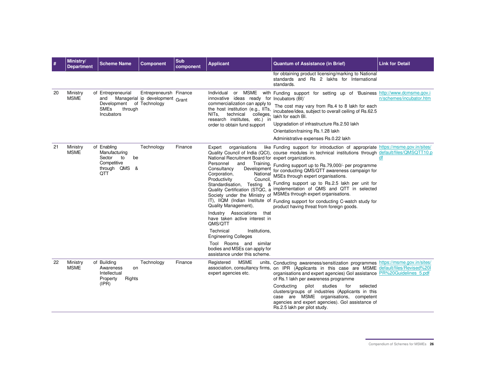| #  | <b>Ministry/</b><br><b>Department</b> | <b>Scheme Name</b>                                                                             | <b>Component</b>                                          | <b>Sub</b><br>component | Applicant                                                                                                                                                                                                                                                                                                                                                                                                                                                            | <b>Quantum of Assistance (in Brief)</b>                                                                                                                                                                                                                                                                                                                                                                                                                                                                                                                                                                                                                                                           | <b>Link for Detail</b>  |
|----|---------------------------------------|------------------------------------------------------------------------------------------------|-----------------------------------------------------------|-------------------------|----------------------------------------------------------------------------------------------------------------------------------------------------------------------------------------------------------------------------------------------------------------------------------------------------------------------------------------------------------------------------------------------------------------------------------------------------------------------|---------------------------------------------------------------------------------------------------------------------------------------------------------------------------------------------------------------------------------------------------------------------------------------------------------------------------------------------------------------------------------------------------------------------------------------------------------------------------------------------------------------------------------------------------------------------------------------------------------------------------------------------------------------------------------------------------|-------------------------|
|    |                                       |                                                                                                |                                                           |                         |                                                                                                                                                                                                                                                                                                                                                                                                                                                                      | for obtaining product licensing/marking to National<br>standards and Rs 2 lakhs for International<br>standards.                                                                                                                                                                                                                                                                                                                                                                                                                                                                                                                                                                                   |                         |
| 20 | Ministry<br><b>MSME</b>               | of Entrepreneurial<br>and<br>Development of Technology<br><b>SMEs</b><br>through<br>Incubators | Entrepreneursh Finance<br>Managerial ip development Grant |                         | or MSME<br>Individual<br>innovative ideas ready for Incubators (BI)'<br>commercialization can apply to<br>the host institution (e.g., IITs,<br>technical<br>NITs,<br>colleges,<br>research institutes, etc.) in<br>order to obtain fund support                                                                                                                                                                                                                      | with Funding support for setting up of 'Business http://www.dcmsme.gov.i<br>The cost may vary from Rs.4 to 8 lakh for each<br>incubatee/idea, subject to overall ceiling of Rs.62.5<br>lakh for each BI.<br>Upgradation of infrastructure Rs.2.50 lakh<br>Orientation/training Rs.1.28 lakh<br>Administrative expenses Rs.0.22 lakh                                                                                                                                                                                                                                                                                                                                                               | n/schemes/incubator.htm |
| 21 | Ministry<br><b>MSME</b>               | of Enabling<br>Manufacturing<br>Sector<br>to<br>be<br>Competitive<br>through QMS &<br>QTT      | Technology                                                | Finance                 | organisations<br>Expert<br>National Recruitment Board for expert organizations.<br>Personnel<br>and<br>Consultancy<br>Corporation,<br>National<br>Productivity<br>Council,<br>Standardisation, Testing<br>Quality Management),<br>Industry Associations<br>that<br>have taken active interest in<br>QMS/QTT<br>Technical<br>Institutions,<br><b>Engineering Colleges</b><br>Tool Rooms and similar<br>bodies and MSEs can apply for<br>assistance under this scheme. | like Funding support for introduction of appropriate https://msme.gov.in/sites/<br>Quality Council of India (QCI), course modules in technical institutions through default/files/QMSQTT10.p<br>Training, Funding support up to Rs.79,000/- per programme<br>Development for conducting QMS/QTT awareness campaign for<br>MSEs through expert organisations.<br>& Funding support up to Rs.2.5 lakh per unit for<br>Quality Certification (STOC, a implementation of QMS and QTT in selected<br>Society under the Ministry of MSMEs through expert organisations.<br>IT), IIQM (Indian Institute of Funding support for conducting C-watch study for<br>product having threat from foreign goods. | df                      |
| 22 | Ministry<br><b>MSME</b>               | of Building<br>Awareness<br>on<br>Intellectual<br>Property<br>Rights<br>(IPR)                  | Technology                                                | Finance                 | <b>MSME</b><br>Registered<br>expert agencies etc.                                                                                                                                                                                                                                                                                                                                                                                                                    | units, Conducting awareness/sensitization programmes https://msme.gov.in/sites/<br>association, consultancy firms, on IPR (Applicants in this case are MSME default/files/Revised%201<br>organisations and expert agencies) Gol assistance PR%20Guidelines 5.pdf<br>of Rs.1 lakh per awareness programme<br>Conducting<br>pilot<br>studies<br>for<br>selected<br>clusters/groups of industries (Applicants in this<br>case are MSME organisations, competent<br>agencies and expert agencies). Gol assistance of<br>Rs.2.5 lakh per pilot study.                                                                                                                                                  |                         |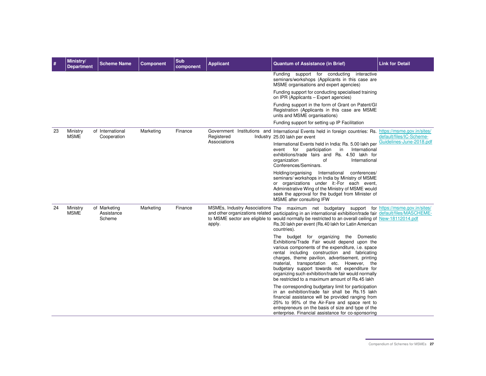| #  | <b>Ministry/</b><br><b>Department</b> | <b>Scheme Name</b>                   | <b>Component</b> | Sub<br>component | <b>Applicant</b> | <b>Quantum of Assistance (in Brief)</b>                                                                                                                                                                                                                                                                                                                                                                                                                       | <b>Link for Detail</b>   |
|----|---------------------------------------|--------------------------------------|------------------|------------------|------------------|---------------------------------------------------------------------------------------------------------------------------------------------------------------------------------------------------------------------------------------------------------------------------------------------------------------------------------------------------------------------------------------------------------------------------------------------------------------|--------------------------|
|    |                                       |                                      |                  |                  |                  | Funding support for conducting<br>interactive<br>seminars/workshops (Applicants in this case are<br>MSME organisations and expert agencies)                                                                                                                                                                                                                                                                                                                   |                          |
|    |                                       |                                      |                  |                  |                  | Funding support for conducting specialised training<br>on IPR (Applicants - Expert agencies)                                                                                                                                                                                                                                                                                                                                                                  |                          |
|    |                                       |                                      |                  |                  |                  | Funding support in the form of Grant on Patent/GI<br>Registration (Applicants in this case are MSME<br>units and MSME organisations)                                                                                                                                                                                                                                                                                                                          |                          |
|    |                                       |                                      |                  |                  |                  | Funding support for setting up IP Facilitation                                                                                                                                                                                                                                                                                                                                                                                                                |                          |
| 23 | Ministry<br><b>MSME</b>               | of International<br>Cooperation      | Marketing        | Finance          | Registered       | Government Institutions and International Events held in foreign countries: Rs. https://msme.gov.in/sites/<br>Industry 25.00 lakh per event                                                                                                                                                                                                                                                                                                                   | default/files/IC-Scheme- |
|    |                                       |                                      |                  |                  | Associations     | International Events held in India: Rs. 5.00 lakh per<br>participation<br>in<br>International<br>event<br>for<br>exhibitions/trade fairs and Rs. 4.50 lakh for<br>organization<br>of<br>International<br>Conferences/Seminars.                                                                                                                                                                                                                                | Guidelines-June-2018.pdf |
|    |                                       |                                      |                  |                  |                  | conferences/<br>Holding/organising<br>International<br>seminars/ workshops in India by Ministry of MSME<br>or organizations under it:-For each event,<br>Administrative Wing of the Ministry of MSME would<br>seek the approval for the budget from Minister of<br>MSME after consulting IFW                                                                                                                                                                  |                          |
| 24 | Ministry<br><b>MSME</b>               | of Marketing<br>Assistance<br>Scheme | Marketing        | Finance          | apply.           | MSMEs, Industry Associations The maximum net budgetary support for https://msme.gov.in/sites/<br>and other organizations related participating in an international exhibition/trade fair default/files/MASCHEME-<br>to MSME sector are eligible to would normally be restricted to an overall ceiling of New-18112014.pdf<br>Rs.30 lakh per event (Rs.40 lakh for Latin American<br>countries).                                                               |                          |
|    |                                       |                                      |                  |                  |                  | The budget for organizing<br>the Domestic<br>Exhibitions/Trade Fair would depend upon the<br>various components of the expenditure, i.e. space<br>rental including construction and fabricating<br>charges, theme pavilion, advertisement, printing<br>material, transportation etc. However, the<br>budgetary support towards net expenditure for<br>organizing such exhibition/trade fair would normally<br>be restricted to a maximum amount of Rs.45 lakh |                          |
|    |                                       |                                      |                  |                  |                  | The corresponding budgetary limit for participation<br>in an exhibition/trade fair shall be Rs.15 lakh<br>financial assistance will be provided ranging from<br>25% to 95% of the Air-Fare and space rent to<br>entrepreneurs on the basis of size and type of the<br>enterprise. Financial assistance for co-sponsoring                                                                                                                                      |                          |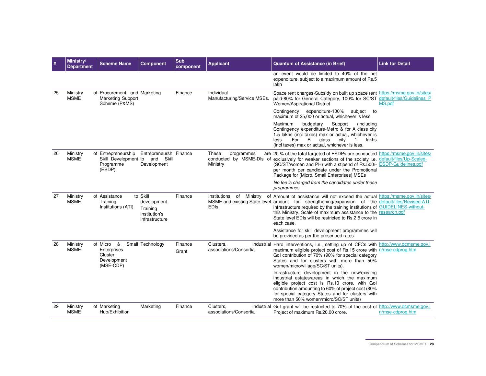| #  | Ministry/<br><b>Department</b> | <b>Scheme Name</b>                                                        | <b>Component</b>                                                       | <b>Sub</b><br>component | <b>Applicant</b>                          | <b>Quantum of Assistance (in Brief)</b>                                                                                                                                                                                                                                                                                                                                                                    | <b>Link for Detail</b>               |
|----|--------------------------------|---------------------------------------------------------------------------|------------------------------------------------------------------------|-------------------------|-------------------------------------------|------------------------------------------------------------------------------------------------------------------------------------------------------------------------------------------------------------------------------------------------------------------------------------------------------------------------------------------------------------------------------------------------------------|--------------------------------------|
|    |                                |                                                                           |                                                                        |                         |                                           | an event would be limited to 40% of the net<br>expenditure, subject to a maximum amount of Rs.5<br>lakh                                                                                                                                                                                                                                                                                                    |                                      |
| 25 | Ministry<br><b>MSME</b>        | of Procurement and Marketing<br><b>Marketing Support</b><br>Scheme (P&MS) |                                                                        | Finance                 | Individual<br>Manufacturing/Service MSEs. | Space rent charges-Subsidy on built up space rent https://msme.gov.in/sites/<br>paid-80% for General Category, 100% for SC/ST<br>Women/Aspirational District                                                                                                                                                                                                                                               | default/files/Guidelines P<br>MS.pdf |
|    |                                |                                                                           |                                                                        |                         |                                           | Contingency expenditure-100%<br>subject to<br>maximum of 25,000 or actual, whichever is less.                                                                                                                                                                                                                                                                                                              |                                      |
|    |                                |                                                                           |                                                                        |                         |                                           | Support<br><b>Maximum</b><br>budgetary<br>(including<br>Contingency expenditure-Metro & for A class city<br>1.5 lakhs (incl taxes) max or actual, whichever is<br>less.<br>For<br>В<br>class<br>city<br>lakhs<br>1<br>(incl taxes) max or actual, whichever is less.                                                                                                                                       |                                      |
| 26 | Ministry<br><b>MSME</b>        | of Entrepreneurship<br>Skill Development ip<br>Programme<br>(ESDP)        | Entrepreneursh Finance<br>and Skill<br>Development                     |                         | These<br>programmes<br>Ministry           | are 20 % of the total targeted of ESDPs are conducted https://msme.gov.in/sites/<br>conducted by MSME-DIs of exclusively for weaker sections of the society i.e. default/files/Up-Scaled-<br>(SC/ST/women and PH) with a stipend of Rs.500/- ESDP-Guidelines.pdf<br>per month per candidate under the Promotional<br>Package for (Micro, Small Enterprises) MSEs                                           |                                      |
|    |                                |                                                                           |                                                                        |                         |                                           | No fee is charged from the candidates under these<br>programmes.                                                                                                                                                                                                                                                                                                                                           |                                      |
| 27 | Ministry<br><b>MSME</b>        | of Assistance<br>Training<br>Institutions (ATI)                           | to Skill<br>development<br>Training<br>institution's<br>infrastructure | Finance                 | EDIs.                                     | Institutions of Ministry of Amount of assistance will not exceed the actual<br>MSME and existing State level amount for strengthening/expansion of the default/files/Revised-ATI-<br>infrastructure required by the training institutions of GUIDELINES-without-<br>this Ministry. Scale of maximum assistance to the research.pdf<br>State level EDIs will be restricted to Rs.2.5 crore in<br>each case. | https://msme.gov.in/sites/           |
|    |                                |                                                                           |                                                                        |                         |                                           | Assistance for skill development programmes will<br>be provided as per the prescribed rates.                                                                                                                                                                                                                                                                                                               |                                      |
| 28 | Ministry<br><b>MSME</b>        | &<br>of Micro<br>Enterprises<br>Cluster<br>Development<br>(MSE-CDP)       | Small Technology                                                       | Finance<br>Grant        | Clusters.<br>associations/Consortia       | Industrial Hard interventions, i.e., setting up of CFCs with http://www.dcmsme.gov.i<br>maximum eligible project cost of Rs.15 crore with n/mse-cdprog.htm<br>Gol contribution of 70% (90% for special category<br>States and for clusters with more than 50%<br>women/micro/village/SC/ST units).                                                                                                         |                                      |
|    |                                |                                                                           |                                                                        |                         |                                           | Infrastructure development in the new/existing<br>industrial estates/areas in which the maximum<br>eligible project cost is Rs.10 crore, with Gol<br>contribution amounting to 60% of project cost (80%<br>for special category States and for clusters with<br>more than 50% women/micro/SC/ST units)                                                                                                     |                                      |
| 29 | Ministry<br><b>MSME</b>        | of Marketing<br>Hub/Exhibition                                            | Marketing                                                              | Finance                 | Clusters.<br>associations/Consortia       | Industrial GoI grant will be restricted to 70% of the cost of http://www.dcmsme.gov.i<br>Project of maximum Rs.20.00 crore.                                                                                                                                                                                                                                                                                | n/mse-cdprog.htm                     |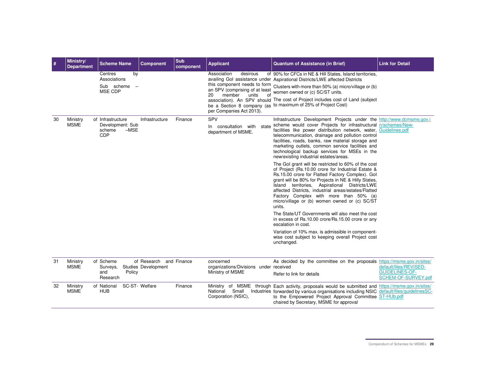| #  | Ministry/<br><b>Department</b> | <b>Scheme Name</b>                                                      | <b>Component</b>                               | Sub<br>component | <b>Applicant</b>                                                                                                     | <b>Quantum of Assistance (in Brief)</b>                                                                                                                                                                                                                                                                                                                                                                                                                                | <b>Link for Detail</b>                                                 |
|----|--------------------------------|-------------------------------------------------------------------------|------------------------------------------------|------------------|----------------------------------------------------------------------------------------------------------------------|------------------------------------------------------------------------------------------------------------------------------------------------------------------------------------------------------------------------------------------------------------------------------------------------------------------------------------------------------------------------------------------------------------------------------------------------------------------------|------------------------------------------------------------------------|
|    |                                | by<br>Centres<br>Associations<br>Sub scheme<br><b>MSE CDP</b>           |                                                |                  | Association<br>desirous<br>an SPV (comprising of at least<br>member<br>units<br>of<br>20<br>per Companies Act 2013). | of 90% for CFCs in NE & Hill States, Island territories,<br>availing Gol assistance under Aspirational Districts/LWE affected Districts<br>this component needs to form Clusters with more than 50% (a) micro/village or (b)<br>women owned or (c) SC/ST units.<br>association). An SPV should The cost of Project includes cost of Land (subject<br>be a Section 8 company (as to maximum of 25% of Project Cost)                                                     |                                                                        |
| 30 | Ministry<br><b>MSME</b>        | of Infrastructure<br>Development: Sub<br>$-MSE$<br>scheme<br><b>CDP</b> | Infrastructure                                 | Finance          | SPV<br>In consultation with<br>state<br>department of MSME.                                                          | Infrastructure Development Projects under the http://www.dcmsme.gov.i<br>scheme would cover Projects for infrastructural n/schemes/New-<br>facilities like power distribution network, water, Guidelines.pdf<br>telecommunication, drainage and pollution control<br>facilities, roads, banks, raw material storage and<br>marketing outlets, common service facilities and<br>technological backup services for MSEs in the<br>new/existing industrial estates/areas. |                                                                        |
|    |                                |                                                                         |                                                |                  |                                                                                                                      | The Gol grant will be restricted to 60% of the cost<br>of Project (Rs.10.00 crore for Industrial Estate &<br>Rs.15.00 crore for Flatted Factory Complex). Gol<br>grant will be 80% for Projects in NE & Hilly States,<br>Island territories, Aspirational Districts/LWE<br>affected Districts, industrial areas/estates/Flatted<br>Factory Complex with more than 50% (a)<br>micro/village or (b) women owned or (c) SC/ST<br>units.                                   |                                                                        |
|    |                                |                                                                         |                                                |                  |                                                                                                                      | The State/UT Governments will also meet the cost<br>in excess of Rs.10.00 crore/Rs.15.00 crore or any<br>escalation in cost.                                                                                                                                                                                                                                                                                                                                           |                                                                        |
|    |                                |                                                                         |                                                |                  |                                                                                                                      | Variation of 10% max. is admissible in component-<br>wise cost subject to keeping overall Project cost<br>unchanged.                                                                                                                                                                                                                                                                                                                                                   |                                                                        |
| 31 | Ministry<br><b>MSME</b>        | of Scheme<br>Surveys,<br>and<br>Policy<br>Research                      | of Research and Finance<br>Studies Development |                  | concerned<br>organizations/Divisions under received<br>Ministry of MSME                                              | As decided by the committee on the proposals https://msme.gov.in/sites/<br>Refer to link for details                                                                                                                                                                                                                                                                                                                                                                   | default/files/REVISED-<br><b>GUIDELINES-OF-</b><br>SCHEM-OF-SURVEY.pdf |
| 32 | Ministry<br><b>MSME</b>        | of National<br><b>HUB</b>                                               | SC-ST- Welfare                                 | Finance          | Small<br>National<br>Corporation (NSIC),                                                                             | Ministry of MSME through Each activity, proposals would be submitted and https://msme.gov.in/sites/<br>Industries forwarded by various organisations including NSIC default/files/quidelinesSC-<br>to the Empowered Project Approval Committee ST-HUb.pdf<br>chaired by Secretary, MSME for approval                                                                                                                                                                   |                                                                        |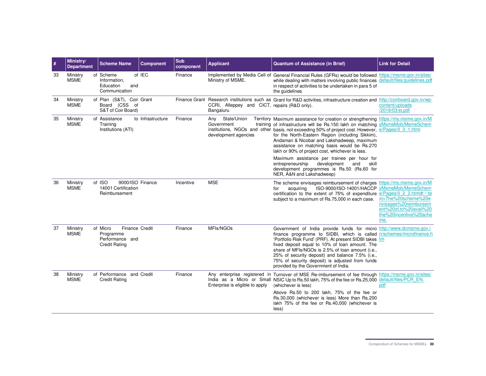| #  | Ministry/<br><b>Department</b> | <b>Scheme Name</b>                                                                 | <b>Component</b>  | <b>Sub</b><br>component | <b>Applicant</b>                                          | <b>Quantum of Assistance (in Brief)</b>                                                                                                                                                                                                                                                                                                                                                                                                                                         | <b>Link for Detail</b>                                                                                                        |
|----|--------------------------------|------------------------------------------------------------------------------------|-------------------|-------------------------|-----------------------------------------------------------|---------------------------------------------------------------------------------------------------------------------------------------------------------------------------------------------------------------------------------------------------------------------------------------------------------------------------------------------------------------------------------------------------------------------------------------------------------------------------------|-------------------------------------------------------------------------------------------------------------------------------|
| 33 | Ministry<br><b>MSME</b>        | of Scheme<br>Information.<br>Education<br>and<br>Communication                     | of IEC            | Finance                 | Ministry of MSME.                                         | Implemented by Media Cell of General Financial Rules (GFRs) would be followed https://msme.gov.in/sites/<br>while dealing with matters involving public finances default/files/guidelines.pdf<br>in respect of activities to be undertaken in para 5 of<br>the quidelines                                                                                                                                                                                                       |                                                                                                                               |
| 34 | Ministry<br><b>MSME</b>        | of Plan (S&T), Coir Grant<br>Board (CSS of<br>S&T of Coir Board)                   |                   |                         | CCRI, Alleppey and CICT, repairs (R&D only).<br>Bangaluru | Finance Grant Research institutions such as Grant for R&D activities, infrastructure creation and http://coirboard.gov.in/wp-                                                                                                                                                                                                                                                                                                                                                   | content/uploads<br>/2018/03/st.pdf                                                                                            |
| 35 | Ministry<br><b>MSME</b>        | of Assistance<br>Training<br>Institutions (ATI)                                    | to Infrastructure | Finance                 | Any State/Union<br>Government<br>development agencies     | Territory Maximum assistance for creation or strengthening https://my.msme.gov.in/M<br>training of infrastructure will be Rs.150 lakh on matching yMsmeMob/MsmeSchem<br>institutions, NGOs and other basis, not exceeding 50% of project cost. However, e/Pages/0 3 1.html<br>for the North-Eastern Region (including Sikkim),<br>Andaman & Nicobar and Lakshadweep, maximum<br>assistance on matching basis would be Rs.270<br>lakh or 90% of project cost, whichever is less. |                                                                                                                               |
|    |                                |                                                                                    |                   |                         |                                                           | Maximum assistance per trainee per hour for<br>development<br>entrepreneurship<br>and<br>skill<br>development programmes is Rs.50 (Rs.60 for<br>NER, A&N and Lakshadweep)                                                                                                                                                                                                                                                                                                       |                                                                                                                               |
| 36 | Ministry<br><b>MSME</b>        | of ISO<br>9000/ISO Finance<br>14001 Certification<br>Reimbursement                 |                   | Incentive               | <b>MSE</b>                                                | The scheme envisages reimbursement of charges https://my.msme.gov.in/M<br>ISO-9000/ISO-14001/HACCP<br>acquiring<br>for<br>certification to the extent of 75% of expenditure e/Pages/0 2 2.html#:~: te<br>subject to a maximum of Rs.75,000 in each case.                                                                                                                                                                                                                        | yMsmeMob/MsmeSchem<br>xt=The%20scheme%20e<br>nvisages%20reimbursem<br>ent%20of,to%20avail%20<br>the%20incentive%20sche<br>me. |
| 37 | Ministry<br><b>MSME</b>        | of Micro<br>Finance Credit<br>Programme<br>Performance and<br><b>Credit Rating</b> |                   | Finance                 | MFIs/NGOs                                                 | Government of India provide funds for micro<br>finance programme to SIDBI, which is called n/schemes/microfinance.h<br>'Portfolio Risk Fund' (PRF). At present SIDBI takes tm<br>fixed deposit equal to 10% of loan amount. The<br>share of MFIs/NGOs is 2.5% of loan amount (i.e.,<br>25% of security deposit) and balance 7.5% (i.e.,<br>75% of security deposit) is adjusted from funds<br>provided by the Government of India.                                              | http://www.dcmsme.gov.i                                                                                                       |
| 38 | Ministry<br><b>MSME</b>        | of Performance and Credit<br><b>Credit Rating</b>                                  |                   | Finance                 | Enterprise is eligible to apply                           | Any enterprise registered in Turnover of MSE Re-imbursement of fee through https://msme.gov.in/sites/<br>India as a Micro or Small NSIC Up to Rs.50 lakh, 75% of the fee or Rs.25,000 default/files/PCR EN.<br>(whichever is less)                                                                                                                                                                                                                                              | pdf                                                                                                                           |
|    |                                |                                                                                    |                   |                         |                                                           | Above Rs.50 to 200 lakh, 75% of the fee or<br>Rs.30,000 (whichever is less) More than Rs.200<br>lakh 75% of the fee or Rs.40,000 (whichever is<br>less)                                                                                                                                                                                                                                                                                                                         |                                                                                                                               |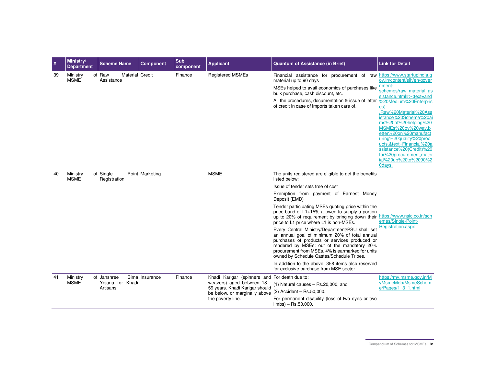| #  | Ministry/<br><b>Department</b> | <b>Scheme Name</b>                          | <b>Component</b> | Sub<br>component | <b>Applicant</b>                                                                                                                                                  | <b>Quantum of Assistance (in Brief)</b>                                                                                                                                                                                                                                                                                                                                                                                                                                                                                                                                                                                                                                                                                                                                             | <b>Link for Detail</b>                                                                                                                                                                                                                                                                                                                                                                                   |
|----|--------------------------------|---------------------------------------------|------------------|------------------|-------------------------------------------------------------------------------------------------------------------------------------------------------------------|-------------------------------------------------------------------------------------------------------------------------------------------------------------------------------------------------------------------------------------------------------------------------------------------------------------------------------------------------------------------------------------------------------------------------------------------------------------------------------------------------------------------------------------------------------------------------------------------------------------------------------------------------------------------------------------------------------------------------------------------------------------------------------------|----------------------------------------------------------------------------------------------------------------------------------------------------------------------------------------------------------------------------------------------------------------------------------------------------------------------------------------------------------------------------------------------------------|
| 39 | Ministry<br><b>MSME</b>        | of Raw<br>Material Credit<br>Assistance     |                  | Finance          | <b>Registered MSMEs</b>                                                                                                                                           | Financial assistance for procurement of raw https://www.startupindia.g<br>material up to 90 days<br>MSEs helped to avail economics of purchases like<br>bulk purchase, cash discount, etc.<br>All the procedures, documentation & issue of letter<br>of credit in case of imports taken care of.                                                                                                                                                                                                                                                                                                                                                                                                                                                                                    | ov.in/content/sih/en/gover<br>nment-<br>schemes/raw material as<br>sistance.html#:~:text=and<br>%20Medium%20Enterpris<br>$es$ )-<br>.Raw%20Material%20Ass<br>istance%20Scheme%20ai<br>ms%20at%20helping%20<br>MSMEs%20by%20way.b<br>etter%20on%20manufact<br>uring%20quality%20prod<br>ucts.&text=Financial%20a<br>ssistance%20(Credit)%20<br>for%20procurement, mater<br>ial%20up%20to%2090%2<br>Odays. |
| 40 | Ministry<br><b>MSME</b>        | of Single<br>Registration                   | Point Marketing  |                  | <b>MSME</b>                                                                                                                                                       | The units registered are eligible to get the benefits<br>listed below:<br>Issue of tender sets free of cost<br>Exemption from payment of Earnest Money<br>Deposit (EMD)<br>Tender participating MSEs quoting price within the<br>price band of L1+15% allowed to supply a portion<br>up to 20% of requirement by bringing down their<br>price to L1 price where L1 is non-MSEs.<br>Every Central Ministry/Department/PSU shall set<br>an annual goal of minimum 20% of total annual<br>purchases of products or services produced or<br>rendered by MSEs; out of the mandatory 20%<br>procurement from MSEs, 4% is earmarked for units<br>owned by Schedule Castes/Schedule Tribes.<br>In addition to the above, 358 items also reserved<br>for exclusive purchase from MSE sector. | https://www.nsic.co.in/sch<br>emes/Single-Point-<br>Registration.aspx                                                                                                                                                                                                                                                                                                                                    |
| 41 | Ministry<br><b>MSME</b>        | of Janshree<br>Yojana for Khadi<br>Artisans | Bima Insurance   | Finance          | Khadi Karigar (spinners and For death due to:<br>weavers) aged between 18<br>59 years. Khadi Karigar should<br>be below, or marginally above<br>the poverty line. | $(1)$ Natural causes - Rs.20,000; and<br>(2) Accident - Rs.50,000.<br>For permanent disability (loss of two eyes or two<br>$limbs$ ) – Rs.50,000.                                                                                                                                                                                                                                                                                                                                                                                                                                                                                                                                                                                                                                   | https://mv.msme.gov.in/M<br>yMsmeMob/MsmeSchem<br>e/Pages/1 3 1.html                                                                                                                                                                                                                                                                                                                                     |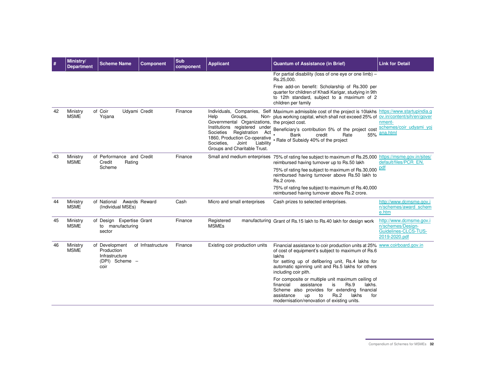| #  | Ministry/<br><b>Department</b> | <b>Scheme Name</b>                                                       | <b>Component</b>  | <b>Sub</b><br>component | <b>Applicant</b>                                                                                                                                                         | <b>Quantum of Assistance (in Brief)</b>                                                                                                                                                                                                                                                                                                                                | <b>Link for Detail</b>                                                                |
|----|--------------------------------|--------------------------------------------------------------------------|-------------------|-------------------------|--------------------------------------------------------------------------------------------------------------------------------------------------------------------------|------------------------------------------------------------------------------------------------------------------------------------------------------------------------------------------------------------------------------------------------------------------------------------------------------------------------------------------------------------------------|---------------------------------------------------------------------------------------|
|    |                                |                                                                          |                   |                         |                                                                                                                                                                          | For partial disability (loss of one eye or one limb) -<br>Rs.25.000.                                                                                                                                                                                                                                                                                                   |                                                                                       |
|    |                                |                                                                          |                   |                         |                                                                                                                                                                          | Free add-on benefit: Scholarship of Rs.300 per<br>quarter for children of Khadi Karigar, studying in 9th<br>to 12th standard, subject to a maximum of 2<br>children per family                                                                                                                                                                                         |                                                                                       |
| 42 | Ministry<br><b>MSME</b>        | of Coir<br>Udyami Credit<br>Yojana                                       |                   | Finance                 | Help<br>Groups.<br>Governmental Organizations, the project cost.<br>Registration<br>Societies<br>Act<br>Societies.<br>Joint<br>Liability<br>Groups and Charitable Trust. | Individuals, Companies, Self Maximum admissible cost of the project is 10lakhs https://www.startupindia.g<br>Non- plus working capital, which shall not exceed 25% of<br>Institutions registered under Beneficiary's contribution 5% of the project cost<br><b>Bank</b><br>credit<br>55%<br>Rate<br>1860, Production Co-operative . Rate of Subsidy 40% of the project | ov.in/content/sih/en/gover<br>nment-<br>schemes/coir udyami yoj<br>ana.html           |
| 43 | Ministry<br><b>MSME</b>        | of Performance and Credit<br>Credit<br>Rating                            |                   | Finance                 |                                                                                                                                                                          | Small and medium enterprises 75% of rating fee subject to maximum of Rs.25,000<br>reimbursed having turnover up to Rs.50 lakh                                                                                                                                                                                                                                          | https://msme.gov.in/sites/<br>default/files/PCR EN.                                   |
|    |                                | Scheme                                                                   |                   |                         |                                                                                                                                                                          | 75% of rating fee subject to maximum of Rs.30,000<br>reimbursed having turnover above Rs.50 lakh to<br>Rs.2 crore.                                                                                                                                                                                                                                                     | pdf                                                                                   |
|    |                                |                                                                          |                   |                         |                                                                                                                                                                          | 75% of rating fee subject to maximum of Rs.40,000<br>reimbursed having turnover above Rs.2 crore.                                                                                                                                                                                                                                                                      |                                                                                       |
| 44 | Ministry<br><b>MSME</b>        | of National<br>(Individual MSEs)                                         | Awards Reward     | Cash                    | Micro and small enterprises                                                                                                                                              | Cash prizes to selected enterprises.                                                                                                                                                                                                                                                                                                                                   | http://www.dcmsme.gov.i<br>n/schemes/award schem<br>e.htm                             |
| 45 | Ministry<br><b>MSME</b>        | of Design Expertise Grant<br>to manufacturing<br>sector                  |                   | Finance                 | Registered<br><b>MSMEs</b>                                                                                                                                               | manufacturing Grant of Rs.15 lakh to Rs.40 lakh for design work                                                                                                                                                                                                                                                                                                        | http://www.dcmsme.gov.i<br>n/schemes/Design-<br>Guidelines-CLCS-TUS-<br>2019-2020.pdf |
| 46 | Ministry<br><b>MSME</b>        | of Development<br>Production<br>Infrastructure<br>(DPI) Scheme -<br>coir | of Infrastructure | Finance                 | Existing coir production units                                                                                                                                           | Financial assistance to coir production units at 25% www.coirboard.gov.in<br>of cost of equipment's subject to maximum of Rs.6<br>lakhs<br>for setting up of defibering unit, Rs.4 lakhs for<br>automatic spinning unit and Rs.5 lakhs for others<br>including coir pith.                                                                                              |                                                                                       |
|    |                                |                                                                          |                   |                         |                                                                                                                                                                          | For composite or multiple unit maximum ceiling of<br>financial<br>assistance<br>is<br>Rs.9<br>lakhs.<br>Scheme also provides for extending financial<br>to<br>Rs.2<br>lakhs<br>assistance<br>up<br>for<br>modernisation/renovation of existing units.                                                                                                                  |                                                                                       |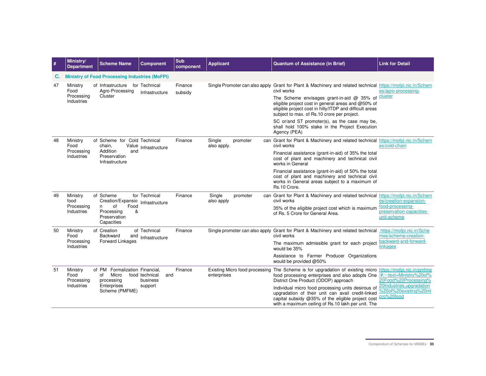| #  | Ministry/<br><b>Department</b> |                                                                   | <b>Scheme Name</b>                                          | <b>Component</b>                   | <b>Sub</b><br>component | <b>Applicant</b>                                                                      | <b>Quantum of Assistance (in Brief)</b>                                                                                                                                                                                       | <b>Link for Detail</b>                                           |
|----|--------------------------------|-------------------------------------------------------------------|-------------------------------------------------------------|------------------------------------|-------------------------|---------------------------------------------------------------------------------------|-------------------------------------------------------------------------------------------------------------------------------------------------------------------------------------------------------------------------------|------------------------------------------------------------------|
| С. |                                |                                                                   | <b>Ministry of Food Processing Industries (MoFPI)</b>       |                                    |                         |                                                                                       |                                                                                                                                                                                                                               |                                                                  |
| 47 | Ministry<br>Food<br>Processing |                                                                   | of Infrastructure<br>Agro-Processing<br>Cluster             | for Technical<br>Infrastructure    | Finance<br>subsidy      |                                                                                       | Single Promoter can also apply Grant for Plant & Machinery and related technical https://mofpi.nic.in/Schem<br>civil works                                                                                                    | es/agro-processing-                                              |
|    | Industries                     |                                                                   |                                                             |                                    |                         |                                                                                       | The Scheme envisages grant-in-aid @ 35% of<br>eligible project cost in general areas and @50% of<br>eligible project cost in hilly/ITDP and difficult areas<br>subject to max. of Rs.10 crore per project.                    | cluster                                                          |
|    |                                |                                                                   |                                                             |                                    |                         |                                                                                       | SC or/and ST promoter(s), as the case may be,<br>shall hold 100% stake in the Project Execution<br>Agency (PEA)                                                                                                               |                                                                  |
| 48 | Ministry<br>Food               |                                                                   | of Scheme for Cold Technical<br>chain,                      | Value Infrastructure               | Finance                 | Single<br>promoter<br>also apply.                                                     | can Grant for Plant & Machinery and related technical https://mofpi.nic.in/Schem<br>civil works                                                                                                                               | es/cold-chain                                                    |
|    | Processing<br>Industries       |                                                                   | Addition<br>and<br>Preservation<br>Infrastructure           |                                    |                         |                                                                                       | Financial assistance (grant-in-aid) of 35% the total<br>cost of plant and machinery and technical civil<br>works in General                                                                                                   |                                                                  |
|    |                                |                                                                   |                                                             |                                    |                         |                                                                                       | Financial assistance (grant-in-aid) of 50% the total<br>cost of plant and machinery and technical civil<br>works in General areas subject to a maximum of<br>Rs.10 Crore.                                                     |                                                                  |
| 49 | Ministry<br>food               |                                                                   | of Scheme<br>Creation/Expansio                              | for Technical<br>Infrastructure    | Finance                 | Single<br>promoter<br>also apply                                                      | can Grant for Plant & Machinery and related technical https://mofpi.nic.in/Schem<br>civil works                                                                                                                               | es/creation-expansion-                                           |
|    | Processing<br>Industries       | Food<br>of<br>n.<br>&<br>Processing<br>Preservation<br>Capacities |                                                             |                                    |                         | 35% of the eligible project cost which is maximum<br>of Rs. 5 Crore for General Area. | food-processing-<br>preservation-capacities-<br>unit-scheme                                                                                                                                                                   |                                                                  |
| 50 | Ministry<br>Food               |                                                                   | of Creation<br><b>Backward</b>                              | of Technical<br>and Infrastructure | Finance                 |                                                                                       | Single promoter can also apply Grant for Plant & Machinery and related technical<br>civil works                                                                                                                               | https://mofpi.nic.in/Sche<br>mes/scheme-creation-                |
|    | Processing<br>Industries       |                                                                   | <b>Forward Linkages</b>                                     |                                    |                         |                                                                                       | The maximum admissible grant for each project<br>would be 35%                                                                                                                                                                 | backward-and-forward-<br>linkages                                |
|    |                                |                                                                   |                                                             |                                    |                         |                                                                                       | Assistance to Farmer Producer Organizations<br>would be provided @50%                                                                                                                                                         |                                                                  |
| 51 | Ministry<br>Food<br>Processing |                                                                   | of PM Formalization Financial,<br>of<br>Micro<br>processing | food technical<br>and<br>business  | Finance                 | enterprises                                                                           | Existing Micro food processing The Scheme is for upgradation of existing micro https://mofpi.nic.in/pmfme<br>food processing enterprises and also adopts One /#:~:text=Ministry%20of%<br>District One Product (ODOP) approach | 20Food%20Processing%                                             |
|    | Industries                     |                                                                   | Enterprises<br>Scheme (PMFME)                               | support                            |                         |                                                                                       | Individual micro food processing units desirous of<br>upgradation of their unit can avail credit-linked<br>capital subsidy @35% of the eligible project cost<br>with a maximum ceiling of Rs.10 lakh per unit. The            | 20Industries, upgradation<br>%20of%20existing%20mi<br>cro%20food |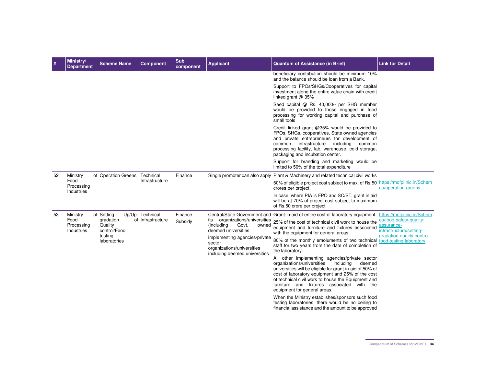| #  | Ministry/<br><b>Department</b>   | <b>Scheme Name</b>                   | <b>Component</b>  | Sub<br>component | Applicant                                                                                              | <b>Quantum of Assistance (in Brief)</b>                                                                                                                                                                                                                                                                                                                 | <b>Link for Detail</b>                                |
|----|----------------------------------|--------------------------------------|-------------------|------------------|--------------------------------------------------------------------------------------------------------|---------------------------------------------------------------------------------------------------------------------------------------------------------------------------------------------------------------------------------------------------------------------------------------------------------------------------------------------------------|-------------------------------------------------------|
|    |                                  |                                      |                   |                  |                                                                                                        | beneficiary contribution should be minimum 10%<br>and the balance should be loan from a Bank.                                                                                                                                                                                                                                                           |                                                       |
|    |                                  |                                      |                   |                  |                                                                                                        | Support to FPOs/SHGs/Cooperatives for capital<br>investment along the entire value chain with credit<br>linked grant @ 35%                                                                                                                                                                                                                              |                                                       |
|    |                                  |                                      |                   |                  |                                                                                                        | Seed capital @ Rs. 40,000/- per SHG member<br>would be provided to those engaged in food<br>processing for working capital and purchase of<br>small tools                                                                                                                                                                                               |                                                       |
|    |                                  |                                      |                   |                  |                                                                                                        | Credit linked grant @35% would be provided to<br>FPOs, SHGs, cooperatives, State owned agencies<br>and private entrepreneurs for development of<br>infrastructure<br>including common<br>common<br>processing facility, lab, warehouse, cold storage,<br>packaging and incubation center.                                                               |                                                       |
|    |                                  |                                      |                   |                  |                                                                                                        | Support for branding and marketing would be<br>limited to 50% of the total expenditure                                                                                                                                                                                                                                                                  |                                                       |
| 52 | Ministry                         | of Operation Greens Technical        | Infrastructure    | Finance          |                                                                                                        | Single promoter can also apply Plant & Machinery and related technical civil works                                                                                                                                                                                                                                                                      |                                                       |
|    | Food<br>Processing<br>Industries |                                      |                   |                  |                                                                                                        | 50% of eligible project cost subject to max. of Rs.50 https://mofpi.nic.in/Schem<br>crores per project.                                                                                                                                                                                                                                                 | es/operation-greens                                   |
|    |                                  |                                      |                   |                  |                                                                                                        | In case, where PIA is FPO and SC/ST, grant in aid<br>will be at 70% of project cost subject to maximum<br>of Rs.50 crore per project                                                                                                                                                                                                                    |                                                       |
| 53 | Ministry                         | of Setting                           | Up/Up- Technical  | Finance          |                                                                                                        | Central/State Government and Grant-in-aid of entire cost of laboratory equipment. https://mofpi.nic.in/Schem                                                                                                                                                                                                                                            |                                                       |
|    | Food<br>Processing<br>Industries | gradation<br>Quality<br>control/Food | of Infrastructure | Subsidy          | organizations/universities<br>its<br>(including<br>Govt.<br>owned<br>deemed universities               | 25% of the cost of technical civil work to house the<br>equipment and furniture and fixtures associated assurance-<br>with the equipment for general areas                                                                                                                                                                                              | es/food-safety-quality-<br>infrastructure/setting-    |
|    |                                  | testing<br>laboratories              |                   |                  | implementing agencies/private<br>sector<br>organizations/universities<br>including deemed universities | 80% of the monthly emoluments of two technical<br>staff for two years from the date of completion of<br>the laboratory.                                                                                                                                                                                                                                 | gradation-quality-control-<br>food-testing-laboratory |
|    |                                  |                                      |                   |                  |                                                                                                        | All other implementing agencies/private sector<br>organizations/universities<br>including<br>deemed<br>universities will be eligible for grant-in-aid of 50% of<br>cost of laboratory equipment and 25% of the cost<br>of technical civil work to house the Equipment and<br>furniture and fixtures associated with the<br>equipment for general areas. |                                                       |
|    |                                  |                                      |                   |                  |                                                                                                        | When the Ministry establishes/sponsors such food<br>testing laboratories, there would be no ceiling to<br>financial assistance and the amount to be approved                                                                                                                                                                                            |                                                       |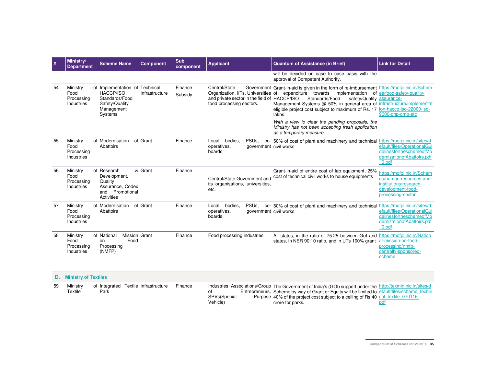| #  | Ministry/<br><b>Department</b>               | <b>Scheme Name</b>                                                                                       | <b>Component</b>       | Sub<br>component   | <b>Applicant</b>                                                                          | <b>Quantum of Assistance (in Brief)</b>                                                                                                                                                                                                                                                                                   | <b>Link for Detail</b>                                                                                                        |
|----|----------------------------------------------|----------------------------------------------------------------------------------------------------------|------------------------|--------------------|-------------------------------------------------------------------------------------------|---------------------------------------------------------------------------------------------------------------------------------------------------------------------------------------------------------------------------------------------------------------------------------------------------------------------------|-------------------------------------------------------------------------------------------------------------------------------|
|    |                                              |                                                                                                          |                        |                    |                                                                                           | will be decided on case to case basis with the<br>approval of Competent Authority.                                                                                                                                                                                                                                        |                                                                                                                               |
| 54 | Ministry<br>Food<br>Processing<br>Industries | of Implementation of Technical<br>HACCP/ISO<br>Standards/Food<br>Safety/Quality<br>Management<br>Systems | Infrastructure         | Finance<br>Subsidy | Central/State<br>and private sector in the field of HACCP/ISO<br>food processing sectors. | Government Grant-in-aid is given in the form of re-imbursement https://mofpi.nic.in/Schem<br>Organization, IITs, Universities of expenditure towards implementation of<br>Standards/Food<br>safety/Quality<br>Management Systems @ 50% in general area of<br>eligible project cost subject to maximum of Rs. 17<br>lakhs. | es/food-safety-quality-<br>assurance-<br>infrastructure/implementat<br>ion-haccp-iso-22000-iso-<br>9000-ghp-gmp-etc           |
|    |                                              |                                                                                                          |                        |                    |                                                                                           | With a view to clear the pending proposals, the<br>Ministry has not been accepting fresh application<br>as a temporary measure.                                                                                                                                                                                           |                                                                                                                               |
| 55 | Ministry<br>Food<br>Processing<br>Industries | of Modernisation<br>Abattoirs                                                                            | of Grant               | Finance            | bodies.<br>PSU <sub>s</sub><br>Local<br>operatives,<br>government civil works<br>boards   | co- 50% of cost of plant and machinery and technical https://mofpi.nic.in/sites/d                                                                                                                                                                                                                                         | efault/files/OperationalGui<br>delinesfortheschemeofMo<br>dernizationofAbattoirs.pdf<br>0.pdf                                 |
| 56 | Ministry<br>Food<br>Processing<br>Industries | of Research<br>Development.<br>Quality<br>Assurance, Codex<br>and Promotional<br>Activities              | & Grant                | Finance            | Central/State Government and<br>its organisations, universities,<br>etc.                  | Grant-in-aid of entire cost of lab equipment, 25%<br>cost of technical civil works to house equipments                                                                                                                                                                                                                    | https://mofpi.nic.in/Schem<br>es/human-resources-and-<br>institutions/research-<br>development-food-<br>processing-sector     |
| 57 | Ministry<br>Food<br>Processing<br>Industries | of Modernisation of Grant<br>Abattoirs                                                                   |                        | Finance            | Local bodies,<br>operatives,<br>government civil works<br>boards                          | PSUs, co-50% of cost of plant and machinery and technical                                                                                                                                                                                                                                                                 | https://mofpi.nic.in/sites/d<br>efault/files/OperationalGui<br>delinesfortheschemeofMo<br>dernizationofAbattoirs.pdf<br>0.pdf |
| 58 | Ministry<br>Food<br>Processing<br>Industries | <b>Mission Grant</b><br>of National<br>Food<br>on<br>Processing<br>(NMFP)                                |                        | Finance            | Food processing industries                                                                | All states, in the ratio of 75:25 between Gol and https://mofpi.nic.in/Nation<br>states, in NER 90:10 ratio, and in UTs 100% grant                                                                                                                                                                                        | al-mission-on-food-<br>processing/nmfp-<br>centrally-sponsored-<br>scheme                                                     |
| D. | <b>Ministry of Textiles</b>                  |                                                                                                          |                        |                    |                                                                                           |                                                                                                                                                                                                                                                                                                                           |                                                                                                                               |
| 59 | Ministry<br><b>Textile</b>                   | of Integrated<br>Park                                                                                    | Textile Infrastructure | Finance            | of<br>SPVs(Special<br>Vehicle)                                                            | Industries Associations/Group The Government of India's (GOI) support under the http://texmin.nic.in/sites/d<br>Entrepreneurs. Scheme by way of Grant or Equity will be limited to efault/files/scheme techni<br>Purpose 40% of the project cost subject to a ceiling of Rs.40 cal textile 070116.<br>crore for parks.    | pdf                                                                                                                           |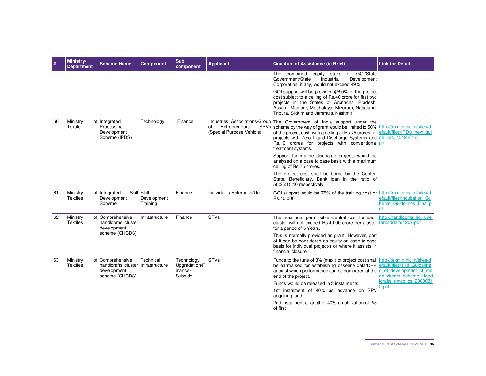| #  | Ministry/<br><b>Department</b> | <b>Scheme Name</b>                                                                      | <b>Component</b>                       | Sub<br>component                                  | <b>Applicant</b>                                  | <b>Quantum of Assistance (in Brief)</b>                                                                                                                                                                                                                                                                                                                                                            | <b>Link for Detail</b>                                      |
|----|--------------------------------|-----------------------------------------------------------------------------------------|----------------------------------------|---------------------------------------------------|---------------------------------------------------|----------------------------------------------------------------------------------------------------------------------------------------------------------------------------------------------------------------------------------------------------------------------------------------------------------------------------------------------------------------------------------------------------|-------------------------------------------------------------|
|    |                                |                                                                                         |                                        |                                                   |                                                   | of GOI/State<br>The combined<br>equity stake<br>Government/State<br>Industrial<br>Development<br>Corporation, if any, would not exceed 49%.                                                                                                                                                                                                                                                        |                                                             |
|    |                                |                                                                                         |                                        |                                                   |                                                   | GOI support will be provided @90% of the project<br>cost subject to a ceiling of Rs.40 crore for first two<br>projects in the States of Arunachal Pradesh,<br>Assam, Manipur, Meghalaya, Mizoram, Nagaland,<br>Tripura, Sikkim and Jammu & Kashmir.                                                                                                                                                |                                                             |
| 60 | Ministry<br>Textile            | of Integrated<br>Processing<br>Development<br>Scheme (IPDS)                             | Technology                             | Finance                                           | Entrepreneurs.<br>of<br>(Special Purpose Vehicle) | Industries Associations/Group The Government of India support under the<br>SPVs scheme by the way of grant would be limited to 50% http://texmin.nic.in/sites/d<br>of the project cost, with a ceiling of Rs.75 crores for efault/files/IPDS new gui<br>projects with Zero Liquid Discharge Systems and delines_15122017.<br>Rs.10 crores for projects with conventional pdf<br>treatment systems. |                                                             |
|    |                                |                                                                                         |                                        |                                                   |                                                   | Support for marine discharge projects would be<br>analysed on a case to case basis with a maximum<br>ceiling of Rs.75 crores.                                                                                                                                                                                                                                                                      |                                                             |
|    |                                |                                                                                         |                                        |                                                   |                                                   | The project cost shall be borne by the Center,<br>State, Beneficiary, Bank loan in the ratio of<br>50:25:15:10 respectively.                                                                                                                                                                                                                                                                       |                                                             |
| 61 | Ministry<br><b>Textiles</b>    | of Integrated<br>Development<br>Scheme                                                  | Skill Skill<br>Development<br>Training | Finance                                           | Individuals Enterprise/Unit                       | GOI support would be 75% of the training cost or http://texmin.nic.in/sites/d<br>Rs.10.000                                                                                                                                                                                                                                                                                                         | efault/files/Incubation Sc<br>heme Guidelines Final.p<br>df |
| 62 | Ministry<br><b>Textiles</b>    | of Comprehensive<br>handlooms cluster<br>development                                    | Infrastructure                         | Finance                                           | SPVs                                              | The maximum permissible Central cost for each http://handlooms.nic.in/wri<br>cluster will not exceed Rs.40.00 crore per cluster tereaddata/1202.pdf<br>for a period of 5 Years.                                                                                                                                                                                                                    |                                                             |
|    |                                | scheme (CHCDS)                                                                          |                                        |                                                   |                                                   | This is normally provided as grant. However, part<br>of it can be considered as equity on case-to-case<br>basis for individual project/s or where it assists in<br>financial closure.                                                                                                                                                                                                              |                                                             |
| 63 | Ministry<br><b>Textiles</b>    | of Comprehensive<br>handicrafts cluster Infrastructure<br>development<br>scheme (CHCDS) | Technical                              | Technology<br>Upgradation/F<br>inance-<br>Subsidy | SPVs                                              | Funds to the tune of 3% (max.) of project cost shall http://texmin.nic.in/sites/d<br>be earmarked for establishing baseline data/DPR efault/files/11d Guideline<br>against which performance can be compared at the sof development of me<br>end of the project.                                                                                                                                   | ga cluster scheme Hand                                      |
|    |                                |                                                                                         |                                        |                                                   |                                                   | Funds would be released in 3 instalments                                                                                                                                                                                                                                                                                                                                                           | icrafts nmcc cs 2009031<br>2.pdf                            |
|    |                                |                                                                                         |                                        |                                                   |                                                   | 1st instalment of 40% as advance on SPV<br>acquiring land.                                                                                                                                                                                                                                                                                                                                         |                                                             |
|    |                                |                                                                                         |                                        |                                                   |                                                   | 2nd instalment of another 40% on utilization of 2/3<br>of first                                                                                                                                                                                                                                                                                                                                    |                                                             |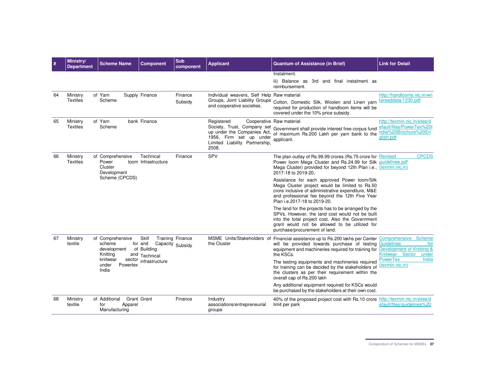| #  | Ministry/<br><b>Department</b> | <b>Scheme Name</b>                                    | <b>Component</b>                                                                         | Sub<br>component   | <b>Applicant</b>                                                                                                                               | <b>Quantum of Assistance (in Brief)</b>                                                                                                                                                                                                                     | <b>Link for Detail</b>                                                |
|----|--------------------------------|-------------------------------------------------------|------------------------------------------------------------------------------------------|--------------------|------------------------------------------------------------------------------------------------------------------------------------------------|-------------------------------------------------------------------------------------------------------------------------------------------------------------------------------------------------------------------------------------------------------------|-----------------------------------------------------------------------|
|    |                                |                                                       |                                                                                          |                    |                                                                                                                                                | Instalment.<br>iii) Balance as 3rd and final instalment as<br>reimbursement.                                                                                                                                                                                |                                                                       |
| 64 | Ministry<br><b>Textiles</b>    | of Yarn<br>Scheme                                     | Supply Finance                                                                           | Finance<br>Subsidy | Individual weavers, Self Help Raw material<br>Groups, Joint Liability Groups<br>and cooperative societies.                                     | Cotton, Domestic Silk, Woolen and Linen yarn<br>required for production of handloom items will be<br>covered under the 10% price subsidy.                                                                                                                   | http://handlooms.nic.in/wri<br>tereaddata/1230.pdf                    |
| 65 | Ministry<br><b>Textiles</b>    | of Yarn<br>Scheme                                     | bank Finance                                                                             |                    | Registered<br>Society, Trust, Company set<br>up under the Companies Act,<br>1956, Firm set up under<br>Limited Liability Partnership,<br>2008. | Cooperative Raw material<br>Government shall provide interest free corpus fund<br>of maximum Rs.200 Lakh per yarn bank to the nature 20Brochure %20En<br>applicant.                                                                                         | http://texmin.nic.in/sites/d<br>efault/files/PowerTex%20<br>glish.pdf |
| 66 | Ministry<br><b>Textiles</b>    | of Comprehensive<br>Power<br>Cluster<br>Development   | Technical<br>loom Infrastructure                                                         | Finance            | <b>SPV</b>                                                                                                                                     | The plan outlay of Rs.99.99 crores (Rs.75 crore for Revised<br>Power loom Mega Cluster and Rs.24.99 for Silk guidelines.pdf<br>Mega Cluster) provided for beyond 12th Plan i.e., (texmin.nic.in)<br>2017-18 to 2019-20,                                     | <b>CPCDS</b>                                                          |
|    |                                | Scheme (CPCDS)                                        |                                                                                          |                    |                                                                                                                                                | Assistance for each approved Power loom/Silk<br>Mega Cluster project would be limited to Rs.50<br>crore inclusive of administrative expenditure, M&E<br>and professional fee beyond the 12th Five Year<br>Plan i.e.2017-18 to 2019-20.                      |                                                                       |
|    |                                |                                                       |                                                                                          |                    |                                                                                                                                                | The land for the projects has to be arranged by the<br>SPVs. However, the land cost would not be built<br>into the total project cost. Also the Government<br>grant would not be allowed to be utilized for<br>purchase/procurement of land.                |                                                                       |
| 67 | Ministry<br>textile            | of Comprehensive<br>scheme<br>development<br>Knitting | Training Finance<br>Skill<br>for and<br>Capacity Subsidy<br>of Building<br>and Technical |                    | the Cluster                                                                                                                                    | MSME Units/Stakeholders of Financial assistance up to Rs.200 lakhs per Center Comprehensive Scheme<br>will be provided towards purchase of testing Guidelines<br>equipment and machineries required for training for Development of Knitting &<br>the KSCs. | for<br>Knitwear<br>Sector<br>under                                    |
|    |                                | knitwear<br>Powertex<br>under<br>India                | sector infrastructure                                                                    |                    |                                                                                                                                                | The testing equipments and machineries required<br>for training can be decided by the stakeholders of<br>the clusters as per their requirement within the<br>overall cap of Rs.200 lakh                                                                     | PowerTex<br>India<br>(texmin.nic.in)                                  |
|    |                                |                                                       |                                                                                          |                    |                                                                                                                                                | Any additional equipment required for KSCs would<br>be purchased by the stakeholders at their own cost.                                                                                                                                                     |                                                                       |
| 68 | Ministry<br>textile            | of Additional<br>for<br>Apparel<br>Manufacturing      | Grant Grant                                                                              | Finance            | Industry<br>associations/entrepreneurial<br>groups                                                                                             | 40% of the proposed project cost with Rs.10 crore http://texmin.nic.in/sites/d<br>limit per park                                                                                                                                                            | efault/files/guidelines%20                                            |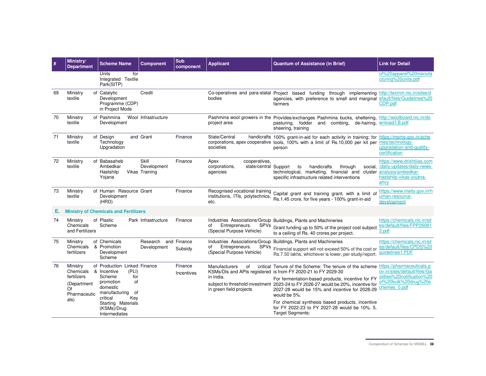| #  | Ministry/<br><b>Department</b>                                                    | <b>Scheme Name</b>                                                                                                                                                                                   | <b>Component</b>                       | <b>Sub</b><br>component | <b>Applicant</b>                                                            | <b>Quantum of Assistance (in Brief)</b>                                                                                                                                                                                                                                                                                                                                                                                                                              | <b>Link for Detail</b>                                                                                                        |
|----|-----------------------------------------------------------------------------------|------------------------------------------------------------------------------------------------------------------------------------------------------------------------------------------------------|----------------------------------------|-------------------------|-----------------------------------------------------------------------------|----------------------------------------------------------------------------------------------------------------------------------------------------------------------------------------------------------------------------------------------------------------------------------------------------------------------------------------------------------------------------------------------------------------------------------------------------------------------|-------------------------------------------------------------------------------------------------------------------------------|
|    |                                                                                   | <b>Units</b><br>for<br>Textile<br>Integrated<br>Park(SITP)                                                                                                                                           |                                        |                         |                                                                             |                                                                                                                                                                                                                                                                                                                                                                                                                                                                      | of%20apparel%20manufa<br>cturing%20units.pdf                                                                                  |
| 69 | Ministry<br>textile                                                               | of Catalytic<br>Development<br>Programme (CDP)<br>in Project Mode                                                                                                                                    | Credit                                 |                         | bodies                                                                      | Co-operatives and para-statal Project based funding through implementing<br>agencies, with preference to small and marginal<br>farmers                                                                                                                                                                                                                                                                                                                               | http://texmin.nic.in/sites/d<br>efault/files/Guidelines%20<br>CDP.pdf                                                         |
| 70 | Ministry<br>textile                                                               | of Pashmina<br>Development                                                                                                                                                                           | Wool Infrastructure                    |                         | project area                                                                | Pashmina wool growers in the Provides/exchanges Pashmina bucks, sheltering, http://woolboard.nic.in/do<br>pasturing, fodder and combing,<br>sheering, training                                                                                                                                                                                                                                                                                                       | de-hairing, wnload/l.B.pdf                                                                                                    |
| 71 | Ministry<br>textile                                                               | of Design<br>Technology<br>Upgradation                                                                                                                                                               | and Grant                              | Finance                 | State/Central<br>societies                                                  | handicrafts 100% grant-in-aid for each activity in training; for https://msme.gov.in/sche<br>corporations, apex cooperative tools, 100% with a limit of Rs.10,000 per kit per mes/technology-<br>person                                                                                                                                                                                                                                                              | upgradation-and-quality-<br>certification                                                                                     |
| 72 | Ministry<br>textile                                                               | of Babasaheb<br>Ambedkar<br>Hastshilp<br>Yojana                                                                                                                                                      | Skill<br>Development<br>Vikas Training | Finance                 | Apex<br>cooperatives.<br>state/central Support<br>corporations,<br>agencies | handicrafts<br>through<br>social,<br>to<br>technological, marketing, financial and cluster analysis/ambedkar-<br>specific infrastructure related interventions                                                                                                                                                                                                                                                                                                       | https://www.drishtijas.com<br>/daily-updates/daily-news-<br>hastshilp-vikas-yojana-<br>ahvy                                   |
| 73 | Ministry<br>textile                                                               | of Human Resource Grant<br>Development<br>(HRD)                                                                                                                                                      |                                        | Finance                 | Recognised vocational training<br>institutions, ITIs, polytechnics,<br>etc. | Capital grant and training grant, with a limit of<br>Rs.1.45 crore, for five years - 100% grant-in-aid                                                                                                                                                                                                                                                                                                                                                               | https://www.meity.gov.in/h<br>uman-resource-<br>development                                                                   |
| Е. |                                                                                   | <b>Ministry of Chemicals and Fertilizers</b>                                                                                                                                                         |                                        |                         |                                                                             |                                                                                                                                                                                                                                                                                                                                                                                                                                                                      |                                                                                                                               |
| 74 | Ministry<br>Chemicals<br>and Fertilizers                                          | of Plastic<br>Scheme                                                                                                                                                                                 | Park Infrastructure                    | Finance                 | Entrepreneurs.<br>of<br>(Special Purpose Vehicle)                           | Industries Associations/Group Buildings, Plants and Machineries<br>SPVs Grant funding up to 50% of the project cost subject<br>to a ceiling of Rs. 40 crores per project.                                                                                                                                                                                                                                                                                            | https://chemicals.nic.in/sit<br>es/default/files/FPP26061<br>3.pdf                                                            |
| 75 | Ministry<br>Chemicals<br>fertilizers                                              | of Chemicals<br>& Promotion<br>Development<br>Scheme                                                                                                                                                 | Research<br>Development                | and Finance<br>Subsidy  | Entrepreneurs.<br>SPVs<br>of<br>(Special Purpose Vehicle)                   | Industries Associations/Group Buildings, Plants and Machineries<br>Financial support will not exceed 50% of the cost or<br>Rs.7.50 lakhs, whichever is lower, per study/report.                                                                                                                                                                                                                                                                                      | https://chemicals.nic.in/sit<br>es/default/files/CPDS%20<br>guidelines1.PDF                                                   |
| 76 | Ministry<br>Chemicals<br>fertilizers<br>(Department<br>Of<br>Pharmaceutic<br>als) | of Production Linked Finance<br>& Incentive<br>(PLI)<br>Scheme<br>for<br>promotion<br>οf<br>domestic<br>manufacturing<br>of<br>Key<br>critical<br>Starting Materials<br>(KSMs)/Drug<br>Intermediates |                                        | Finance<br>Incentives   | <b>Manufacturers</b><br>0f<br>in India.<br>in green field projects          | critical Tenure of the Scheme: The tenure of the scheme<br>KSMs/DIs and APIs registered is from FY 2020-21 to FY 2029-30<br>For fermentation-based products, incentive for FY<br>subject to threshold investment 2023-24 to FY 2026-27 would be 20%, incentive for<br>2027-28 would be 15% and incentive for 2028-29<br>would be 5%.<br>For chemical synthesis based products, incentive<br>for FY 2022-23 to FY 2027-28 would be 10%, 5.<br><b>Target Segments:</b> | https://pharmaceuticals.q<br>ov.in/sites/default/files/Ga<br>zettee%20notification%20<br>of%20bulk%20drug%20s<br>chemes 0.pdf |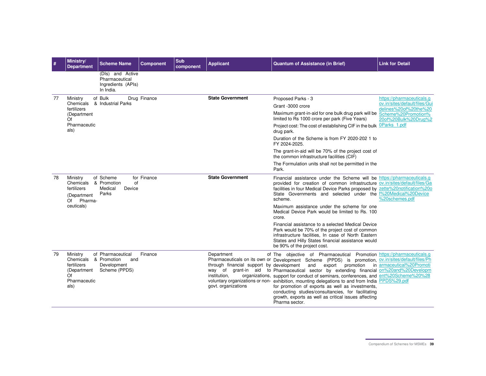| #  | Ministry/<br><b>Department</b>                                                    | <b>Scheme Name</b>                                                      | <b>Component</b> | Sub<br>component | <b>Applicant</b>                                                                              | <b>Quantum of Assistance (in Brief)</b>                                                                                                                                                                                                                                                                                                                                                                                                                                                                                                                                                                                                                                           | <b>Link for Detail</b>                                 |
|----|-----------------------------------------------------------------------------------|-------------------------------------------------------------------------|------------------|------------------|-----------------------------------------------------------------------------------------------|-----------------------------------------------------------------------------------------------------------------------------------------------------------------------------------------------------------------------------------------------------------------------------------------------------------------------------------------------------------------------------------------------------------------------------------------------------------------------------------------------------------------------------------------------------------------------------------------------------------------------------------------------------------------------------------|--------------------------------------------------------|
|    |                                                                                   | (DIs) and Active<br>Pharmaceutical<br>Ingredients (APIs)<br>In India.   |                  |                  |                                                                                               |                                                                                                                                                                                                                                                                                                                                                                                                                                                                                                                                                                                                                                                                                   |                                                        |
| 77 | Ministry                                                                          | of Bulk                                                                 | Drug Finance     |                  | <b>State Government</b>                                                                       | Proposed Parks - 3                                                                                                                                                                                                                                                                                                                                                                                                                                                                                                                                                                                                                                                                | https://pharmaceuticals.g                              |
|    | Chemicals<br>fertilizers                                                          | & Industrial Parks                                                      |                  |                  |                                                                                               | Grant -3000 crore                                                                                                                                                                                                                                                                                                                                                                                                                                                                                                                                                                                                                                                                 | ov.in/sites/default/files/Gui<br>delines%20of%20the%20 |
|    | (Department<br>Of                                                                 |                                                                         |                  |                  |                                                                                               | Maximum grant-in-aid for one bulk drug park will be Scheme%20Promotion%<br>limited to Rs 1000 crore per park (Five Years)                                                                                                                                                                                                                                                                                                                                                                                                                                                                                                                                                         | 20of%20Bulk%20Drug%2                                   |
|    | Pharmaceutic<br>als)                                                              |                                                                         |                  |                  |                                                                                               | Project cost: The cost of establishing CIF in the bulk OParks 1.pdf<br>drug park.                                                                                                                                                                                                                                                                                                                                                                                                                                                                                                                                                                                                 |                                                        |
|    |                                                                                   |                                                                         |                  |                  |                                                                                               | Duration of the Scheme is from FY 2020-202 1 to<br>FY 2024-2025.                                                                                                                                                                                                                                                                                                                                                                                                                                                                                                                                                                                                                  |                                                        |
|    |                                                                                   |                                                                         |                  |                  |                                                                                               | The grant-in-aid will be 70% of the project cost of<br>the common infrastructure facilities (CIF)                                                                                                                                                                                                                                                                                                                                                                                                                                                                                                                                                                                 |                                                        |
|    |                                                                                   |                                                                         |                  |                  |                                                                                               | The Formulation units shall not be permitted in the<br>Park.                                                                                                                                                                                                                                                                                                                                                                                                                                                                                                                                                                                                                      |                                                        |
| 78 | Ministry<br>Chemicals<br>fertilizers<br>(Department<br>Of Pharma-                 | of Scheme<br>& Promotion<br>of<br>Medical<br>Device<br>Parks            | for Finance      |                  | <b>State Government</b>                                                                       | Financial assistance under the Scheme will be https://pharmaceuticals.g<br>provided for creation of common infrastructure ov.in/sites/default/files/Ga<br>facilities in four Medical Device Parks proposed by zette%20notification%20o<br>State Governments and selected under the <b>f</b> %20Medical%20Device<br>scheme.                                                                                                                                                                                                                                                                                                                                                        | %20schemes.pdf                                         |
|    | ceuticals)                                                                        |                                                                         |                  |                  |                                                                                               | Maximum assistance under the scheme for one<br>Medical Device Park would be limited to Rs. 100<br>crore.                                                                                                                                                                                                                                                                                                                                                                                                                                                                                                                                                                          |                                                        |
|    |                                                                                   |                                                                         |                  |                  |                                                                                               | Financial assistance to a selected Medical Device<br>Park would be 70% of the project cost of common<br>infrastructure facilities. In case of North Eastern<br>States and Hilly States financial assistance would<br>be 90% of the project cost.                                                                                                                                                                                                                                                                                                                                                                                                                                  |                                                        |
| 79 | Ministry<br>Chemicals<br>fertilizers<br>(Department<br>Of<br>Pharmaceutic<br>als) | of Pharmaceutical<br>& Promotion<br>and<br>Development<br>Scheme (PPDS) | Finance          |                  | Department<br>through financial support by development<br>institution.<br>govt. organizations | of The objective of Pharmaceutical Promotion https://pharmaceuticals.g<br>Pharmaceuticals on its own or Development Scheme (PPDS) is promotion, ov.in/sites/default/files/Ph<br>and<br>export<br>promotion<br>way of grant-in aid to Pharmaceutical sector by extending financial on%20and%20Developm<br>organizations, support for conduct of seminars, conferences, and ent%20Scheme%20%28<br>voluntary organizations or non-exhibition, mounting delegations to and from India PPDS%29.pdf<br>for promotion of exports as well as investments,<br>conducting studies/consultancies, for facilitating<br>growth, exports as well as critical issues affecting<br>Pharma sector. | in armaceutical%20Promoti                              |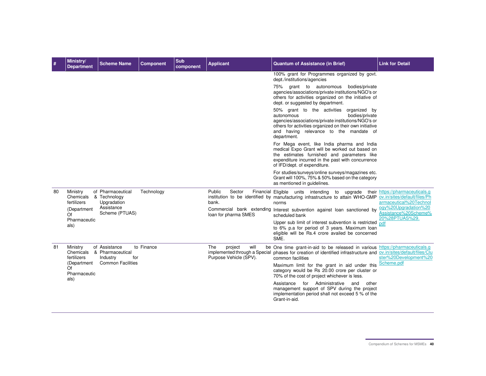| #  | Ministry/<br><b>Department</b>                    | <b>Scheme Name</b>                                             | <b>Component</b> | <b>Sub</b><br>component | <b>Applicant</b>                                 | Quantum of Assistance (in Brief)                                                                                                                                                                                                                                                         | <b>Link for Detail</b>                                                            |
|----|---------------------------------------------------|----------------------------------------------------------------|------------------|-------------------------|--------------------------------------------------|------------------------------------------------------------------------------------------------------------------------------------------------------------------------------------------------------------------------------------------------------------------------------------------|-----------------------------------------------------------------------------------|
|    |                                                   |                                                                |                  |                         |                                                  | 100% grant for Programmes organized by govt.<br>dept./institutions/agencies<br>75% grant to autonomous<br>bodies/private<br>agencies/associations/private institutions/NGO's or<br>others for activities organized on the initiative of                                                  |                                                                                   |
|    |                                                   |                                                                |                  |                         |                                                  | dept. or suggested by department.<br>50% grant to the activities organized by<br>bodies/private<br>autonomous<br>agencies/associations/private institutions/NGO's or<br>others for activities organized on their own initiative<br>and having relevance to the mandate of<br>department. |                                                                                   |
|    |                                                   |                                                                |                  |                         |                                                  | For Mega event, like India pharma and India<br>medical Expo Grant will be worked out based on<br>the estimates furnished and parameters like<br>expenditure incurred in the past with concurrence<br>of IFD/dept. of expenditure.                                                        |                                                                                   |
|    |                                                   |                                                                |                  |                         |                                                  | For studies/surveys/online surveys/magazines etc.<br>Grant will 100%, 75% & 50% based on the category<br>as mentioned in guidelines.                                                                                                                                                     |                                                                                   |
| 80 | Ministry<br>Chemicals & Technology<br>fertilizers | of Pharmaceutical<br>Upgradation<br>Assistance                 | Technology       |                         | Public<br>Sector<br>bank.                        | Financial Eligible units intending<br>to upgrade<br>institution to be identified by manufacturing infrastructure to attain WHO-GMP ov.in/sites/default/files/Ph<br>norms                                                                                                                 | their https://pharmaceuticals.g<br>armaceutical%20Technol<br>ogy%20Upgradation%20 |
|    | (Department<br>Of                                 | Scheme (PTUAS)                                                 |                  |                         | loan for pharma SMES                             | Commercial bank extending Interest subvention against loan sanctioned by<br>scheduled bank                                                                                                                                                                                               | Assistance%20Scheme%<br>20%28PTUAS%29.                                            |
|    | Pharmaceutic<br>als)                              |                                                                |                  |                         |                                                  | Upper sub limit of interest subvention is restricted pdf<br>to 6% p.a for period of 3 years. Maximum loan<br>eligible will be Rs.4 crore availed be concerned<br>SME.                                                                                                                    |                                                                                   |
| 81 | Ministry<br>fertilizers                           | of Assistance<br>Chemicals & Pharmaceutical<br>Industry<br>for | to Finance       |                         | The<br>project<br>will<br>Purpose Vehicle (SPV). | be One time grant-in-aid to be released in various https://pharmaceuticals.g<br>implemented through a Special phases for creation of identified infrastructure and ov.in/sites/default/files/Clu<br>common facilities                                                                    | ster%20Development%20                                                             |
|    | (Department<br>Of<br>Pharmaceutic<br>als)         | <b>Common Facilities</b>                                       |                  |                         |                                                  | Maximum limit for the grant in aid under this<br>category would be Rs 20.00 crore per cluster or<br>70% of the cost of project whichever is less.                                                                                                                                        | Scheme.pdf                                                                        |
|    |                                                   |                                                                |                  |                         |                                                  | Assistance<br>for Administrative<br>and<br>other<br>management support of SPV during the project<br>implementation period shall not exceed 5 % of the<br>Grant-in-aid.                                                                                                                   |                                                                                   |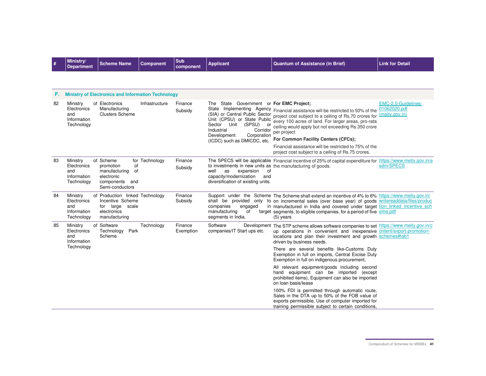| E. |                                                             | <b>Ministry of Electronics and Information Technology</b>                                                 |                |                      |                                                                                                                                                                                                  |                                                                                                                                                                                                                                                                                                                                                                                                  |                                                       |
|----|-------------------------------------------------------------|-----------------------------------------------------------------------------------------------------------|----------------|----------------------|--------------------------------------------------------------------------------------------------------------------------------------------------------------------------------------------------|--------------------------------------------------------------------------------------------------------------------------------------------------------------------------------------------------------------------------------------------------------------------------------------------------------------------------------------------------------------------------------------------------|-------------------------------------------------------|
| 82 | Ministry<br>Electronics<br>and<br>Information<br>Technology | of Electronics<br>Manufacturing<br><b>Clusters Scheme</b>                                                 | Infrastructure | Finance<br>Subsidy   | The State Government or For EMC Project;<br>(SIA) or Central Public Sector<br>Sector Unit<br>(SPSU)<br>or<br>Industrial<br>Corridor<br>Development<br>Corporation<br>(ICDC) such as DMICDC, etc. | State Implementing Agency Financial assistance will be restricted to 50% of the<br>project cost subject to a ceiling of Rs.70 crores for<br>Unit (CPSU) or State Public every 100 acres of land. For larger areas, pro-rata<br>ceiling would apply but not exceeding Rs.350 crore<br>per project<br>For Common Facility Centers (CFCs);<br>Financial assistance will be restricted to 75% of the | EMC-2.0-Guidelines-<br>01062020.pdf<br>(meity.gov.in) |
| 83 | Ministry<br>Electronics<br>and<br>Information<br>Technology | of Scheme<br>promotion<br>οf<br>manufacturing<br>of<br>electronic<br>components<br>and<br>Semi-conductors | for Technology | Finance<br>Subsidy   | to investments in new units as the manufacturing of goods.<br>well<br>as<br>expansion<br>of<br>capacity/modernization<br>and<br>diversification of existing units.                               | project cost subject to a ceiling of Rs.75 crores.<br>The SPECS will be applicable Financial incentive of 25% of capital expenditure for https://www.meity.gov.in/e                                                                                                                                                                                                                              | sdm/SPECS                                             |
| 84 | Ministry<br>Electronics<br>and<br>Information<br>Technology | of Production linked Technology<br>Incentive Scheme<br>for large scale<br>electronics<br>manufacturing    |                | Finance<br>Subsidy   | companies<br>engaged<br>manufacturing<br>of<br>segments in India.                                                                                                                                | Support under the Scheme The Scheme shall extend an incentive of 4% to 6% https://www.meity.gov.in/<br>shall be provided only to on incremental sales (over base year) of goods writereaddata/files/produc<br>in manufactured in India and covered under target tion linked incentive sch<br>target segments, to eligible companies, for a period of five eme.pdf<br>$(5)$ years                 |                                                       |
| 85 | Ministry<br>Electronics<br>and<br>Information               | of Software<br>Technology Park<br>Scheme                                                                  | Technology     | Finance<br>Exemption | Software<br>companies/IT Start ups etc.                                                                                                                                                          | Development The STP scheme allows software companies to set https://www.meity.gov.in/c<br>up operations in convenient and inexpensive ontent/export-promotion-<br>locations and plan their investment and growth schemes#tab1<br>driven by business needs.                                                                                                                                       |                                                       |
|    | Technology                                                  |                                                                                                           |                |                      |                                                                                                                                                                                                  | There are several benefits like-Customs Duty<br>Exemption in full on imports, Central Excise Duty<br>Exemption in full on indigenous procurement,                                                                                                                                                                                                                                                |                                                       |
|    |                                                             |                                                                                                           |                |                      |                                                                                                                                                                                                  | All relevant equipment/goods including second<br>hand equipment can be imported (except<br>prohibited items). Equipment can also be imported<br>on loan basis/lease                                                                                                                                                                                                                              |                                                       |
|    |                                                             |                                                                                                           |                |                      |                                                                                                                                                                                                  | 100% FDI is permitted through automatic route,<br>Sales in the DTA up to 50% of the FOB value of<br>exports permissible, Use of computer imported for<br>training permissible subject to certain conditions,                                                                                                                                                                                     |                                                       |

**# Ministry/** Scheme Name Component Sub component Applicant Quantum of Assistance (in Brief) Link for Detail **Department**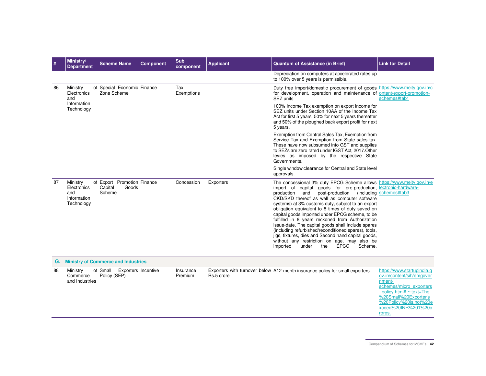| #  | Ministry/<br><b>Department</b>                              | <b>Scheme Name</b>                                        | <b>Component</b> | <b>Sub</b><br>component | <b>Applicant</b> | <b>Quantum of Assistance (in Brief)</b>                                                                                                                                                                                                                                                                                                                                                                                                                                                                                                                                                                                                                                                                                                        | <b>Link for Detail</b>                                                                                                                                                                                       |
|----|-------------------------------------------------------------|-----------------------------------------------------------|------------------|-------------------------|------------------|------------------------------------------------------------------------------------------------------------------------------------------------------------------------------------------------------------------------------------------------------------------------------------------------------------------------------------------------------------------------------------------------------------------------------------------------------------------------------------------------------------------------------------------------------------------------------------------------------------------------------------------------------------------------------------------------------------------------------------------------|--------------------------------------------------------------------------------------------------------------------------------------------------------------------------------------------------------------|
|    |                                                             |                                                           |                  |                         |                  | Depreciation on computers at accelerated rates up<br>to 100% over 5 years is permissible.                                                                                                                                                                                                                                                                                                                                                                                                                                                                                                                                                                                                                                                      |                                                                                                                                                                                                              |
| 86 | Ministry<br>Electronics<br>and                              | of Special Economic Finance<br>Zone Scheme                |                  | Tax<br>Exemptions       |                  | Duty free import/domestic procurement of goods https://www.meity.gov.in/c<br>for development, operation and maintenance of<br>SEZ units                                                                                                                                                                                                                                                                                                                                                                                                                                                                                                                                                                                                        | ontent/export-promotion-<br>schemes#tab1                                                                                                                                                                     |
|    | Information<br>Technology                                   |                                                           |                  |                         |                  | 100% Income Tax exemption on export income for<br>SEZ units under Section 10AA of the Income Tax<br>Act for first 5 years, 50% for next 5 years thereafter<br>and 50% of the ploughed back export profit for next<br>5 years.                                                                                                                                                                                                                                                                                                                                                                                                                                                                                                                  |                                                                                                                                                                                                              |
|    |                                                             |                                                           |                  |                         |                  | Exemption from Central Sales Tax, Exemption from<br>Service Tax and Exemption from State sales tax.<br>These have now subsumed into GST and supplies<br>to SEZs are zero rated under IGST Act, 2017. Other<br>levies as imposed by the respective State<br>Governments.                                                                                                                                                                                                                                                                                                                                                                                                                                                                        |                                                                                                                                                                                                              |
|    |                                                             |                                                           |                  |                         |                  | Single window clearance for Central and State level<br>approvals.                                                                                                                                                                                                                                                                                                                                                                                                                                                                                                                                                                                                                                                                              |                                                                                                                                                                                                              |
| 87 | Ministry<br>Electronics<br>and<br>Information<br>Technology | of Export Promotion Finance<br>Goods<br>Capital<br>Scheme |                  | Concession              | Exporters        | The concessional 3% duty EPCG Scheme allows https://www.meitv.gov.in/e<br>import of capital goods for pre-production, lectronic-hardware-<br>production and post-production (including schemes#tab3<br>CKD/SKD thereof as well as computer software<br>systems) at 3% customs duty, subject to an export<br>obligation equivalent to 8 times of duty saved on<br>capital goods imported under EPCG scheme, to be<br>fulfilled in 8 years reckoned from Authorization<br>issue-date. The capital goods shall include spares<br>(including refurbished/reconditioned spares), tools,<br>jigs, fixtures, dies and Second hand capital goods,<br>without any restriction on age, may also be<br>the<br><b>EPCG</b><br>Scheme.<br>imported<br>under |                                                                                                                                                                                                              |
|    |                                                             | G. Ministry of Commerce and Industries                    |                  |                         |                  |                                                                                                                                                                                                                                                                                                                                                                                                                                                                                                                                                                                                                                                                                                                                                |                                                                                                                                                                                                              |
| 88 | Ministry<br>Commerce<br>and Industries                      | of Small Exporters Incentive<br>Policy (SEP)              |                  | Insurance<br>Premium    | Rs.5 crore       | Exporters with turnover below A12-month insurance policy for small exporters                                                                                                                                                                                                                                                                                                                                                                                                                                                                                                                                                                                                                                                                   | https://www.startupindia.g<br>ov.in/content/sih/en/gover<br>nment-<br>schemes/micro exporters<br>policy.html#:~:text=The<br>%20Small%20Exporter's<br>%20Policv%20is.not%20e<br>xceed%20INR%201%20c<br>rores. |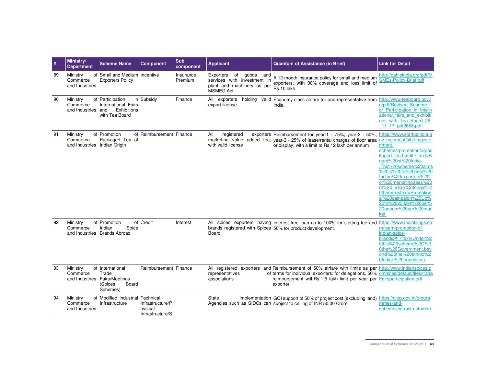| #  | Ministry/<br><b>Department</b>                       | <b>Scheme Name</b>                                                                         | <b>Component</b>                                | Sub<br>component     | <b>Applicant</b>                                                                                           | <b>Quantum of Assistance (in Brief)</b>                                                                                                                                                                                                                                                | <b>Link for Detail</b>                                                                                                                                                                                                                                                                                                                                     |
|----|------------------------------------------------------|--------------------------------------------------------------------------------------------|-------------------------------------------------|----------------------|------------------------------------------------------------------------------------------------------------|----------------------------------------------------------------------------------------------------------------------------------------------------------------------------------------------------------------------------------------------------------------------------------------|------------------------------------------------------------------------------------------------------------------------------------------------------------------------------------------------------------------------------------------------------------------------------------------------------------------------------------------------------------|
| 89 | Ministry<br>Commerce<br>and Industries               | of Small and Medium Incentive<br><b>Exporters Policy</b>                                   |                                                 | Insurance<br>Premium | Exporters of goods<br>and<br>services with investment in<br>plant and machinery as per<br><b>MSMED Act</b> | A 12-month insurance policy for small and medium<br>exporters, with 90% coverage and loss limit of<br>Rs.10 lakh                                                                                                                                                                       | http://pahleindia.org/pdf/M<br><b>SMEs-Policy-Brief.pdf</b>                                                                                                                                                                                                                                                                                                |
| 90 | Ministry<br>Commerce<br>and Industries and           | of Participation<br>International Fairs<br>Exhibitions<br>with Tea Board                   | in Subsidy                                      | Finance              | export license                                                                                             | All exporters holding valid Economy class airfare for one representative from<br>India.                                                                                                                                                                                                | http://www.teaboard.gov.i<br>n/pdf/Revised Scheme f<br>or Participation in Intern<br>ational fairs and exhibiti<br>ons with Tea Board 29<br>11 17 pdf2688.pdf                                                                                                                                                                                              |
| 91 | Ministry<br>Commerce<br>and Industries Indian Origin | of Promotion<br>Packaged Tea of                                                            | of Reimbursement Finance                        |                      | All<br>registered<br>with valid license                                                                    | exporters Reimbursement for year-1 - 75%; year-2 - 50%;<br>marketing value added tea, year-3 - 25% of lease/rental charges of floor area ov.in/content/sih/en/gover<br>or display; with a limit of Rs.12 lakh per annum                                                                | https://www.startupindia.g<br>nment-<br>schemes/promotionforpac<br>kaged tea.html#:~:text=B<br>oard%20of%20India-<br>.The%20scheme%20aims<br>%20to%20to%20help%20<br>Indian%20exporters%20f<br>or%20marketing.teas%20<br>of%20Indian%20origin%2<br>Otherein.&text=Promotion<br>al%20campaign%20Up%<br>20to%2025.lakh%20per%<br>20annum%20per%20mar<br>ket. |
| 92 | Ministry<br>Commerce                                 | of Promotion<br>Indian<br>Spice<br>and Industries Brands Abroad                            | of Credit                                       | Interest             | brands registered with Spices 50% for product development.<br>Board                                        | All spices exporters having Interest free loan up to 100% for slotting fee and                                                                                                                                                                                                         | https://www.indiafilings.co<br>m/learn/promotion-of-<br>indian-spice-<br>brands/#:~:text=Under%2<br>0this%20scheme%2C%2<br>0the%20Government,bey<br>ond%20the%20ethnic%2<br>0Indian%20population.                                                                                                                                                          |
| 93 | Ministry<br>Commerce                                 | of International<br>Trade<br>and Industries Fairs/Meetings<br>Board<br>(Spices<br>Schemes) | Reimbursement Finance                           |                      | representatives<br>associations                                                                            | All registered exporters and Reimbursement of 50% airfare with limits as per http://www.indianspices.c<br>of terms for individual exporters; for delegations, 50% om/sites/default/files/trade<br>reimbursement with Rs.1.5 lakh limit per year per Fairsparticipation.pdf<br>exporter |                                                                                                                                                                                                                                                                                                                                                            |
| 94 | Ministry<br>Commerce<br>and Industries               | of Modified Industrial Technical<br>Infrastructure                                         | Infrastructure/P<br>hysical<br>Infrastructure/S |                      | <b>State</b>                                                                                               | Implementation GOI support of 50% of project cost (excluding land) https://dipp.gov.in/progra<br>Agencies such as SIDCs can subject to ceiling of INR 50.00 Crore                                                                                                                      | mmes-and-<br>schemes/infrastructure/in                                                                                                                                                                                                                                                                                                                     |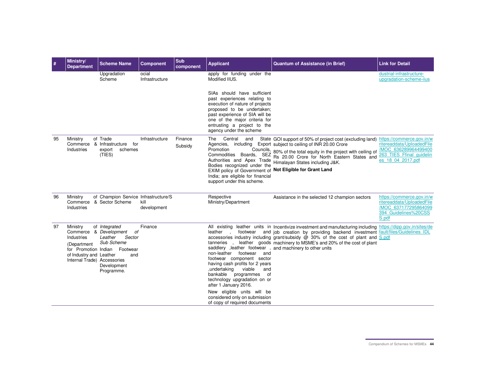| #  | <b>Ministry/</b><br><b>Department</b>                                                                  | <b>Scheme Name</b>                                                                                                                                    | <b>Component</b>        | Sub<br>component   | <b>Applicant</b>                                                                                                                                                                                                                                                                                                                                                                                          | <b>Quantum of Assistance (in Brief)</b>                                                                                                                                                                                                                                                                                                                                       | <b>Link for Detail</b>                                                                                          |
|----|--------------------------------------------------------------------------------------------------------|-------------------------------------------------------------------------------------------------------------------------------------------------------|-------------------------|--------------------|-----------------------------------------------------------------------------------------------------------------------------------------------------------------------------------------------------------------------------------------------------------------------------------------------------------------------------------------------------------------------------------------------------------|-------------------------------------------------------------------------------------------------------------------------------------------------------------------------------------------------------------------------------------------------------------------------------------------------------------------------------------------------------------------------------|-----------------------------------------------------------------------------------------------------------------|
|    |                                                                                                        | Upgradation<br>Scheme                                                                                                                                 | ocial<br>Infrastructure |                    | apply for funding under the<br>Modified IIUS.<br>SIAs should have sufficient<br>past experiences relating to<br>execution of nature of projects<br>proposed to be undertaken;<br>past experience of SIA will be<br>one of the major criteria for<br>entrusting a project to the<br>agency under the scheme                                                                                                |                                                                                                                                                                                                                                                                                                                                                                               | dustrial-infrastructure-<br>upgradation-scheme-iius                                                             |
| 95 | Ministry<br>Industries                                                                                 | of Trade<br>Commerce & Infrastructure<br>for<br>export<br>schemes<br>(TIES)                                                                           | Infrastructure          | Finance<br>Subsidy | The Central<br>and<br>Bodies recognized under the<br>EXIM policy of Government of Not Eligible for Grant Land<br>India; are eligible for financial<br>support under this scheme.                                                                                                                                                                                                                          | State GOI support of 50% of project cost (excluding land) https://commerce.gov.in/w<br>Agencies, including Export subject to ceiling of INR 20.00 Crore<br>Promotion<br>Councils, 80% of the total equity in the project with ceiling of<br>Commodities Boards, SEZ Rs 20.00 Crore for North Eastern States and<br>Authorities and Apex Trade Himalayan States including J&K. | ritereaddata/UploadedFile<br>/MOC 636289964499400<br>263 TIES Ffinal guidelin<br>es 18 04 2017.pdf              |
| 96 | Ministry<br>Commerce<br>Industries                                                                     | of Champion Service Infrastructure/S<br>& Sector Scheme                                                                                               | kill<br>development     |                    | Respective<br>Ministry/Department                                                                                                                                                                                                                                                                                                                                                                         | Assistance in the selected 12 champion sectors                                                                                                                                                                                                                                                                                                                                | https://commerce.gov.in/w<br>ritereaddata/UploadedFile<br>/MOC 637177295864099<br>394 Guidelines%20CSS<br>S.pdf |
| 97 | Ministry<br><b>Industries</b><br>(Department<br>of Industry and Leather<br>Internal Trade) Accessories | of Integrated<br>Commerce & Development<br>οf<br>Leather<br>Sector<br>Sub Scheme<br>for Promotion Indian Footwear<br>and<br>Development<br>Programme. | Finance                 |                    | leather<br>$\sim 10^{-11}$<br>saddlery, leather footwear, and machinery to other units<br>non-leather footwear and<br>footwear component sector<br>having cash profits for 2 years<br>viable<br>.undertaking<br>and<br>bankable programmes<br>of<br>technology upgradation on or<br>after 1 January 2016.<br>New eligible units will be<br>considered only on submission<br>of copy of required documents | All existing leather units in Incentivize investment and manufacturing including https://dipp.gov.in/sites/de<br>footwear and job creation by providing backend investment fault/files/Guidelines IDL<br>accessories industry including grant/subsidy @ 30% of the cost of plant and S.pdf<br>tanneries, leather goods machinery to MSME's and 20% of the cost of plant       |                                                                                                                 |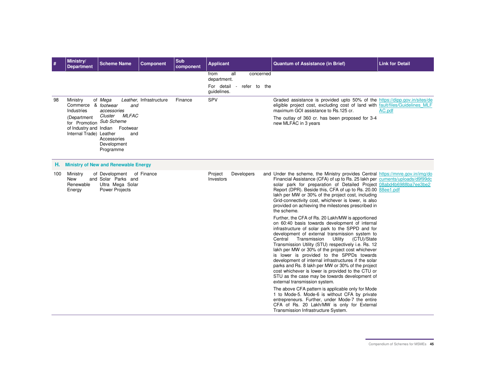| #   | Ministry/<br><b>Department</b>                                                                           | <b>Scheme Name</b>                                                                                                                                          | <b>Component</b>        | <b>Sub</b><br>component | <b>Applicant</b>                                   |            |                           | <b>Quantum of Assistance (in Brief)</b>                                                                                                                                                                                                                                                                                                                                                                                                                                                                                                                                                                                                                                                                                                                                                                                                                                                                                                                                                                                                                                                                                                                         | <b>Link for Detail</b> |
|-----|----------------------------------------------------------------------------------------------------------|-------------------------------------------------------------------------------------------------------------------------------------------------------------|-------------------------|-------------------------|----------------------------------------------------|------------|---------------------------|-----------------------------------------------------------------------------------------------------------------------------------------------------------------------------------------------------------------------------------------------------------------------------------------------------------------------------------------------------------------------------------------------------------------------------------------------------------------------------------------------------------------------------------------------------------------------------------------------------------------------------------------------------------------------------------------------------------------------------------------------------------------------------------------------------------------------------------------------------------------------------------------------------------------------------------------------------------------------------------------------------------------------------------------------------------------------------------------------------------------------------------------------------------------|------------------------|
|     |                                                                                                          |                                                                                                                                                             |                         |                         | from<br>department.<br>For detail -<br>quidelines. | all        | concerned<br>refer to the |                                                                                                                                                                                                                                                                                                                                                                                                                                                                                                                                                                                                                                                                                                                                                                                                                                                                                                                                                                                                                                                                                                                                                                 |                        |
| 98  | Ministry<br>Commerce & footwear<br>Industries<br>(Department<br>for Promotion<br>Internal Trade) Leather | of Mega<br>and<br>accessories<br><b>MLFAC</b><br>Cluster<br>Sub Scheme<br>of Industry and Indian Footwear<br>and<br>Accessories<br>Development<br>Programme | Leather, Infrastructure | Finance                 | SPV                                                |            |                           | Graded assistance is provided upto 50% of the https://dipp.gov.in/sites/de<br>eligible project cost, excluding cost of land with fault/files/Guidelines MLF<br>maximum GOI assistance to Rs.125 cr.<br>The outlay of 360 cr. has been proposed for 3-4<br>new MLFAC in 3 years                                                                                                                                                                                                                                                                                                                                                                                                                                                                                                                                                                                                                                                                                                                                                                                                                                                                                  | AC.pdf                 |
|     |                                                                                                          | H. Ministry of New and Renewable Energy                                                                                                                     |                         |                         |                                                    |            |                           |                                                                                                                                                                                                                                                                                                                                                                                                                                                                                                                                                                                                                                                                                                                                                                                                                                                                                                                                                                                                                                                                                                                                                                 |                        |
| 100 | Ministry<br><b>New</b><br>Renewable<br>Energy                                                            | of Development of Finance<br>and Solar Parks and<br>Ultra Mega Solar<br><b>Power Projects</b>                                                               |                         |                         | Project<br>Investors                               | Developers |                           | and Under the scheme, the Ministry provides Central https://mnre.gov.in/img/do<br>Financial Assistance (CFA) of up to Rs. 25 lakh per cuments/uploads/d9f99dc<br>solar park for preparation of Detailed Project 08abd4b6988ba7ee3be2<br>Report (DPR). Beside this, CFA of up to Rs. 20.00 88ee1.pdf<br>lakh per MW or 30% of the project cost, including<br>Grid-connectivity cost, whichever is lower, is also<br>provided on achieving the milestones prescribed in<br>the scheme.<br>Further, the CFA of Rs. 20 Lakh/MW is apportioned<br>on 60:40 basis towards development of internal<br>infrastructure of solar park to the SPPD and for<br>development of external transmission system to<br>Central Transmission<br>Utility<br>(CTU)/State<br>Transmission Utility (STU) respectively i.e. Rs. 12<br>lakh per MW or 30% of the project cost whichever<br>is lower is provided to the SPPDs towards<br>development of internal infrastructures if the solar<br>parks and Rs. 8 lakh per MW or 30% of the project<br>cost whichever is lower is provided to the CTU or<br>STU as the case may be towards development of<br>external transmission system. |                        |
|     |                                                                                                          |                                                                                                                                                             |                         |                         |                                                    |            |                           | The above CFA pattern is applicable only for Mode<br>1 to Mode-5. Mode-6 is without CFA by private<br>entrepreneurs. Further, under Mode-7 the entire<br>CFA of Rs. 20 Lakh/MW is only for External<br>Transmission Infrastructure System.                                                                                                                                                                                                                                                                                                                                                                                                                                                                                                                                                                                                                                                                                                                                                                                                                                                                                                                      |                        |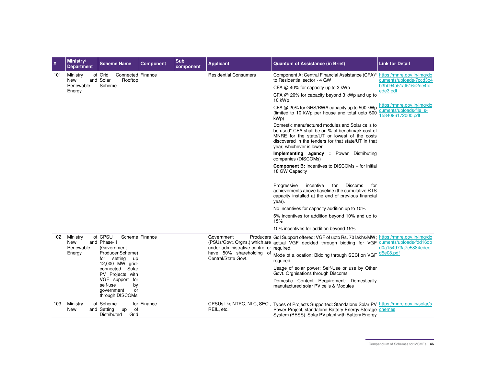| #   | Ministry/<br><b>Department</b>         | <b>Scheme Name</b>                                                                                                                                                                                                           | <b>Component</b> | Sub<br>component | <b>Applicant</b>                                                                                           | <b>Quantum of Assistance (in Brief)</b>                                                                                                                                                                                                                                                                                                                                                                                                                                                                                                                                                                                                                                                                                                                                                                                                                                         | <b>Link for Detail</b>                                                                                                                                                   |
|-----|----------------------------------------|------------------------------------------------------------------------------------------------------------------------------------------------------------------------------------------------------------------------------|------------------|------------------|------------------------------------------------------------------------------------------------------------|---------------------------------------------------------------------------------------------------------------------------------------------------------------------------------------------------------------------------------------------------------------------------------------------------------------------------------------------------------------------------------------------------------------------------------------------------------------------------------------------------------------------------------------------------------------------------------------------------------------------------------------------------------------------------------------------------------------------------------------------------------------------------------------------------------------------------------------------------------------------------------|--------------------------------------------------------------------------------------------------------------------------------------------------------------------------|
| 101 | Ministry<br>New<br>Renewable<br>Energy | Connected Finance<br>of Grid<br>and Solar<br>Rooftop<br>Scheme                                                                                                                                                               |                  |                  | <b>Residential Consumers</b>                                                                               | Component A: Central Financial Assistance (CFA)*<br>to Residential sector - 4 GW<br>CFA $@$ 40% for capacity up to 3 kWp<br>CFA @ 20% for capacity beyond 3 kWp and up to<br>10 kWp<br>CFA @ 20% for GHS/RWA capacity up to 500 kWp<br>(limited to 10 kWp per house and total upto 500<br>kWp)<br>Domestic manufactured modules and Solar cells to<br>be used* CFA shall be on % of benchmark cost of<br>MNRE for the state/UT or lowest of the costs<br>discovered in the tenders for that state/UT in that<br>year, whichever is lower<br><b>Implementing agency : Power Distributing</b><br>companies (DISCOMs)<br><b>Component B:</b> Incentives to DISCOMs - for initial<br>18 GW Capacity<br>incentive<br>for<br><b>Discoms</b><br>Progressive<br>for<br>achievements above baseline (the cumulative RTS<br>capacity installed at the end of previous financial<br>year). | https://mnre.gov.in/img/do<br>cuments/uploads/7ccd3b4<br>b3bb94a51af516e2ee4fd<br>ede3.pdf<br>https://mnre.gov.in/img/do<br>cuments/uploads/file s-<br>1584096172000.pdf |
|     |                                        |                                                                                                                                                                                                                              |                  |                  |                                                                                                            | No incentives for capacity addition up to 10%<br>5% incentives for addition beyond 10% and up to<br>15%<br>10% incentives for addition beyond 15%                                                                                                                                                                                                                                                                                                                                                                                                                                                                                                                                                                                                                                                                                                                               |                                                                                                                                                                          |
| 102 | Ministry<br>New<br>Renewable<br>Energy | of CPSU<br>and Phase-II<br>(Government<br>Producer Scheme)<br>for setting<br><b>up</b><br>12,000 MW grid-<br>connected Solar<br>PV Projects with<br>VGF support for<br>self-use<br>by<br>government<br>or<br>through DISCOMs | Scheme Finance   |                  | Government<br>under administrative control or required.<br>have 50% shareholding of<br>Central/State Govt. | Producers Gol Support offered: VGF of upto Rs. 70 lakhs/MW; https://mnre.gov.in/img/do<br>(PSUs/Govt. Orgns.) which are actual VGF decided through bidding for VGF cuments/uploads/fdd16db<br>Mode of allocation: Bidding through SECI on VGF<br>required<br>Usage of solar power: Self-Use or use by Other<br>Govt. Orgnisations through Discoms<br>Domestic Content Requirement: Domestically<br>manufactured solar PV cells & Modules                                                                                                                                                                                                                                                                                                                                                                                                                                        | d0a154973a7e5884edee<br>d5e08.pdf                                                                                                                                        |
| 103 | Ministry<br><b>New</b>                 | of Scheme<br>and Setting<br>up<br>of<br>Distributed<br>Grid                                                                                                                                                                  | for Finance      |                  | REIL, etc.                                                                                                 | CPSUs like NTPC, NLC, SECI, Types of Projects Supported: Standalone Solar PV https://mnre.gov.in/solar/s<br>Power Project, standalone Battery Energy Storage chemes<br>System (BESS), Solar PV plant with Battery Energy                                                                                                                                                                                                                                                                                                                                                                                                                                                                                                                                                                                                                                                        |                                                                                                                                                                          |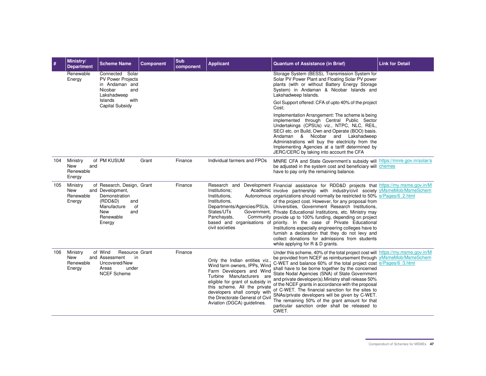| #   | Ministry/<br><b>Department</b>                | <b>Scheme Name</b>                                                                                                                          | <b>Component</b> | Sub<br>component | <b>Applicant</b>                                                                                                                                                                                                                                                                              | <b>Quantum of Assistance (in Brief)</b>                                                                                                                                                                                                                                                                                                                                                                                                                                                                                                                                                                                                                                                                                                                                                                           | <b>Link for Detail</b> |
|-----|-----------------------------------------------|---------------------------------------------------------------------------------------------------------------------------------------------|------------------|------------------|-----------------------------------------------------------------------------------------------------------------------------------------------------------------------------------------------------------------------------------------------------------------------------------------------|-------------------------------------------------------------------------------------------------------------------------------------------------------------------------------------------------------------------------------------------------------------------------------------------------------------------------------------------------------------------------------------------------------------------------------------------------------------------------------------------------------------------------------------------------------------------------------------------------------------------------------------------------------------------------------------------------------------------------------------------------------------------------------------------------------------------|------------------------|
|     | Renewable<br>Energy                           | Connected Solar<br><b>PV Power Projects</b><br>in Andaman and<br>Nicobar<br>and<br>Lakshadweep                                              |                  |                  |                                                                                                                                                                                                                                                                                               | Storage System (BESS), Transmission System for<br>Solar PV Power Plant and Floating Solar PV power<br>plants (with or without Battery Energy Storage<br>System) in Andaman & Nicobar Islands and<br>Lakshadweep Islands.                                                                                                                                                                                                                                                                                                                                                                                                                                                                                                                                                                                          |                        |
|     |                                               | Islands<br>with<br>Capital Subsidy                                                                                                          |                  |                  |                                                                                                                                                                                                                                                                                               | Gol Support offered: CFA of upto 40% of the project<br>Cost:                                                                                                                                                                                                                                                                                                                                                                                                                                                                                                                                                                                                                                                                                                                                                      |                        |
|     |                                               |                                                                                                                                             |                  |                  |                                                                                                                                                                                                                                                                                               | Implementation Arrangement: The scheme is being<br>implemented through Central Public Sector<br>Undertakings (CPSUs) viz., NTPC, NLC, REIL,<br>SECI etc. on Build, Own and Operate (BOO) basis.<br>Andaman & Nicobar and Lakshadweep<br>Administrations will buy the electricity from the<br>Implementing Agencies at a tariff determined by<br>JERC/CERC by taking into account the CFA                                                                                                                                                                                                                                                                                                                                                                                                                          |                        |
| 104 | Ministry<br>New<br>and<br>Renewable<br>Energy | of PM KUSUM                                                                                                                                 | Grant            | Finance          | Individual farmers and FPOs                                                                                                                                                                                                                                                                   | MNRE CFA and State Government's subsidy will https://mnre.gov.in/solar/s<br>be adjusted in the system cost and beneficiary will chemes<br>have to pay only the remaining balance.                                                                                                                                                                                                                                                                                                                                                                                                                                                                                                                                                                                                                                 |                        |
| 105 | Ministry<br>New<br>Renewable<br>Energy        | of Research, Design, Grant<br>and Development,<br>Demonstration<br>(RDD&D)<br>and<br>Manufacture<br>0f<br>New<br>and<br>Renewable<br>Energy |                  | Finance          | Institutions:<br>Institutions,<br>Institutions.<br>States/UTs<br>Panchavats,<br>civil societies                                                                                                                                                                                               | Research and Development Financial assistance for RDD&D projects that https://my.msme.gov.in/M<br>Academic involve partnership with industry/civil society yMsmeMob/MsmeSchem<br>Autonomous organizations should normally be restricted to 50% e/Pages/6 2.html<br>of the project cost. However, for any proposal from<br>Departments/Agencies/PSUs, Universities, Government Research Institutions,<br>Government, Private Educational Institutions, etc. Ministry may<br>Community provide up to 100% funding, depending on project<br>based and organisations of priority. In the case of Private Educational<br>Institutions especially engineering colleges have to<br>furnish a declaration that they do not levy and<br>collect donations for admissions from students<br>while applying for R & D grants. |                        |
| 106 | Ministry<br><b>New</b><br>Renewable<br>Energy | of Wind<br>Resource Grant<br>and Assessment<br>in<br>Uncovered/New<br>Areas<br>under<br><b>NCEF Scheme</b>                                  |                  | Finance          | Only the Indian entities viz.<br>Wind farm owners, IPPs, Wind<br>Farm Developers and Wind<br>Turbine Manufacturers are<br>eligible for grant of subsidy in<br>this scheme. All the private<br>developers shall comply with<br>the Directorate General of Civil<br>Aviation (DGCA) quidelines. | Under this scheme, 40% of the total project cost will https://my.msme.gov.in/M<br>be provided from NCEF as reimbursement through yMsmeMob/MsmeSchem<br>C-WET and balance 60% of the total project cost e/Pages/6_3.html<br>shall have to be borne together by the concerned<br>State Nodal Agencies (SNA) of State Government<br>and private developer(s). Ministry shall release 50%<br>of the NCEF grants in accordance with the proposal<br>of C-WET. The financial sanction for the sites to<br>SNAs/private developers will be given by C-WET.<br>The remaining 50% of the grant amount for that<br>particular sanction order shall be released to<br>CWET.                                                                                                                                                  |                        |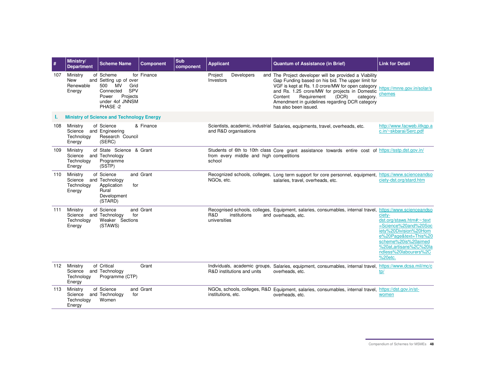| #   | Ministry/<br><b>Department</b>              | <b>Scheme Name</b>                                                                                                                     | <b>Component</b> | <b>Sub</b><br>component | <b>Applicant</b>      |                                         | <b>Quantum of Assistance (in Brief)</b>                                                                                                                                                                                                                                                                                                       | <b>Link for Detail</b>                                                                                                                                                                             |
|-----|---------------------------------------------|----------------------------------------------------------------------------------------------------------------------------------------|------------------|-------------------------|-----------------------|-----------------------------------------|-----------------------------------------------------------------------------------------------------------------------------------------------------------------------------------------------------------------------------------------------------------------------------------------------------------------------------------------------|----------------------------------------------------------------------------------------------------------------------------------------------------------------------------------------------------|
| 107 | Ministry<br>New<br>Renewable<br>Energy      | of Scheme<br>and Setting up of over<br><b>MV</b><br>500<br>Grid<br>SPV<br>Connected<br>Projects<br>Power<br>under 4of JNNSM<br>PHASE-2 | for Finance      |                         | Project<br>Investors  | Developers                              | and The Project developer will be provided a Viability<br>Gap Funding based on his bid. The upper limit for<br>VGF is kept at Rs. 1.0 crore/MW for open category<br>and Rs. 1.25 crore/MW for projects in Domestic<br>Content<br>Requirement<br>(DCR)<br>category.<br>Amendment in quidelines regarding DCR category<br>has also been issued. | https://mnre.gov.in/solar/s<br>chemes                                                                                                                                                              |
| ı.  |                                             | <b>Ministry of Science and Technology Energy</b>                                                                                       |                  |                         |                       |                                         |                                                                                                                                                                                                                                                                                                                                               |                                                                                                                                                                                                    |
| 108 | Ministry<br>Science<br>Technology<br>Energy | of Science<br>and Engineering<br>Research Council<br>(SERC)                                                                            | & Finance        |                         | and R&D organisations |                                         | Scientists, academic, industrial Salaries, equipments, travel, overheads, etc.                                                                                                                                                                                                                                                                | http://www.facweb.iitkgp.a<br>c.in/~skbarai/Serc.pdf                                                                                                                                               |
| 109 | Ministry<br>Science<br>Technology<br>Energy | of State Science & Grant<br>and Technology<br>Programme<br>(SSTP)                                                                      |                  |                         | school                | from every middle and high competitions | Students of 6th to 10th class Core grant assistance towards entire cost of https://sstp.dst.gov.in/                                                                                                                                                                                                                                           |                                                                                                                                                                                                    |
| 110 | Ministry<br>Science<br>Technology<br>Energy | of Science<br>and Technology<br>Application<br>for<br>Rural<br>Development<br>(STARD)                                                  | and Grant        |                         | NGOs, etc.            |                                         | Recognized schools, colleges, Long term support for core personnel, equipment, https://www.scienceandso<br>salaries, travel, overheads, etc.                                                                                                                                                                                                  | ciety-dst.org/stard.htm                                                                                                                                                                            |
| 111 | Ministry<br>Science<br>Technology<br>Energy | of Science<br>and Technology<br>for<br>Weaker Sections<br>(STAWS)                                                                      | and Grant        |                         | R&D<br>universities   | institutions                            | Recognised schools, colleges, Equipment, salaries, consumables, internal travel, https://www.scienceandso<br>and overheads, etc.                                                                                                                                                                                                              | ciety-<br>dst.org/staws.htm#:~:text<br>=Science%20and%20Soc<br>iety%20Division%20Hom<br>e%20Page&text=This%20<br>scheme%20is%20aimed<br>%20at.artisans%2C%20la<br>ndless%20labourers%2C<br>%20etc. |
| 112 | Ministry<br>Science<br>Technology<br>Energy | of Critical<br>and Technology<br>Programme (CTP)                                                                                       | Grant            |                         |                       | R&D institutions and units              | Individuals, academic groups, Salaries, equipment, consumables, internal travel,<br>overheads, etc.                                                                                                                                                                                                                                           | https://www.dcsa.mil/mc/c<br>tp/                                                                                                                                                                   |
| 113 | Ministry<br>Science<br>Technology<br>Energy | of Science<br>and Technology<br>for<br>Women                                                                                           | and Grant        |                         | institutions, etc.    |                                         | NGOs, schools, colleges, R&D Equipment, salaries, consumables, internal travel,<br>overheads, etc.                                                                                                                                                                                                                                            | https://dst.gov.in/st-<br>women                                                                                                                                                                    |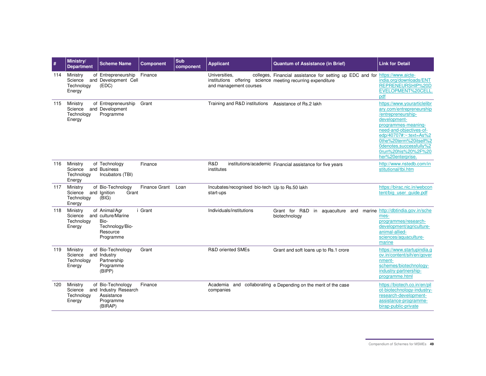| #   | Ministry/<br><b>Department</b>              | <b>Scheme Name</b>                                                                      | <b>Component</b> | Sub<br>component | <b>Applicant</b>                                                                                       | <b>Quantum of Assistance (in Brief)</b>                                              | <b>Link for Detail</b>                                                                                                                                                                                                                                                     |
|-----|---------------------------------------------|-----------------------------------------------------------------------------------------|------------------|------------------|--------------------------------------------------------------------------------------------------------|--------------------------------------------------------------------------------------|----------------------------------------------------------------------------------------------------------------------------------------------------------------------------------------------------------------------------------------------------------------------------|
| 114 | Ministry<br>Science<br>Technology<br>Energy | of Entrepreneurship<br>and Development Cell<br>(EDC)                                    | Finance          |                  | Universities,<br>institutions offering science meeting recurring expenditure<br>and management courses | colleges, Financial assistance for setting up EDC and for https://www.aicte-         | india.org/downloads/ENT<br>REPRENEURSHIP%20D<br>EVELOPMENT%20CELL<br>pdf                                                                                                                                                                                                   |
| 115 | Ministry<br>Science<br>Technology<br>Energy | of Entrepreneurship<br>and Development<br>Programme                                     | Grant            |                  | Training and R&D institutions                                                                          | Assistance of Rs.2 lakh                                                              | https://www.vourarticlelibr<br>arv.com/entrepreneurship<br>/entrepreneurship-<br>development-<br>programmes-meaning-<br>need-and-objectives-of-<br>edp/40707#:~:text=As%2<br>0the%20term%20itself%2<br>Odenotes, successfully%2<br>0run%20his%20%2F%20<br>her%20enterprise |
| 116 | Ministry<br>Science<br>Technology<br>Energy | of Technology<br>and Business<br>Incubators (TBI)                                       | Finance          |                  | R&D<br>institutes                                                                                      | institutions/academic Financial assistance for five years                            | http://www.nstedb.com/in<br>stitutional/tbi.htm                                                                                                                                                                                                                            |
| 117 | Ministry<br>Science<br>Technology<br>Energy | of Bio-Technology<br>and Ignition<br>Grant<br>(BIG)                                     | Finance Grant    | Loan             | Incubates/recognised bio-tech Up to Rs.50 lakh<br>start-ups                                            |                                                                                      | https://birac.nic.in/webcon<br>tent/big user guide.pdf                                                                                                                                                                                                                     |
| 118 | Ministry<br>Science<br>Technology<br>Energy | of Animal/Agr<br>and culture/Marine<br>Bio-<br>Technology/Bio-<br>Resource<br>Programme | i Grant          |                  | Individuals/institutions                                                                               | Grant for R&D in aquaculture and marine http://dbtindia.gov.in/sche<br>biotechnology | mes-<br>programmes/research-<br>development/agriculture-<br>animal-allied-<br>sciences/aquaculture-<br>marine                                                                                                                                                              |
| 119 | Ministry<br>Science<br>Technology<br>Energy | of Bio-Technology<br>and Industry<br>Partnership<br>Programme<br>(BIPP)                 | Grant            |                  | R&D oriented SMEs                                                                                      | Grant and soft loans up to Rs.1 crore                                                | https://www.startupindia.q<br>ov.in/content/sih/en/gover<br>nment-<br>schemes/biotechnology-<br>industry-partnership-<br>programme.html                                                                                                                                    |
| 120 | Ministry<br>Science<br>Technology<br>Energy | of Bio-Technology<br>and Industry Research<br>Assistance<br>Programme<br>(BIRAP)        | Finance          |                  | companies                                                                                              | Academia and collaborating e Depending on the merit of the case                      | https://biotech.co.in/en/pil<br>ot-biotechnology-industry-<br>research-development-<br>assistance-programme-<br>birap-public-private                                                                                                                                       |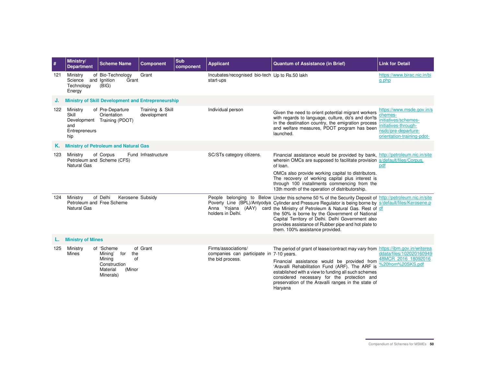| #   | Ministry/<br><b>Department</b>                       | <b>Scheme Name</b>                                                                                     | <b>Component</b>                | <b>Sub</b><br>component | <b>Applicant</b>                                                                    | <b>Quantum of Assistance (in Brief)</b>                                                                                                                                                                                                                                                                                                                                                                                                                                                             | <b>Link for Detail</b>                                                                                                                    |
|-----|------------------------------------------------------|--------------------------------------------------------------------------------------------------------|---------------------------------|-------------------------|-------------------------------------------------------------------------------------|-----------------------------------------------------------------------------------------------------------------------------------------------------------------------------------------------------------------------------------------------------------------------------------------------------------------------------------------------------------------------------------------------------------------------------------------------------------------------------------------------------|-------------------------------------------------------------------------------------------------------------------------------------------|
| 121 | Ministry<br>Science<br>Technology<br>Energy          | of Bio-Technology<br>and Ignition<br>Grant<br>(BIG)                                                    | Grant                           |                         | Incubates/recognised bio-tech Up to Rs.50 lakh<br>start-ups                         |                                                                                                                                                                                                                                                                                                                                                                                                                                                                                                     | https://www.birac.nic.in/bi<br>q.php                                                                                                      |
| J.  |                                                      | Ministry of Skill Development and Entrepreneurship                                                     |                                 |                         |                                                                                     |                                                                                                                                                                                                                                                                                                                                                                                                                                                                                                     |                                                                                                                                           |
| 122 | Ministry<br>Skill<br>and<br>Entrepreneurs<br>hip     | of Pre-Departure<br>Orientation<br>Development Training (PDOT)                                         | Training & Skill<br>development |                         | Individual person                                                                   | Given the need to orient potential migrant workers<br>with regards to language, culture, do's and don'ts<br>in the destination country, the emigration process<br>and welfare measures, PDOT program has been<br>launched.                                                                                                                                                                                                                                                                          | https://www.msde.gov.in/s<br>chemes-<br>initiatives/schemes-<br>initiatives-through-<br>nsdc/pre-departure-<br>orientation-training-pdot- |
| К.  |                                                      | <b>Ministry of Petroleum and Natural Gas</b>                                                           |                                 |                         |                                                                                     |                                                                                                                                                                                                                                                                                                                                                                                                                                                                                                     |                                                                                                                                           |
| 123 | Ministry<br><b>Natural Gas</b>                       | of Corpus<br>Petroleum and Scheme (CFS)                                                                | Fund Infrastructure             |                         | SC/STs category citizens.                                                           | Financial assistance would be provided by bank, http://petroleum.nic.in/site<br>wherein OMCs are supposed to facilitate provision s/default/files/Corpus.<br>of loan.<br>OMCs also provide working capital to distributors.<br>The recovery of working capital plus interest is<br>through 100 installments commencing from the<br>13th month of the operation of distributorship.                                                                                                                  | pdf                                                                                                                                       |
| 124 | Ministry<br>Petroleum and Free Scheme<br>Natural Gas | of Delhi<br>Kerosene Subsidy                                                                           |                                 |                         | holders in Delhi.                                                                   | People belonging to Below Under this scheme 50 % of the Security Deposit of http://petroleum.nic.in/site<br>Poverty Line (BPL)/Antyodya Cylinder and Pressure Regulator is being borne by s/default/files/Kerosene.p<br>Anna Yojana (AAY) card the Ministry of Petroleum & Natural Gas. Rest of df<br>the 50% is borne by the Government of National<br>Capital Territory of Delhi. Delhi Government also<br>provides assistance of Rubber pipe and hot plate to<br>them. 100% assistance provided. |                                                                                                                                           |
|     | <b>Ministry of Mines</b>                             |                                                                                                        |                                 |                         |                                                                                     |                                                                                                                                                                                                                                                                                                                                                                                                                                                                                                     |                                                                                                                                           |
| 125 | Ministry<br>Mines                                    | of 'Scheme<br>for<br>Mining'<br>the<br>Mining<br>of<br>Construction<br>Material<br>(Minor<br>Minerals) | of Grant                        |                         | Firms/associations/<br>companies can participate in 7-10 years.<br>the bid process. | The period of grant of lease/contract may vary from https://ibm.gov.in/writerea<br>Financial assistance would be provided from<br>'Aravalli Rehabilitation Fund (ARF). The ARF is<br>established with a view to funding all such schemes<br>considered necessary for the protection and<br>preservation of the Aravalli ranges in the state of<br>Haryana                                                                                                                                           | ddata/files/102020160949<br>48MCR 2016 18092016<br>%20from%20SKS.pdf                                                                      |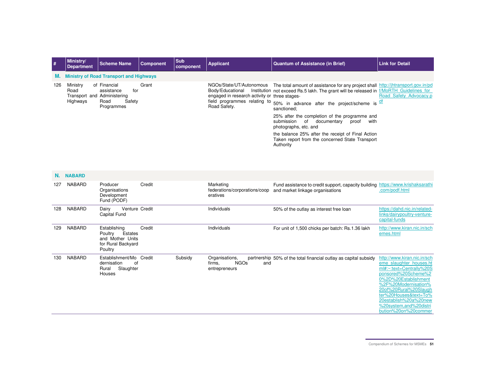| #   | <b>Ministry/</b><br><b>Department</b> | <b>Scheme Name</b>                                                                               | <b>Component</b> | <b>Sub</b><br>component | <b>Applicant</b>                                              | <b>Quantum of Assistance (in Brief)</b>                                                                                                                                                                                                                                                                            | <b>Link for Detail</b> |
|-----|---------------------------------------|--------------------------------------------------------------------------------------------------|------------------|-------------------------|---------------------------------------------------------------|--------------------------------------------------------------------------------------------------------------------------------------------------------------------------------------------------------------------------------------------------------------------------------------------------------------------|------------------------|
| м.  |                                       | <b>Ministry of Road Transport and Highways</b>                                                   |                  |                         |                                                               |                                                                                                                                                                                                                                                                                                                    |                        |
| 126 | Ministry<br>Road<br>Highways          | of Financial<br>assistance<br>for<br>Transport and Administering<br>Safety<br>Road<br>Programmes | Grant            |                         | engaged in research activity or three stages-<br>Road Safety. | NGOs/State/UT/Autonomous The total amount of assistance for any project shall http://jhtransport.gov.in/pd<br>Body/Educational Institution not exceed Rs.5 lakh. The grant will be released in f/MoRTH Guidelines for<br>field programmes relating to 50% in advance after the project/scheme is dt<br>sanctioned; | Road Safety Advocacy.p |
|     |                                       |                                                                                                  |                  |                         |                                                               | 25% after the completion of the programme and<br>submission of documentary<br>proof<br>with<br>photographs, etc. and                                                                                                                                                                                               |                        |
|     |                                       |                                                                                                  |                  |                         |                                                               | the balance 25% after the receipt of Final Action<br>Taken report from the concerned State Transport<br>Authority                                                                                                                                                                                                  |                        |

| N.  | <b>NABARD</b> |                                                                                         |        |         |                                                                 |                                                                                          |                                                                                                                                                                                                                                                                                          |
|-----|---------------|-----------------------------------------------------------------------------------------|--------|---------|-----------------------------------------------------------------|------------------------------------------------------------------------------------------|------------------------------------------------------------------------------------------------------------------------------------------------------------------------------------------------------------------------------------------------------------------------------------------|
| 127 | NABARD        | Producer<br>Organisations<br>Development<br>Fund (PODF)                                 | Credit |         | Marketing<br>federations/corporations/coop<br>eratives          | Fund assistance to credit support, capacity building<br>and market linkage organisations | https://www.krishaksarathi<br>.com/podf.html                                                                                                                                                                                                                                             |
| 128 | NABARD        | Dairy<br>Venture Credit<br>Capital Fund                                                 |        |         | Individuals                                                     | 50% of the outlay as interest free loan                                                  | https://dahd.nic.in/related-<br>links/dairypoultry-venture-<br>capital-funds                                                                                                                                                                                                             |
| 129 | <b>NABARD</b> | Establishing<br>Estates<br>Poultry<br>and Mother Units<br>for Rural Backyard<br>Poultry | Credit |         | Individuals                                                     | For unit of 1,500 chicks per batch: Rs.1.36 lakh                                         | http://www.kiran.nic.in/sch<br>emes.html                                                                                                                                                                                                                                                 |
| 130 | NABARD        | Establishment/Mo<br>dernisation<br>of<br>Slaughter<br>Rural<br>Houses                   | Credit | Subsidy | Organisations,<br><b>NGOs</b><br>firms.<br>and<br>entrepreneurs | partnership 50% of the total financial outlay as capital subsidy                         | http://www.kiran.nic.in/sch<br>eme slaughter houses.ht<br>ml#:~:text=Centrally%20S<br>ponsored%20Scheme%2<br>0%2D%20Establishment<br>%2F%20Modernisation%<br>20of%20Rural%20Slaugh<br>ter%20Houses&text=To%<br>20establish%20a%20new<br>%20system, and%20 distri<br>bution%20on%20commer |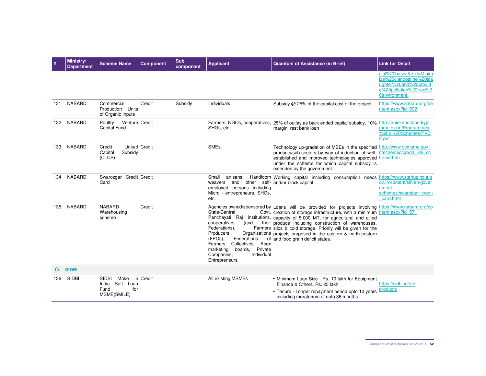| #   | <b>Ministry/</b><br><b>Department</b> | <b>Scheme Name</b>                                             | <b>Component</b> | Sub<br>component | <b>Applicant</b>                                                                                                                                                                                                   | <b>Quantum of Assistance (in Brief)</b>                                                                                                                                                                                                                                                                                                                                                                                                                                                           | <b>Link for Detail</b>                                                                                                  |
|-----|---------------------------------------|----------------------------------------------------------------|------------------|------------------|--------------------------------------------------------------------------------------------------------------------------------------------------------------------------------------------------------------------|---------------------------------------------------------------------------------------------------------------------------------------------------------------------------------------------------------------------------------------------------------------------------------------------------------------------------------------------------------------------------------------------------------------------------------------------------------------------------------------------------|-------------------------------------------------------------------------------------------------------------------------|
|     |                                       |                                                                |                  |                  |                                                                                                                                                                                                                    |                                                                                                                                                                                                                                                                                                                                                                                                                                                                                                   | cial%20basis.&text=Minim<br>ize%20clandestine%20sla<br>ughter%20and%20provid<br>e%20pollution%20free%2<br>0environment. |
| 131 | <b>NABARD</b>                         | Commercial<br>Production Units<br>of Organic Inputs            | Credit           | Subsidy          | Individuals                                                                                                                                                                                                        | Subsidy $@$ 25% of the capital cost of the project                                                                                                                                                                                                                                                                                                                                                                                                                                                | https://www.nabard.org/co<br>ntent.aspx?id=592                                                                          |
| 132 | <b>NABARD</b>                         | Poultry<br>Venture Credit<br>Capital Fund                      |                  |                  | SHGs, etc.                                                                                                                                                                                                         | Farmers, NGOs, cooperatives, 25% of outlay as back ended capital subsidy, 10% http://animalhusbandryja<br>margin, rest bank loan                                                                                                                                                                                                                                                                                                                                                                  | mmu.nic.in/Programmes<br>%20&%20Schemes/PVC<br>F.pdf                                                                    |
| 133 | <b>NABARD</b>                         | <b>Linked Credit</b><br>Credit<br>Subsidy<br>Capital<br>(CLCS) |                  |                  | SME <sub>s</sub> .                                                                                                                                                                                                 | Technology up-gradation of MSEs in the specified http://www.dcmsme.gov.i<br>products/sub-sectors by way of induction of well- n/schemes/credit link sc<br>established and improved technologies approved heme.htm<br>under the scheme for which capital subsidy is<br>extended by the government.                                                                                                                                                                                                 |                                                                                                                         |
| 134 | <b>NABARD</b>                         | Swarozgar Credit Credit<br>Card                                |                  |                  | Small<br>artisans,<br>weavers<br>employed persons including<br>Micro - entrepreneurs, SHGs,<br>etc.                                                                                                                | Handloom Working capital including consumption needs https://www.startupindia.g<br>and other self- and/or block capital                                                                                                                                                                                                                                                                                                                                                                           | ov.in/content/sih/en/gover<br>nment-<br>schemes/swarojgar credit<br>card.html                                           |
| 135 | <b>NABARD</b>                         | <b>NABARD</b><br>Warehousing<br>scheme                         | Credit           |                  | State/Central<br>cooperatives<br>(and<br>Federations),<br><b>Producers</b><br>(FPOs),<br>Federations<br>Collectives, Apex<br>Farmers<br>boards, Private<br>marketing<br>Individual<br>Companies,<br>Entrepreneurs. | Agencies owned/sponsored by Loans will be provided for projects involving https://www.nabard.org/co<br>Govt, creation of storage infrastructure, with a minimum ntent.aspx?id=571<br>Panchayati Raj institutions, capacity of 5,000 MT, for agricultural and allied<br>their produce including construction of warehouses,<br>Farmers silos & cold storage. Priority will be given for the<br>Organisations projects proposed in the eastern & north-eastern<br>of and food grain deficit states. |                                                                                                                         |
| О.  | <b>SIDBI</b>                          |                                                                |                  |                  |                                                                                                                                                                                                                    |                                                                                                                                                                                                                                                                                                                                                                                                                                                                                                   |                                                                                                                         |
| 136 | <b>SIDBI</b>                          | Make in Credit<br><b>SIDBI</b><br>Soft Loan<br>India           |                  |                  | All existing MSMEs                                                                                                                                                                                                 | • Minimum Loan Size - Rs. 10 lakh for Equipment<br>Finance & Others, Rs. 25 lakh.                                                                                                                                                                                                                                                                                                                                                                                                                 | https://sidbi.in/en/                                                                                                    |
|     |                                       | for<br>Fund<br>MSME(SMILE)                                     |                  |                  |                                                                                                                                                                                                                    | • Tenure - Longer repayment period upto 10 years<br>including moratorium of upto 36 months                                                                                                                                                                                                                                                                                                                                                                                                        | products                                                                                                                |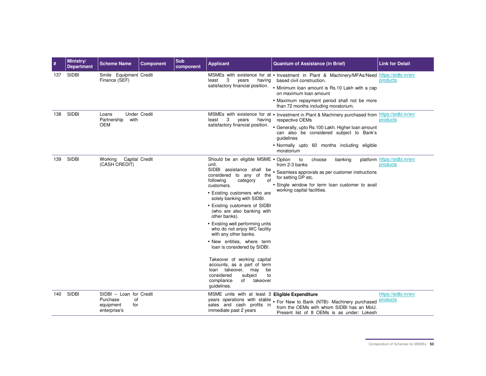| #   | Ministry/<br><b>Department</b> | <b>Scheme Name</b>                                                            | <b>Component</b>    | Sub<br>component | <b>Applicant</b>                                                                                                                                                                                                                                                                                                                                                                                                                                                                                                                                                                                          | <b>Quantum of Assistance (in Brief)</b>                                                                                                                                                                                                                                                           | <b>Link for Detail</b>                    |
|-----|--------------------------------|-------------------------------------------------------------------------------|---------------------|------------------|-----------------------------------------------------------------------------------------------------------------------------------------------------------------------------------------------------------------------------------------------------------------------------------------------------------------------------------------------------------------------------------------------------------------------------------------------------------------------------------------------------------------------------------------------------------------------------------------------------------|---------------------------------------------------------------------------------------------------------------------------------------------------------------------------------------------------------------------------------------------------------------------------------------------------|-------------------------------------------|
| 137 | <b>SIDBI</b>                   | Smile Equipment Credit<br>Finance (SEF)                                       |                     |                  | 3<br>least<br>years<br>having<br>satisfactory financial position.                                                                                                                                                                                                                                                                                                                                                                                                                                                                                                                                         | MSMEs with existence for at . Investment in Plant & Machinery/MFAs/Need https://sidbi.in/en/<br>based civil construction.<br>• Minimum loan amount is Rs.10 Lakh with a cap<br>on maximum loan amount<br>• Maximum repayment period shall not be more<br>than 72 months including moratorium.     | products                                  |
| 138 | <b>SIDBI</b>                   | Loans<br>Partnership<br>with<br><b>OEM</b>                                    | <b>Under Credit</b> |                  | 3<br>years<br>least<br>having<br>satisfactory financial position.                                                                                                                                                                                                                                                                                                                                                                                                                                                                                                                                         | MSMEs with existence for at . Investment in Plant & Machinery purchased from https://sidbi.in/en/<br>respective OEMs<br>• Generally, upto Rs.100 Lakh. Higher loan amount<br>can also be considered subject to Bank's<br>guidelines<br>• Normally upto 60 months including eligible<br>moratorium | products                                  |
| 139 | <b>SIDBI</b>                   | Capital Credit<br>Working<br>(CASH CREDIT)                                    |                     |                  | Should be an eligible MSME . Option<br>unit.<br>considered to any of<br>the<br>following<br>category<br>οf<br>customers.<br>• Existing customers who are<br>solely banking with SIDBI.<br>• Existing customers of SIDBI<br>(who are also banking with<br>other banks).<br>• Existing well performing units<br>who do not enjoy WC facility<br>with any other banks.<br>• New entities, where term<br>loan is considered by SIDBI.<br>Takeover of working capital<br>accounts, as a part of term<br>loan takeover, may<br>be<br>considered<br>subject<br>to<br>compliance<br>of<br>takeover<br>guidelines. | banking<br>to<br>choose<br>from 2-3 banks<br>SIDBI assistance shall be $\bullet$ Seamless approvals as per customer instructions<br>for setting DP etc.<br>• Single window for term loan customer to avail<br>working capital facilities.                                                         | platform https://sidbi.in/en/<br>products |
| 140 | <b>SIDBI</b>                   | SIDBI - Loan for Credit<br>Purchase<br>of<br>equipment<br>for<br>enterprise's |                     |                  | MSME units with at least 3 Eligible Expenditure<br>sales and cash profits in<br>immediate past 2 years                                                                                                                                                                                                                                                                                                                                                                                                                                                                                                    | years operations with stable · For New to Bank (NTB) Machinery purchased<br>from the OEMs with whom SIDBI has an MoU.<br>Present list of 8 OEMs is as under: Lokesh                                                                                                                               | https://sidbi.in/en/<br>products          |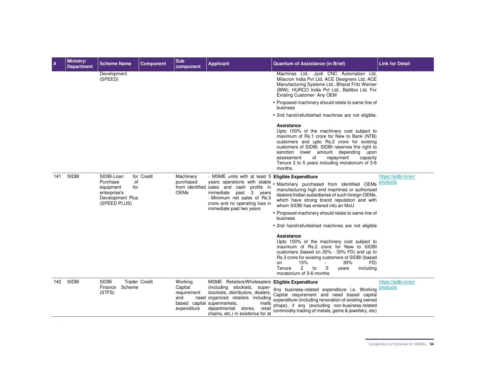| #   | Ministry/<br><b>Department</b> | <b>Scheme Name</b>                                                                     | <b>Component</b>     | Sub<br>component                                                            | <b>Applicant</b>                                                                                                                                                                        | <b>Quantum of Assistance (in Brief)</b>                                                                                                                                                                                                                                                                                                                     | <b>Link for Detail</b> |
|-----|--------------------------------|----------------------------------------------------------------------------------------|----------------------|-----------------------------------------------------------------------------|-----------------------------------------------------------------------------------------------------------------------------------------------------------------------------------------|-------------------------------------------------------------------------------------------------------------------------------------------------------------------------------------------------------------------------------------------------------------------------------------------------------------------------------------------------------------|------------------------|
|     |                                | Development<br>(SPEED)                                                                 |                      |                                                                             |                                                                                                                                                                                         | Machines Ltd., Jyoti CNC Automation Ltd,<br>Milacron India Pvt Ltd, ACE Designers Ltd, ACE<br>Manufacturing Systems Ltd., Bharat Fritz Werner<br>(BfW), HURCO India Pvt Ltd., Batliboi Ltd. For<br>Existing Customer- Any OEM<br>• Proposed machinery should relate to same line of<br>business<br>• 2nd hand/refurbished machines are not eligible.        |                        |
|     |                                |                                                                                        |                      |                                                                             |                                                                                                                                                                                         | Assistance<br>Upto 100% of the machinery cost subject to<br>maximum of Rs.1 crore for New to Bank (NTB)<br>customers and upto Rs.2 crore for existing<br>customers of SIDBI. SIDBI reserves the right to<br>sanction lower amount depending upon<br>assessment<br>of<br>repayment<br>capacity<br>Tenure 2 to 5 years including moratorium of 3-6<br>months. |                        |
| 141 | <b>SIDBI</b>                   | SIDBI-Loan                                                                             | for Credit           | Machinery                                                                   | · MSME units with at least 5 Eligible Expenditure                                                                                                                                       |                                                                                                                                                                                                                                                                                                                                                             | https://sidbi.in/en/   |
|     |                                | of<br>Purchase<br>equipment<br>for<br>enterprise's<br>Development Plus<br>(SPEED PLUS) |                      | purchased<br><b>OEMs</b>                                                    | from identified sales and cash profits in<br>past 3 years<br>immediate<br>· Minimum net sales of Rs.5<br>crore and no operating loss in<br>immediate past two years                     | years operations with stable · Machinery purchased from identified OEMs<br>manufacturing high end machines or authorised<br>dealers/Indian subsidiaries of such foreign OEMs,<br>which have strong brand reputation and with<br>whom SIDBI has entered into an MoU                                                                                          | products               |
|     |                                |                                                                                        |                      |                                                                             |                                                                                                                                                                                         | • Proposed machinery should relate to same line of<br>business                                                                                                                                                                                                                                                                                              |                        |
|     |                                |                                                                                        |                      |                                                                             |                                                                                                                                                                                         | • 2nd hand/refurbished machines are not eligible                                                                                                                                                                                                                                                                                                            |                        |
|     |                                |                                                                                        |                      |                                                                             |                                                                                                                                                                                         | <b>Assistance</b><br>Upto 100% of the machinery cost subject to<br>maximum of Rs.2 crore for New to SIDBI<br>customers (based on 20% - 30% FD) and up to<br>Rs.3 crore for existing customers of SIDBI (based<br>15%<br>30%<br>FD)<br>on<br>$\overline{2}$<br>5<br>Tenure<br>to<br>vears<br>including<br>moratorium of 3-6 months                           |                        |
| 142 | <b>SIDBI</b>                   | <b>SIDBI</b>                                                                           | <b>Trader Credit</b> | Working                                                                     | MSME Retailers/Wholesalers Eligible Expenditure                                                                                                                                         |                                                                                                                                                                                                                                                                                                                                                             | https://sidbi.in/en/   |
|     |                                | Finance<br>Scheme<br>(STFS)                                                            |                      | Capital<br>requirement<br>and<br>based capital supermarkets.<br>expenditure | (including stockists, super-<br>stockists, distributors, dealers,<br>need organized retailers including<br>malls<br>departmental stores,<br>retail<br>chains, etc.) in existence for at | Any business-related expenditure i.e. Working<br>Capital requirement and need based capital<br>expenditure (including renovation of existing owned<br>shops), if any (excluding non-business-related<br>commodity trading of metals, gems & jewellery, etc)                                                                                                 | products               |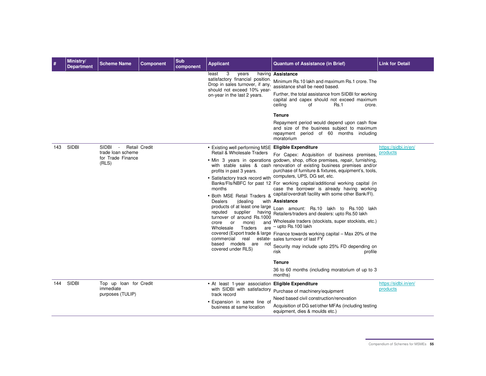| #   | Ministry/<br><b>Department</b> | <b>Scheme Name</b>                                                 | <b>Component</b> | <b>Sub</b><br>component | <b>Applicant</b>                                                                                                                                                                                                                                                                                                                                                                                        | <b>Quantum of Assistance (in Brief)</b>                                                                                                                                                                                                                                                                                                                                                                                                                                                                                                                                                                                                                                                                                                                                                                                                                                                                                   | <b>Link for Detail</b>           |
|-----|--------------------------------|--------------------------------------------------------------------|------------------|-------------------------|---------------------------------------------------------------------------------------------------------------------------------------------------------------------------------------------------------------------------------------------------------------------------------------------------------------------------------------------------------------------------------------------------------|---------------------------------------------------------------------------------------------------------------------------------------------------------------------------------------------------------------------------------------------------------------------------------------------------------------------------------------------------------------------------------------------------------------------------------------------------------------------------------------------------------------------------------------------------------------------------------------------------------------------------------------------------------------------------------------------------------------------------------------------------------------------------------------------------------------------------------------------------------------------------------------------------------------------------|----------------------------------|
|     |                                |                                                                    |                  |                         | 3<br>least<br>years<br>satisfactory financial position.<br>Drop in sales turnover, if any<br>should not exceed 10% year-<br>on-year in the last 2 years.                                                                                                                                                                                                                                                | having Assistance<br>Minimum Rs.10 lakh and maximum Rs.1 crore. The<br>assistance shall be need based.<br>Further, the total assistance from SIDBI for working<br>capital and capex should not exceed maximum<br>ceiling<br>of<br>Rs.1<br>crore.<br><b>Tenure</b><br>Repayment period would depend upon cash flow<br>and size of the business subject to maximum<br>repayment period of 60 months including<br>moratorium                                                                                                                                                                                                                                                                                                                                                                                                                                                                                                 |                                  |
| 143 | SIDBI                          | SIDBI<br>$\sim$<br>trade loan scheme<br>for Trade Finance<br>(RLS) | Retail Credit    |                         | • Existing well performing MSE Eligible Expenditure<br>Retail & Wholesale Traders<br>profits in past 3 years.<br>• Satisfactory track record with<br>months<br>· Both MSE Retail Traders &<br>(dealing<br>Dealers<br>supplier<br>reputed<br>having<br>turnover of around Rs.1000<br>more)<br>crore<br>or<br>Wholesale<br>Traders<br>commercial<br>real<br>based models are<br>not<br>covered under RLS) | For Capex: Acquisition of business premises,<br>• Min 3 years in operations godown, shop, office premises, repair, furnishing,<br>with stable sales & cash renovation of existing business premises and/or<br>purchase of furniture & fixtures, equipment's, tools,<br>computers, UPS, DG set, etc.<br>Banks/FIs/NBFC for past 12 For working capital/additional working capital (in<br>case the borrower is already having working<br>capital/overdraft facility with some other Bank/FI).<br>with Assistance<br>products of at least one large Loan amount: Rs.10 lakh to Rs.100 lakh<br>Retailers/traders and dealers: upto Rs.50 lakh<br>and Wholesale traders (stockists, super stockists, etc.)<br>are - upto Rs.100 lakh<br>covered (Export trade & large Finance towards working capital - Max 20% of the<br>estate-sales turnover of last FY<br>Security may include upto 25% FD depending on<br>risk<br>profile | https://sidbi.in/en/<br>products |
| 144 | <b>SIDBI</b>                   | Top up loan for Credit<br>immediate<br>purposes (TULIP)            |                  |                         | • At least 1-year association Eligible Expenditure<br>track record<br>• Expansion in same line of<br>business at same location                                                                                                                                                                                                                                                                          | <b>Tenure</b><br>36 to 60 months (including moratorium of up to 3<br>months)<br>with SIDBI with satisfactory Purchase of machinery/equipment<br>Need based civil construction/renovation<br>Acquisition of DG set/other MFAs (including testing<br>equipment, dies & moulds etc.)                                                                                                                                                                                                                                                                                                                                                                                                                                                                                                                                                                                                                                         | https://sidbi.in/en/<br>products |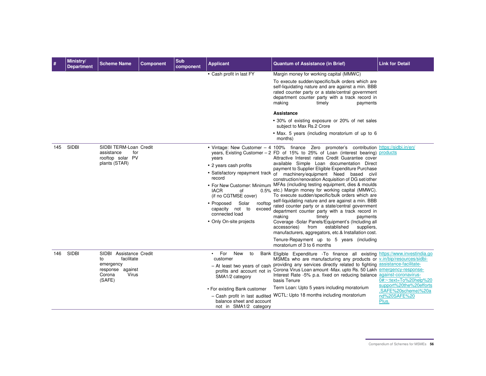| #   | Ministry/<br><b>Department</b> | <b>Scheme Name</b>                                                                                        | <b>Component</b> | Sub<br>component | <b>Applicant</b>                                                                                                                                                                                                                      | Quantum of Assistance (in Brief)                                                                                                                                                                                                                                                                                                                                                                                                                                                                                                                                                                                                                                                                                                                                                                                                                                                                                                                                                                                                                                                                               | <b>Link for Detail</b>                                                                                                    |
|-----|--------------------------------|-----------------------------------------------------------------------------------------------------------|------------------|------------------|---------------------------------------------------------------------------------------------------------------------------------------------------------------------------------------------------------------------------------------|----------------------------------------------------------------------------------------------------------------------------------------------------------------------------------------------------------------------------------------------------------------------------------------------------------------------------------------------------------------------------------------------------------------------------------------------------------------------------------------------------------------------------------------------------------------------------------------------------------------------------------------------------------------------------------------------------------------------------------------------------------------------------------------------------------------------------------------------------------------------------------------------------------------------------------------------------------------------------------------------------------------------------------------------------------------------------------------------------------------|---------------------------------------------------------------------------------------------------------------------------|
|     |                                |                                                                                                           |                  |                  | • Cash profit in last FY                                                                                                                                                                                                              | Margin money for working capital (MMWC)<br>To execute sudden/specific/bulk orders which are<br>self-liquidating nature and are against a min. BBB<br>rated counter party or a state/central government<br>department counter party with a track record in<br>making<br>timely<br>payments<br>Assistance<br>• 30% of existing exposure or 20% of net sales<br>subject to Max Rs.2 Crore<br>• Max. 5 years (including moratorium of up to 6<br>months)                                                                                                                                                                                                                                                                                                                                                                                                                                                                                                                                                                                                                                                           |                                                                                                                           |
| 145 | <b>SIDBI</b>                   | SIDBI TERM-Loan Credit<br>assistance<br>for<br>rooftop solar PV<br>plants (STAR)                          |                  |                  | years<br>• 2 years cash profits<br>record<br><b>IACR</b><br>of<br>(if no CGTMSE cover)<br>Solar<br>• Proposed<br>rooftop<br>capacity not to<br>exceed<br>connected load<br>• Only On-site projects                                    | • Vintage: New Customer - 4 100% finance Zero promoter's contribution https://sidbi.in/en/<br>years, Existing Customer - 2 FD of 15% to 25% of Loan (interest bearing) products<br>Attractive Interest rates Credit Guarantee cover<br>available Simple Loan documentation Direct<br>payment to Supplier Eligible Expenditure Purchase<br>· Satisfactory repayment track of machinery/equipment Need based civil<br>construction/renovation Acquisition of DG set/other<br>• For New Customer: Minimum MFAs (including testing equipment, dies & moulds<br>0.5% etc.) Margin money for working capital (MMWC).<br>To execute sudden/specific/bulk orders which are<br>self-liquidating nature and are against a min. BBB<br>rated counter party or a state/central government<br>department counter party with a track record in<br>making<br>timely<br>payments<br>Coverage -Solar Panels/Equipment's (Including all<br>established<br>accessories)<br>from<br>suppliers,<br>manufacturers, aggregators, etc.& Installation cost.<br>Tenure-Repayment up to 5 years (including<br>moratorium of 3 to 6 months |                                                                                                                           |
| 146 | <b>SIDBI</b>                   | SIDBI Assistance Credit<br>facilitate<br>to<br>emergency<br>response against<br>Corona<br>Virus<br>(SAFE) |                  |                  | For<br>New<br>to<br>customer<br>- At least two years of cash<br>profits and account not in<br>SMA1/2 category<br>• For existing Bank customer<br>- Cash profit in last audited<br>balance sheet and account<br>not in SMA1/2 category | Bank Eligible Expenditure -To finance all existing https://www.investindia.go<br>MSMEs who are manufacturing any products or v.in/bip/resources/sidbi-<br>providing any services directly related to fighting assistance-facilitate-<br>Corona Virus Loan amount -Max. upto Rs. 50 Lakh emergency-response-<br>Interest Rate -5% p.a. fixed on reducing balance<br>basis Tenure<br>Term Loan: Upto 5 years including moratorium<br>WCTL: Upto 18 months including moratorium                                                                                                                                                                                                                                                                                                                                                                                                                                                                                                                                                                                                                                   | against-coronavirus-<br>0#:~:text=To%20help%20<br>support%20the%20efforts<br>,SAFE%20scheme)%20a<br>nd%20SAFE%20<br>Plus. |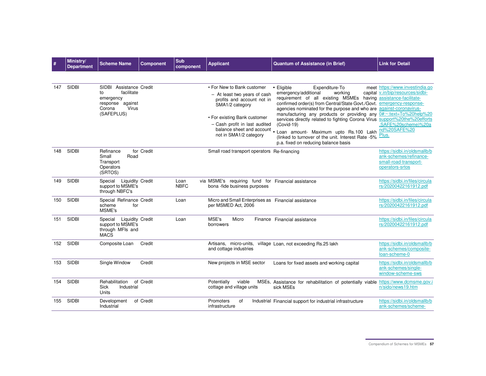| #   | Ministry/<br><b>Department</b> | <b>Scheme Name</b>                                                                                            | <b>Component</b> | <b>Sub</b><br>component | <b>Applicant</b>                                                                                                                                                                                       | <b>Quantum of Assistance (in Brief)</b>                                                                                                                                                                                                                                                                                                                                                                                                                                                                                                                                                           | <b>Link for Detail</b>                                                                                                                         |
|-----|--------------------------------|---------------------------------------------------------------------------------------------------------------|------------------|-------------------------|--------------------------------------------------------------------------------------------------------------------------------------------------------------------------------------------------------|---------------------------------------------------------------------------------------------------------------------------------------------------------------------------------------------------------------------------------------------------------------------------------------------------------------------------------------------------------------------------------------------------------------------------------------------------------------------------------------------------------------------------------------------------------------------------------------------------|------------------------------------------------------------------------------------------------------------------------------------------------|
|     |                                |                                                                                                               |                  |                         |                                                                                                                                                                                                        |                                                                                                                                                                                                                                                                                                                                                                                                                                                                                                                                                                                                   |                                                                                                                                                |
| 147 | <b>SIDBI</b>                   | SIDBI Assistance Credit<br>facilitate<br>to<br>emergency<br>response against<br>Corona<br>Virus<br>(SAFEPLUS) |                  |                         | • For New to Bank customer<br>- At least two years of cash<br>profits and account not in<br>SMA1/2 category<br>• For existing Bank customer<br>- Cash profit in last audited<br>not in SMA1/2 category | • Eligible<br>Expenditure-To<br>working<br>emergency/additional<br>requirement of all existing MSMEs having assistance-facilitate-<br>confirmed order(s) from Central/State Govt./Govt. emergency-response-<br>agencies nominated for the purpose and who are against-coronavirus-<br>manufacturing any products or providing any 0#:~: text=To%20help%20<br>services directly related to fighting Corona Virus<br>$(Covid-19)$<br>balance sheet and account . Loan amount Maximum upto Rs.100 Lakh<br>(linked to turnover of the unit. Interest Rate -5%<br>p.a. fixed on reducing balance basis | meet https://www.investindia.go<br>capital v.in/bip/resources/sidbi-<br>support%20the%20efforts<br>SAFE%20scheme)%20a<br>nd%20SAFE%20<br>Plus. |
| 148 | <b>SIDBI</b>                   | Refinance<br>Small<br>Road<br>Transport<br>Operators<br>(SRTOS)                                               | for Credit       |                         | Small road transport operators Re-financing                                                                                                                                                            |                                                                                                                                                                                                                                                                                                                                                                                                                                                                                                                                                                                                   | https://sidbi.in/oldsmallb/b<br>ank-schemes/refinance-<br>small-road-transport-<br>operators-srtos                                             |
| 149 | <b>SIDBI</b>                   | <b>Liquidity Credit</b><br>Special<br>support to MSME's<br>through NBFC's                                     |                  | Loan<br><b>NBFC</b>     | via MSME's requiring fund for Financial assistance<br>bona -fide business purposes                                                                                                                     |                                                                                                                                                                                                                                                                                                                                                                                                                                                                                                                                                                                                   | https://sidbi.in/files/circula<br>rs/20200422161912.pdf                                                                                        |
| 150 | <b>SIDBI</b>                   | Special Refinance Credit<br>for<br>scheme<br><b>MSME's</b>                                                    |                  | Loan                    | Micro and Small Enterprises as Financial assistance<br>per MSMED Act, 2006                                                                                                                             |                                                                                                                                                                                                                                                                                                                                                                                                                                                                                                                                                                                                   | https://sidbi.in/files/circula<br>rs/20200422161912.pdf                                                                                        |
| 151 | <b>SIDBI</b>                   | <b>Liquidity Credit</b><br>Special<br>support to MSME's<br>through MFIs and<br><b>MACS</b>                    |                  | Loan                    | MSE's<br>Micro<br>borrowers                                                                                                                                                                            | Finance Financial assistance                                                                                                                                                                                                                                                                                                                                                                                                                                                                                                                                                                      | https://sidbi.in/files/circula<br>rs/20200422161912.pdf                                                                                        |
| 152 | <b>SIDBI</b>                   | Composite Loan                                                                                                | Credit           |                         | and cottage industries                                                                                                                                                                                 | Artisans, micro-units, village Loan, not exceeding Rs.25 lakh                                                                                                                                                                                                                                                                                                                                                                                                                                                                                                                                     | https://sidbi.in/oldsmallb/b<br>ank-schemes/composite-<br>loan-scheme-0                                                                        |
| 153 | SIDBI                          | Single Window                                                                                                 | Credit           |                         | New projects in MSE sector                                                                                                                                                                             | Loans for fixed assets and working capital                                                                                                                                                                                                                                                                                                                                                                                                                                                                                                                                                        | https://sidbi.in/oldsmallb/b<br>ank-schemes/single-<br>window-scheme-sws                                                                       |
| 154 | <b>SIDBI</b>                   | Rehabilitation<br><b>Sick</b><br>Industrial<br>Units                                                          | of Credit        |                         | viable<br>Potentially<br>cottage and village units                                                                                                                                                     | MSEs, Assistance for rehabilitation of potentially viable<br>sick MSEs                                                                                                                                                                                                                                                                                                                                                                                                                                                                                                                            | https://www.dcmsme.gov.i<br>n/sido/news19.htm                                                                                                  |
| 155 | SIDBI                          | Development<br>Industrial                                                                                     | of Credit        |                         | Promoters<br>οf<br>infrastructure                                                                                                                                                                      | Industrial Financial support for industrial infrastructure                                                                                                                                                                                                                                                                                                                                                                                                                                                                                                                                        | https://sidbi.in/oldsmallb/b<br>ank-schemes/scheme-                                                                                            |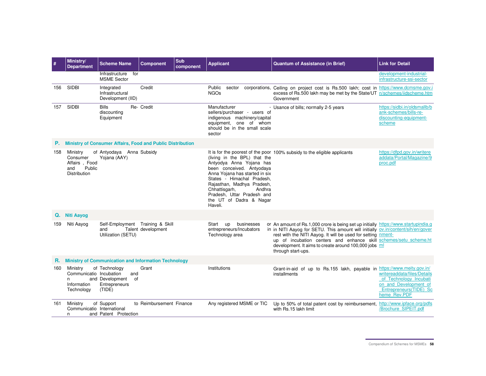| #   | Ministry/<br><b>Department</b>                                                | <b>Scheme Name</b>                                                       | <b>Component</b>         | Sub<br>component | <b>Applicant</b>                                                                                                                                                                                                                                                                   | <b>Quantum of Assistance (in Brief)</b>                                                                                                                                                                                                                                                                                                                                                     | <b>Link for Detail</b>                                                                                                    |
|-----|-------------------------------------------------------------------------------|--------------------------------------------------------------------------|--------------------------|------------------|------------------------------------------------------------------------------------------------------------------------------------------------------------------------------------------------------------------------------------------------------------------------------------|---------------------------------------------------------------------------------------------------------------------------------------------------------------------------------------------------------------------------------------------------------------------------------------------------------------------------------------------------------------------------------------------|---------------------------------------------------------------------------------------------------------------------------|
|     |                                                                               | Infrastructure for<br><b>MSME Sector</b>                                 |                          |                  |                                                                                                                                                                                                                                                                                    |                                                                                                                                                                                                                                                                                                                                                                                             | development-industrial-<br>infrastructure-ssi-sector                                                                      |
| 156 | <b>SIDBI</b>                                                                  | Integrated<br>Infrastructural<br>Development (IID)                       | Credit                   |                  | <b>NGOs</b>                                                                                                                                                                                                                                                                        | Public sector corporations, Ceiling on project cost is Rs.500 lakh; cost in https://www.dcmsme.gov.i<br>excess of Rs.500 lakh may be met by the State/UT n/schemes/iidscheme.htm<br>Government                                                                                                                                                                                              |                                                                                                                           |
| 157 | <b>SIDBI</b>                                                                  | <b>Bills</b><br>discounting<br>Equipment                                 | Re- Credit               |                  | Manufacturer<br>sellers/purchaser - users of<br>indigenous machinery/capital<br>equipment, one of whom<br>should be in the small scale<br>sector                                                                                                                                   | - Usance of bills; normally 2-5 years                                                                                                                                                                                                                                                                                                                                                       | https://sidbi.in/oldsmallb/b<br>ank-schemes/bills-re-<br>discounting-equipment-<br>scheme                                 |
| Р.  |                                                                               | Ministry of Consumer Affairs, Food and Public Distribution               |                          |                  |                                                                                                                                                                                                                                                                                    |                                                                                                                                                                                                                                                                                                                                                                                             |                                                                                                                           |
| 158 | Ministry<br>Consumer<br>Affairs, Food<br>Public<br>and<br><b>Distribution</b> | of Antyodaya Anna Subsidy<br>Yojana (AAY)                                |                          |                  | (living in the BPL) that the<br>Antyodya Anna Yojana has<br>been conceived. Antyodaya<br>Anna Yojana has started in six<br>States - Himachal Pradesh,<br>Rajasthan, Madhya Pradesh,<br>Chhattisgarh,<br>Andhra<br>Pradesh, Uttar Pradesh and<br>the UT of Dadra & Nagar<br>Haveli. | It is for the poorest of the poor 100% subsidy to the eligible applicants                                                                                                                                                                                                                                                                                                                   | https://dfpd.gov.in/writere<br>addata/Portal/Magazine/9<br>proc.pdf                                                       |
|     | Q. Niti Aayog                                                                 |                                                                          |                          |                  |                                                                                                                                                                                                                                                                                    |                                                                                                                                                                                                                                                                                                                                                                                             |                                                                                                                           |
| 159 | Niti Aayog                                                                    | Self-Employment Training & Skill<br>and<br>Utilization (SETU)            | Talent development       |                  | businesses<br>Start up<br>entrepreneurs/Incubators<br>Technology area                                                                                                                                                                                                              | or An amount of Rs.1,000 crore is being set up initially https://www.startupindia.g<br>in in NITI Aayog for SETU. This amount will initially ov.in/content/sih/en/gover<br>rest with the NITI Aayog. It will be used for setting nment-<br>up of incubation centers and enhance skill schemes/setu scheme.ht<br>development. It aims to create around 100,000 jobs ml<br>through start-ups. |                                                                                                                           |
| R.  |                                                                               | <b>Ministry of Communication and Information Technology</b>              |                          |                  |                                                                                                                                                                                                                                                                                    |                                                                                                                                                                                                                                                                                                                                                                                             |                                                                                                                           |
| 160 | Ministry<br>Communicatio Incubation<br>n<br>Information<br>Technology         | of Technology<br>and<br>and Development<br>of<br>Entrepreneurs<br>(TIDE) | Grant                    |                  | Institutions                                                                                                                                                                                                                                                                       | Grant-in-aid of up to Rs.155 lakh, payable in https://www.meity.gov.in/<br>installments                                                                                                                                                                                                                                                                                                     | writereaddata/files/Details<br>of Technology Incubati<br>on and Development of<br>Entrepreneurs (TIDE) Sc<br>heme Rev.PDF |
| 161 | Ministry<br>Communicatio International<br>n                                   | of Support<br>and Patent Protection                                      | to Reimbursement Finance |                  | Any registered MSME or TIC                                                                                                                                                                                                                                                         | Up to 50% of total patent cost by reimbursement, http://www.ipface.org/pdfs<br>with Rs.15 lakh limit                                                                                                                                                                                                                                                                                        | /Brochure SIPEIT.pdf                                                                                                      |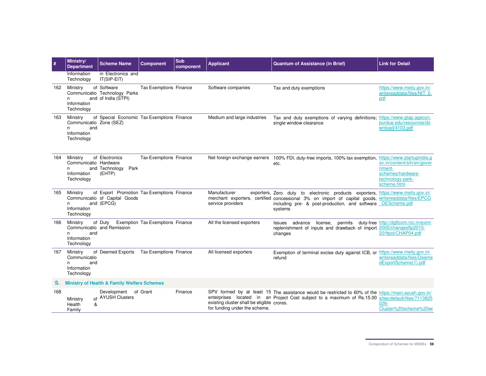| #   | Ministry/<br><b>Department</b>                                               | <b>Scheme Name</b>                                                                        | <b>Component</b>                 | Sub<br>component | <b>Applicant</b>                                                            | <b>Quantum of Assistance (in Brief)</b>                                                                                                                                                                                                                                 | <b>Link for Detail</b>                                                                       |
|-----|------------------------------------------------------------------------------|-------------------------------------------------------------------------------------------|----------------------------------|------------------|-----------------------------------------------------------------------------|-------------------------------------------------------------------------------------------------------------------------------------------------------------------------------------------------------------------------------------------------------------------------|----------------------------------------------------------------------------------------------|
|     | Information<br>Technology                                                    | in Electronics and<br>IT(SIP-EIT)                                                         |                                  |                  |                                                                             |                                                                                                                                                                                                                                                                         |                                                                                              |
| 162 | Ministry<br>n.<br>Information<br>Technology                                  | of Software<br>Communicatio Technology Parks<br>and of India (STPI)                       | <b>Tax Exemptions Finance</b>    |                  | Software companies                                                          | Tax and duty exemptions                                                                                                                                                                                                                                                 | https://www.meity.gov.in/<br>writereaddata/files/NIT 0.<br>pdf                               |
| 163 | Ministry<br>Communicatio Zone (SEZ)<br>and<br>n<br>Information<br>Technology | of Special Economic Tax Exemptions Finance                                                |                                  |                  | Medium and large industries                                                 | Tax and duty exemptions of varying definitions; https://www.gtap.agecon.<br>single window clearance                                                                                                                                                                     | purdue.edu/resources/do<br>wnload/4103.pdf                                                   |
| 164 | Ministry<br>Communicatio Hardware<br>n<br>Information<br>Technology          | of Electronics<br>and Technology<br>Park<br>(EHTP)                                        | <b>Tax Exemptions Finance</b>    |                  |                                                                             | Net foreign exchange earners 100% FDI, duty-free imports, 100% tax exemption, https://www.startupindia.g<br>etc.                                                                                                                                                        | ov.in/content/sih/en/gover<br>nment-<br>schemes/hardware-<br>technology-park-<br>scheme.html |
| 165 | Ministry<br>n<br>Information<br>Technology                                   | of Export Promotion Tax Exemptions Finance<br>Communicatio of Capital Goods<br>and (EPCG) |                                  |                  | Manufacturer<br>service providers                                           | exporters, Zero duty to electronic products exporters, https://www.meity.gov.in/<br>merchant exporters, certified concessional 3% on import of capital goods, writereaddata/files/EPCG<br>including pre- & post-production, and software <b>DEScheme.pdf</b><br>systems |                                                                                              |
| 166 | Ministry<br>and<br>n<br>Information<br>Technology                            | of Duty<br>Communicatio and Remission                                                     | Exemption Tax Exemptions Finance |                  | All the licensed exporters                                                  | license,<br>advance<br>Issues<br>replenishment of inputs and drawback of import 2000/changesftp2015-<br>changes                                                                                                                                                         | permits duty-free http://dgftcom.nic.in/exim/<br>20/ftpol/CHAP04.pdf                         |
| 167 | Ministry<br>Communicatio<br>and<br>n.<br>Information<br>Technology           | of Deemed Exports                                                                         | <b>Tax Exemptions Finance</b>    |                  | All licensed exporters                                                      | Exemption of terminal excise duty against ICB, or https://www.meity.gov.in/<br>refund                                                                                                                                                                                   | writereaddata/files/Deeme<br>dExportScheme(1).pdf                                            |
| S.  |                                                                              | <b>Ministry of Health &amp; Family Welfare Schemes</b>                                    |                                  |                  |                                                                             |                                                                                                                                                                                                                                                                         |                                                                                              |
| 168 | Ministry<br>Health<br>&<br>Family                                            | Development of Grant<br>of AYUSH Clusters                                                 |                                  | Finance          | existing cluster shall be eligible crores.<br>for funding under the scheme. | SPV formed by at least 15 The assistance would be restricted to 60% of the https://main.ayush.gov.in/<br>enterprises located in an Project Cost subject to a maximum of Rs.15.00 sites/default/files/7113825                                                            | 026-<br>Cluster%20scheme%20wi                                                                |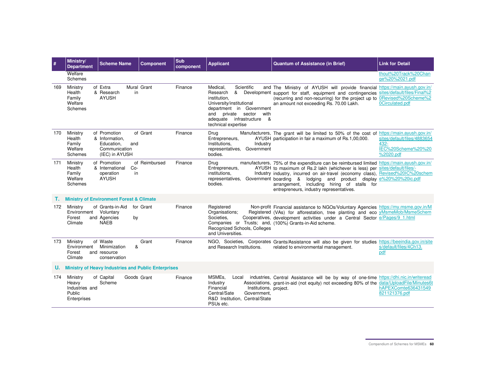| #   | Ministry/<br><b>Department</b>                               | <b>Scheme Name</b>                                                                     | <b>Component</b> | <b>Sub</b><br>component | <b>Applicant</b>                                                                                                                                                                                     | <b>Quantum of Assistance (in Brief)</b>                                                                                                                                                                                                                                                                                                                                                                             | <b>Link for Detail</b>                                                                               |
|-----|--------------------------------------------------------------|----------------------------------------------------------------------------------------|------------------|-------------------------|------------------------------------------------------------------------------------------------------------------------------------------------------------------------------------------------------|---------------------------------------------------------------------------------------------------------------------------------------------------------------------------------------------------------------------------------------------------------------------------------------------------------------------------------------------------------------------------------------------------------------------|------------------------------------------------------------------------------------------------------|
|     | Welfare<br><b>Schemes</b>                                    |                                                                                        |                  |                         |                                                                                                                                                                                                      |                                                                                                                                                                                                                                                                                                                                                                                                                     | thout%20Track%20Chan<br>qe%20%2021.pdf                                                               |
| 169 | Ministry<br>Health<br>Family<br>Welfare<br>Schemes           | of Extra<br>& Research<br>in<br><b>AYUSH</b>                                           | Mural Grant      | Finance                 | Medical,<br>Scientific<br>Research<br>&<br>institution,<br>University/institutional<br>department in Government<br>and private<br>sector<br>with<br>adequate infrastructure &<br>technical expertise | and The Ministry of AYUSH will provide financial https://main.ayush.gov.in/<br>Development support for staff, equipment and contingencies<br>(recurring and non-recurring) for the project up to<br>an amount not exceeding Rs. 70.00 Lakh.                                                                                                                                                                         | sites/default/files/Final%2<br>0Revised%20Scheme%2<br>0Circulated.pdf                                |
| 170 | Ministry<br>Health<br>Family<br>Welfare<br>Schemes           | of Promotion<br>& Information.<br>Education,<br>and<br>Communication<br>(IEC) in AYUSH | of Grant         | Finance                 | Drug<br>Entrepreneurs,<br>Institutions.<br>Industry<br>representatives, Government<br>bodies.                                                                                                        | Manufacturers, The grant will be limited to 50% of the cost of<br>AYUSH participation in fair a maximum of Rs.1,00,000.                                                                                                                                                                                                                                                                                             | https://main.avush.gov.in/<br>sites/default/files/4883654<br>432-<br>IEC%20Scheme%20%20<br>%2020.pdf |
| 171 | Ministry<br>Health<br>Family<br>Welfare<br>Schemes           | of Promotion<br>& International<br>$Co-$<br>operation<br>in<br><b>AYUSH</b>            | of Reimbursed    | Finance                 | Drug<br>Entrepreneurs,<br>institutions.<br>bodies.                                                                                                                                                   | manufacturers, 75% of the expenditure can be reimbursed limited<br>AYUSH to maximum of Rs.2 lakh (whichever is less) per sites/default/files/-<br>Industry industry, incurred on air-travel (economy class), Revised%20IC%20schem<br>representatives, Government boarding & lodging and product display e%20%20%20ic.pdf<br>arrangement, including hiring of stalls for<br>entrepreneurs, industry representatives. | https://main.ayush.gov.in/                                                                           |
| т.  |                                                              | <b>Ministry of Environment Forest &amp; Climate</b>                                    |                  |                         |                                                                                                                                                                                                      |                                                                                                                                                                                                                                                                                                                                                                                                                     |                                                                                                      |
| 172 | Ministry<br>Environment<br>Forest<br>Climate                 | of Grants-in-Aid<br>Voluntary<br>and Agencies<br>by<br><b>NAEB</b>                     | for Grant        | Finance                 | Registered<br>Organisations:<br>Societies.<br>Companies or Trusts; and, (100%) Grants-in-Aid scheme.<br>Recognized Schools, Colleges<br>and Universities.                                            | Non-profit Financial assistance to NGOs/Voluntary Agencies https://my.msme.gov.in/M<br>Registered (VAs) for afforestation, tree planting and eco yMsmeMob/MsmeSchem<br>Cooperatives, development activities under a Central Sector e/Pages/9_1.html                                                                                                                                                                 |                                                                                                      |
| 173 | Ministry<br>Environment<br>Forest<br>Climate                 | of Waste<br>Minimization<br>&<br>and resource<br>conservation                          | Grant            | Finance                 | and Research Institutions.                                                                                                                                                                           | NGO, Societies, Corporates Grants/Assistance will also be given for studies https://beeindia.gov.in/site<br>related to environmental management.                                                                                                                                                                                                                                                                    | s/default/files/4Ch13.<br>pdf                                                                        |
| U.  |                                                              | <b>Ministry of Heavy Industries and Public Enterprises</b>                             |                  |                         |                                                                                                                                                                                                      |                                                                                                                                                                                                                                                                                                                                                                                                                     |                                                                                                      |
| 174 | Ministry<br>Heavy<br>Industries and<br>Public<br>Enterprises | Goods Grant<br>of Capital<br>Scheme                                                    |                  | Finance                 | MSMEs,<br>Local<br>Industry<br>Financial<br>Institutions, project.<br>Central/Sate<br>Government.<br>R&D Institution, Central/State<br>PSUs etc.                                                     | industries, Central Assistance will be by way of one-time https://dhi.nic.in/writeread<br>Associations, grant-in-aid (not equity) not exceeding 80% of the data/UploadFile/Minutes6t                                                                                                                                                                                                                                | hAPEXComte636431549<br>821121376.pdf                                                                 |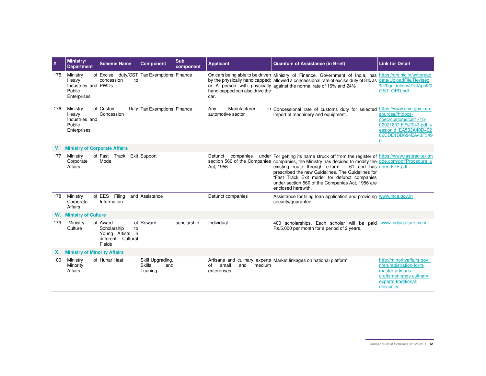| #   | Ministry/<br><b>Department</b>                                    | <b>Scheme Name</b>                                                          |    | <b>Component</b>                              | Sub<br>component | <b>Applicant</b>                            | <b>Quantum of Assistance (in Brief)</b>                                                                                                                                                                                                                                                                                                                                                                                                   | <b>Link for Detail</b>                                                                                                                       |
|-----|-------------------------------------------------------------------|-----------------------------------------------------------------------------|----|-----------------------------------------------|------------------|---------------------------------------------|-------------------------------------------------------------------------------------------------------------------------------------------------------------------------------------------------------------------------------------------------------------------------------------------------------------------------------------------------------------------------------------------------------------------------------------------|----------------------------------------------------------------------------------------------------------------------------------------------|
| 175 | Ministry<br>Heavy<br>Industries and PWDs<br>Public<br>Enterprises | concession                                                                  | to | of Excise duty/GST Tax Exemptions Finance     |                  | handicapped can also drive the<br>car.      | On cars being able to be driven Ministry of Finance, Government of India, has https://dhi.nic.in/writeread<br>by the physically handicapped; allowed a concessional rate of excise duty of 8% as data/UploadFile/Revised<br>or A person with physically against the normal rate of 16% and 24%                                                                                                                                            | %20quidelines21stApril20<br><b>GST OPD.pdf</b>                                                                                               |
| 176 | Ministry<br>Heavy<br>Industries and<br>Public<br>Enterprises      | of Custom<br>Concession                                                     |    | Duty Tax Exemptions Finance                   |                  | Manufacturer<br>Any<br>automotive sector    | in Concessional rate of customs duty for selected https://www.cbic.gov.in/re<br>import of machinery and equipment.                                                                                                                                                                                                                                                                                                                        | sources//htdocs-<br>cbec/customs/cst1718-<br>020218/G.E.%2043.pdf;js<br>essionid=EA532A40D492<br>82CDE1DD684EA43F349<br>0                    |
|     |                                                                   | <b>Ministry of Corporate Affairs</b>                                        |    |                                               |                  |                                             |                                                                                                                                                                                                                                                                                                                                                                                                                                           |                                                                                                                                              |
| 177 | Ministry<br>Corporate<br>Affairs                                  | of Fast Track Exit Support<br>Mode                                          |    |                                               |                  | Defunct<br>companies<br>Act, 1956           | under For getting its name struck off from the register of https://www.fasttrackexitm<br>section 560 of the Companies companies, the Ministry has decided to modify the ode.com/pdf/Procedure u<br>existing route through e-form - 61 and has nder FTE.pdf<br>prescribed the new Guidelines. The Guidelines for<br>"Fast Track Exit mode" for defunct companies<br>under section 560 of the Companies Act, 1956 are<br>enclosed herewith. |                                                                                                                                              |
| 178 | Ministry<br>Corporate<br>Affairs                                  | of EES Filing<br>Information                                                |    | and Assistance                                |                  | Defunct companies                           | Assistance for filing loan application and providing www.mca.gov.in<br>security/guarantee                                                                                                                                                                                                                                                                                                                                                 |                                                                                                                                              |
| W.  | <b>Ministry of Culture</b>                                        |                                                                             |    |                                               |                  |                                             |                                                                                                                                                                                                                                                                                                                                                                                                                                           |                                                                                                                                              |
| 179 | Ministry<br>Culture                                               | of Award<br>Scholarship<br>Young Artists in<br>different Cultural<br>Fields | to | of Reward                                     | scholarship      | Individual                                  | 400 scholarships. Each scholar will be paid www.indiaculture.nic.in<br>Rs.5,000 per month for a period of 2 years.                                                                                                                                                                                                                                                                                                                        |                                                                                                                                              |
| х.  | <b>Ministry of Minority Affairs</b>                               |                                                                             |    |                                               |                  |                                             |                                                                                                                                                                                                                                                                                                                                                                                                                                           |                                                                                                                                              |
| 180 | Ministry<br>Minority<br>Affairs                                   | of Hunar Haat                                                               |    | Skill Upgrading,<br>Skills<br>and<br>Training |                  | small<br>and<br>medium<br>of<br>enterprises | Artisans and culinary experts Market linkages on national platform                                                                                                                                                                                                                                                                                                                                                                        | http://minoritvaffairs.gov.i<br>n/en/registration-form-<br>master-artisans<br>craftsmen-shqs-culinary-<br>experts-traditional-<br>delicacies |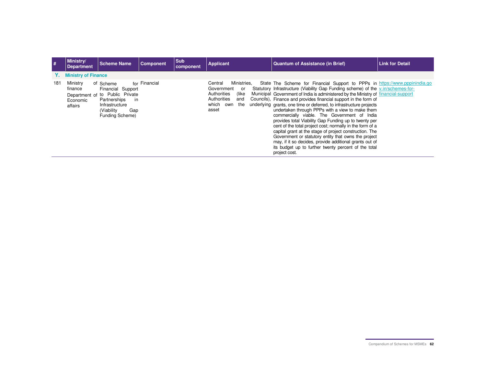| #   | Ministry/<br><b>Department</b>             | <b>Scheme Name</b>                                                                                                                                 | <b>Component</b> | <b>Sub</b><br>component | <b>Applicant</b>                                                                                                      | <b>Quantum of Assistance (in Brief)</b>                                                                                                                                                                                                                                                                                                                                                                                                                                                                                                                                                                                                                                                                                                                                                                                                                                           | <b>Link for Detail</b> |
|-----|--------------------------------------------|----------------------------------------------------------------------------------------------------------------------------------------------------|------------------|-------------------------|-----------------------------------------------------------------------------------------------------------------------|-----------------------------------------------------------------------------------------------------------------------------------------------------------------------------------------------------------------------------------------------------------------------------------------------------------------------------------------------------------------------------------------------------------------------------------------------------------------------------------------------------------------------------------------------------------------------------------------------------------------------------------------------------------------------------------------------------------------------------------------------------------------------------------------------------------------------------------------------------------------------------------|------------------------|
|     | <b>Ministry of Finance</b>                 |                                                                                                                                                    |                  |                         |                                                                                                                       |                                                                                                                                                                                                                                                                                                                                                                                                                                                                                                                                                                                                                                                                                                                                                                                                                                                                                   |                        |
| 181 | Ministry<br>finance<br>Economic<br>affairs | of Scheme<br>Financial Support<br>Department of to Public Private<br>Partnerships<br>in<br>Infrastructure<br>(Viability)<br>Gap<br>Funding Scheme) | for Financial    |                         | Ministries,<br>Central<br>Government<br>or<br>Authorities<br>(like<br>Authorities<br>and<br>which own<br>the<br>asset | State The Scheme for Financial Support to PPPs in https://www.pppinindia.go<br>Statutory Infrastructure (Viability Gap Funding scheme) of the v.in/schemes-for-<br>Municipal Government of India is administered by the Ministry of financial-support<br>Councils), Finance and provides financial support in the form of<br>underlying grants, one time or deferred, to infrastructure projects<br>undertaken through PPPs with a view to make them<br>commercially viable. The Government of India<br>provides total Viability Gap Funding up to twenty per<br>cent of the total project cost; normally in the form of a<br>capital grant at the stage of project construction. The<br>Government or statutory entity that owns the project<br>may, if it so decides, provide additional grants out of<br>its budget up to further twenty percent of the total<br>project cost. |                        |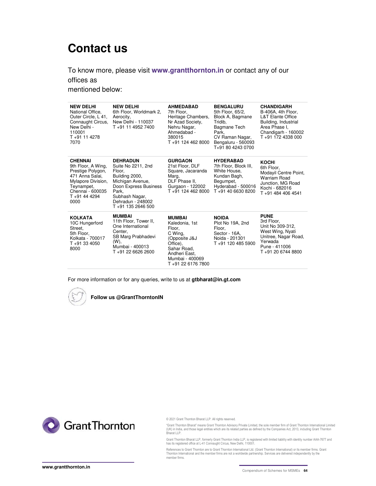### **Contact us**

To know more, please visit **www.grantthornton.in** or contact any of our

offices as

mentioned below:

| <b>NEW DELHI</b><br>National Office,<br>Outer Circle, L 41,<br>Connaught Circus,<br>New Delhi -<br>110001<br>T+91 11 4278<br>7070                                        | <b>NEW DELHI</b><br>6th Floor, Worldmark 2,<br>Aerocity,<br>New Delhi - 110037<br>T+91 11 4952 7400                                                                                 | <b>AHMEDABAD</b><br>7th Floor.<br>Heritage Chambers,<br>Nr Azad Society,<br>Nehru Nagar,<br>Ahmedabad -<br>380015<br>T+91 124 462 8000                     | <b>BENGALURU</b><br>5th Floor, 65/2,<br>Block A, Bagmane<br>Tridib.<br>Bagmane Tech<br>Park.<br>CV Raman Nagar,<br>Bengaluru - 560093<br>T <sub>+91</sub> 80 4243 0700 | <b>CHANDIGARH</b><br>B-406A, 4th Floor,<br>L&T Elante Office<br>Building, Industrial<br>Area Phase I.<br>Chandigarh - 160002<br>T+91 172 4338 000 |
|--------------------------------------------------------------------------------------------------------------------------------------------------------------------------|-------------------------------------------------------------------------------------------------------------------------------------------------------------------------------------|------------------------------------------------------------------------------------------------------------------------------------------------------------|------------------------------------------------------------------------------------------------------------------------------------------------------------------------|---------------------------------------------------------------------------------------------------------------------------------------------------|
| <b>CHENNAI</b><br>9th Floor, A Wing,<br>Prestige Polygon,<br>471 Anna Salai.<br>Mylapore Division,<br>Teynampet,<br>Chennai - 600035<br>T <sub>+91</sub> 44 4294<br>0000 | <b>DEHRADUN</b><br>Suite No 2211, 2nd<br>Floor,<br>Building 2000,<br>Michigan Avenue,<br>Doon Express Business<br>Park.<br>Subhash Nagar,<br>Dehradun - 248002<br>T+91 135 2646 500 | <b>GURGAON</b><br>21st Floor, DLF<br>Square, Jacaranda<br>Marg,<br>DLF Phase II,<br>Gurgaon - 122002<br>T +91 124 462 8000                                 | <b>HYDERABAD</b><br>7th Floor, Block III,<br>White House,<br>Kundan Bagh,<br>Begumpet,<br>Hyderabad - 500016<br>T+91 40 6630 8200                                      | <b>KOCHI</b><br>6th Floor.<br>Modayil Centre Point,<br>Warriam Road<br>Junction, MG Road<br>Kochi - 682016<br>T+91 484 406 4541                   |
| <b>KOLKATA</b><br>10C Hungerford<br>Street.<br>5th Floor,<br>Kolkata - 700017<br>T+91 33 4050<br>8000                                                                    | <b>MUMBAI</b><br>11th Floor, Tower II,<br>One International<br>Center.<br>SB Marg Prabhadevi<br>$(W)$ ,<br>Mumbai - 400013<br>T+91 22 6626 2600                                     | <b>MUMBAI</b><br>Kaledonia. 1st<br>Floor,<br>C Wing,<br>(Opposite J&J<br>Office),<br>Sahar Road,<br>Andheri East.<br>Mumbai - 400069<br>T +91 22 6176 7800 | <b>NOIDA</b><br>Plot No 19A, 2nd<br>Floor,<br>Sector - 16A,<br>Noida - 201301<br>T+91 120 485 5900                                                                     | <b>PUNE</b><br>3rd Floor,<br>Unit No 309-312,<br>West Wing, Nyati<br>Unitree, Nagar Road,<br>Yerwada<br>Pune - 411006<br>T+91 20 6744 8800        |

For more information or for any queries, write to us at **gtbharat@in.gt.com** 



**Follow us @GrantThorntonIN** 



© 2021 Grant Thornton Bharat LLP. All rights reserved.

"Grant Thornton Bharat" means Grant Thornton Advisory Private Limited, the sole member firm of Grant Thornton International Limited<br>(UK) in India, and those legal entities which are its related parties as defined by the Co

Grant Thornton Bharat LLP, formerly Grant Thornton India LLP, is registered with limited liability with identity number AAA-7677 and has its registered office at L-41 Connaught Circus, New Delhi, 110001.

References to Grant Thornton are to Grant Thornton International Ltd. (Grant Thornton International) or its member firms. Grant<br>Thornton International and the member firms are not a worldwide partnership. Services are deli